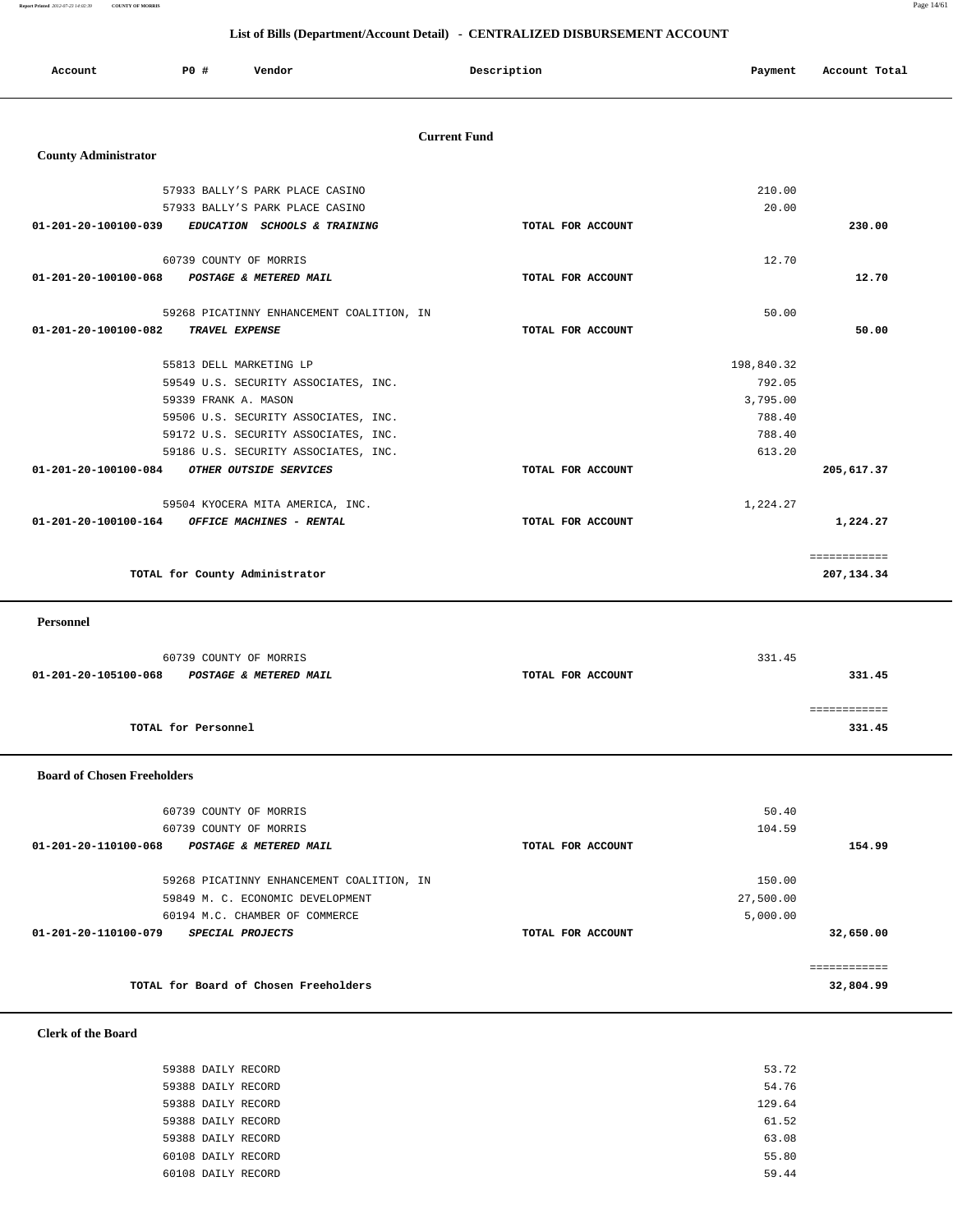**Report Printed** *2012-07-23 14:02:39* **COUNTY OF MORRIS** Page 14/61

#### **List of Bills (Department/Account Detail) - CENTRALIZED DISBURSEMENT ACCOUNT**

| Account                        | PO#                    | Vendor                                    |                     | Description       | Payment    | Account Total              |
|--------------------------------|------------------------|-------------------------------------------|---------------------|-------------------|------------|----------------------------|
| <b>County Administrator</b>    |                        |                                           | <b>Current Fund</b> |                   |            |                            |
|                                |                        | 57933 BALLY'S PARK PLACE CASINO           |                     |                   | 210.00     |                            |
|                                |                        | 57933 BALLY'S PARK PLACE CASINO           |                     |                   | 20.00      |                            |
| 01-201-20-100100-039           |                        | EDUCATION SCHOOLS & TRAINING              |                     | TOTAL FOR ACCOUNT |            | 230.00                     |
|                                | 60739 COUNTY OF MORRIS |                                           |                     |                   | 12.70      |                            |
| 01-201-20-100100-068           |                        | POSTAGE & METERED MAIL                    |                     | TOTAL FOR ACCOUNT |            | 12.70                      |
|                                |                        | 59268 PICATINNY ENHANCEMENT COALITION, IN |                     |                   | 50.00      |                            |
| $01 - 201 - 20 - 100100 - 082$ | TRAVEL EXPENSE         |                                           |                     | TOTAL FOR ACCOUNT |            | 50.00                      |
|                                |                        | 55813 DELL MARKETING LP                   |                     |                   | 198,840.32 |                            |
|                                |                        | 59549 U.S. SECURITY ASSOCIATES, INC.      |                     |                   | 792.05     |                            |
|                                | 59339 FRANK A. MASON   |                                           |                     |                   | 3,795.00   |                            |
|                                |                        | 59506 U.S. SECURITY ASSOCIATES, INC.      |                     |                   | 788.40     |                            |
|                                |                        | 59172 U.S. SECURITY ASSOCIATES, INC.      |                     |                   | 788.40     |                            |
|                                |                        | 59186 U.S. SECURITY ASSOCIATES, INC.      |                     |                   | 613.20     |                            |
| 01-201-20-100100-084           |                        | OTHER OUTSIDE SERVICES                    |                     | TOTAL FOR ACCOUNT |            | 205,617.37                 |
|                                |                        | 59504 KYOCERA MITA AMERICA, INC.          |                     |                   | 1,224.27   |                            |
| 01-201-20-100100-164           |                        | OFFICE MACHINES - RENTAL                  |                     | TOTAL FOR ACCOUNT |            | 1,224.27                   |
|                                |                        | TOTAL for County Administrator            |                     |                   |            | ============<br>207,134.34 |

 **Personnel** 

|                      | 60739 COUNTY OF MORRIS |                   | 331.45 |
|----------------------|------------------------|-------------------|--------|
| 01-201-20-105100-068 | POSTAGE & METERED MAIL | TOTAL FOR ACCOUNT | 331.45 |
|                      |                        |                   |        |
|                      |                        |                   |        |
| TOTAL for Personnel  |                        |                   | 331.45 |
|                      |                        |                   |        |

 **Board of Chosen Freeholders**

| 60739 COUNTY OF MORRIS                         |                   | 50.40     |              |
|------------------------------------------------|-------------------|-----------|--------------|
| 60739 COUNTY OF MORRIS                         |                   | 104.59    |              |
| 01-201-20-110100-068<br>POSTAGE & METERED MAIL | TOTAL FOR ACCOUNT |           | 154.99       |
| 59268 PICATINNY ENHANCEMENT COALITION, IN      |                   | 150.00    |              |
| 59849 M. C. ECONOMIC DEVELOPMENT               |                   | 27,500.00 |              |
| 60194 M.C. CHAMBER OF COMMERCE                 |                   | 5,000.00  |              |
| 01-201-20-110100-079<br>SPECIAL PROJECTS       | TOTAL FOR ACCOUNT |           | 32,650.00    |
|                                                |                   |           | ============ |
| TOTAL for Board of Chosen Freeholders          |                   |           | 32,804.99    |
|                                                |                   |           |              |

 **Clerk of the Board** 

| 53.72  | 59388 DAILY RECORD |
|--------|--------------------|
| 54.76  | 59388 DAILY RECORD |
| 129.64 | 59388 DAILY RECORD |
| 61.52  | 59388 DAILY RECORD |
| 63.08  | 59388 DAILY RECORD |
| 55.80  | 60108 DAILY RECORD |
| 59.44  | 60108 DAILY RECORD |
|        |                    |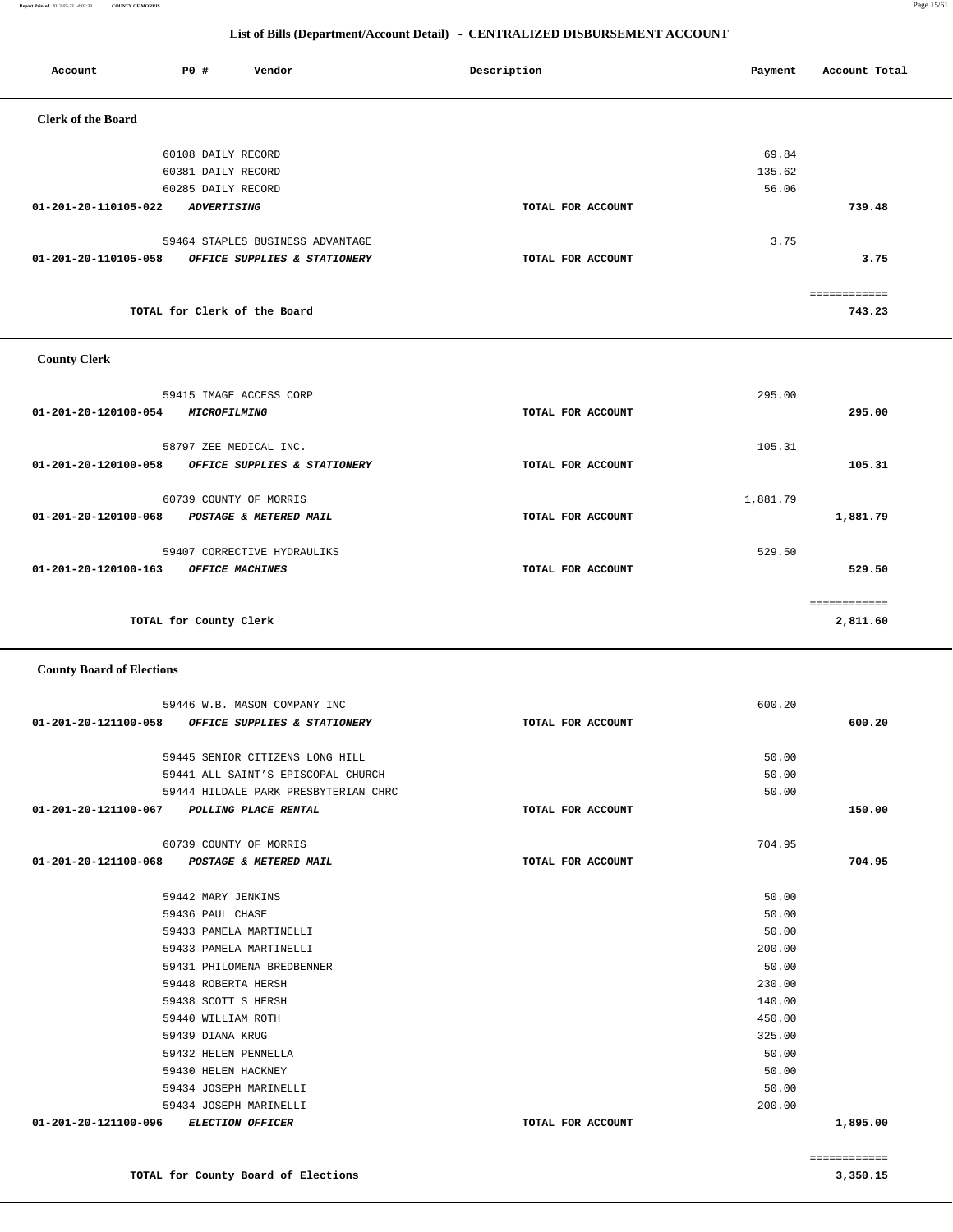**Report Printed** *2012-07-23 14:02:39* **COUNTY OF MORRIS** Page 15/61

#### **List of Bills (Department/Account Detail) - CENTRALIZED DISBURSEMENT ACCOUNT**

| Account                   | P0 #               | Vendor                           | Description       | Payment | Account Total |
|---------------------------|--------------------|----------------------------------|-------------------|---------|---------------|
| <b>Clerk of the Board</b> |                    |                                  |                   |         |               |
|                           | 60108 DAILY RECORD |                                  |                   | 69.84   |               |
|                           | 60381 DAILY RECORD |                                  |                   | 135.62  |               |
|                           | 60285 DAILY RECORD |                                  |                   | 56.06   |               |
| 01-201-20-110105-022      | <b>ADVERTISING</b> |                                  | TOTAL FOR ACCOUNT |         | 739.48        |
|                           |                    | 59464 STAPLES BUSINESS ADVANTAGE |                   | 3.75    |               |
| 01-201-20-110105-058      |                    | OFFICE SUPPLIES & STATIONERY     | TOTAL FOR ACCOUNT |         | 3.75          |
|                           |                    |                                  |                   |         |               |
|                           |                    | TOTAL for Clerk of the Board     |                   |         | 743.23        |

### **County Clerk**

| 59415 IMAGE ACCESS CORP<br>01-201-20-120100-054<br><i><b>MICROFILMING</b></i>  | TOTAL FOR ACCOUNT | 295.00   | 295.00   |
|--------------------------------------------------------------------------------|-------------------|----------|----------|
| 58797 ZEE MEDICAL INC.<br>01-201-20-120100-058<br>OFFICE SUPPLIES & STATIONERY | TOTAL FOR ACCOUNT | 105.31   | 105.31   |
| 60739 COUNTY OF MORRIS<br>01-201-20-120100-068<br>POSTAGE & METERED MAIL       | TOTAL FOR ACCOUNT | 1,881.79 | 1,881.79 |
| 59407 CORRECTIVE HYDRAULIKS<br>01-201-20-120100-163<br>OFFICE MACHINES         | TOTAL FOR ACCOUNT | 529.50   | 529.50   |
| TOTAL for County Clerk                                                         |                   |          | 2,811.60 |

#### **County Board of Elections**

| 59446 W.B. MASON COMPANY INC                         |                   | 600.20 |              |
|------------------------------------------------------|-------------------|--------|--------------|
| 01-201-20-121100-058<br>OFFICE SUPPLIES & STATIONERY | TOTAL FOR ACCOUNT |        | 600.20       |
|                                                      |                   |        |              |
| 59445 SENIOR CITIZENS LONG HILL                      |                   | 50.00  |              |
| 59441 ALL SAINT'S EPISCOPAL CHURCH                   |                   | 50.00  |              |
| 59444 HILDALE PARK PRESBYTERIAN CHRC                 |                   | 50.00  |              |
| 01-201-20-121100-067<br><b>POLLING PLACE RENTAL</b>  | TOTAL FOR ACCOUNT |        | 150.00       |
| 60739 COUNTY OF MORRIS                               |                   | 704.95 |              |
| 01-201-20-121100-068 POSTAGE & METERED MAIL          | TOTAL FOR ACCOUNT |        | 704.95       |
| 59442 MARY JENKINS                                   |                   | 50.00  |              |
| 59436 PAUL CHASE                                     |                   | 50.00  |              |
| 59433 PAMELA MARTINELLI                              |                   | 50.00  |              |
| 59433 PAMELA MARTINELLI                              |                   | 200.00 |              |
| 59431 PHILOMENA BREDBENNER                           |                   | 50.00  |              |
| 59448 ROBERTA HERSH                                  |                   | 230.00 |              |
| 59438 SCOTT S HERSH                                  |                   | 140.00 |              |
| 59440 WILLIAM ROTH                                   |                   | 450.00 |              |
| 59439 DIANA KRUG                                     |                   | 325.00 |              |
| 59432 HELEN PENNELLA                                 |                   | 50.00  |              |
| 59430 HELEN HACKNEY                                  |                   | 50.00  |              |
| 59434 JOSEPH MARINELLI                               |                   | 50.00  |              |
| 59434 JOSEPH MARINELLI                               |                   | 200.00 |              |
| 01-201-20-121100-096<br><b>ELECTION OFFICER</b>      | TOTAL FOR ACCOUNT |        | 1,895.00     |
|                                                      |                   |        | ============ |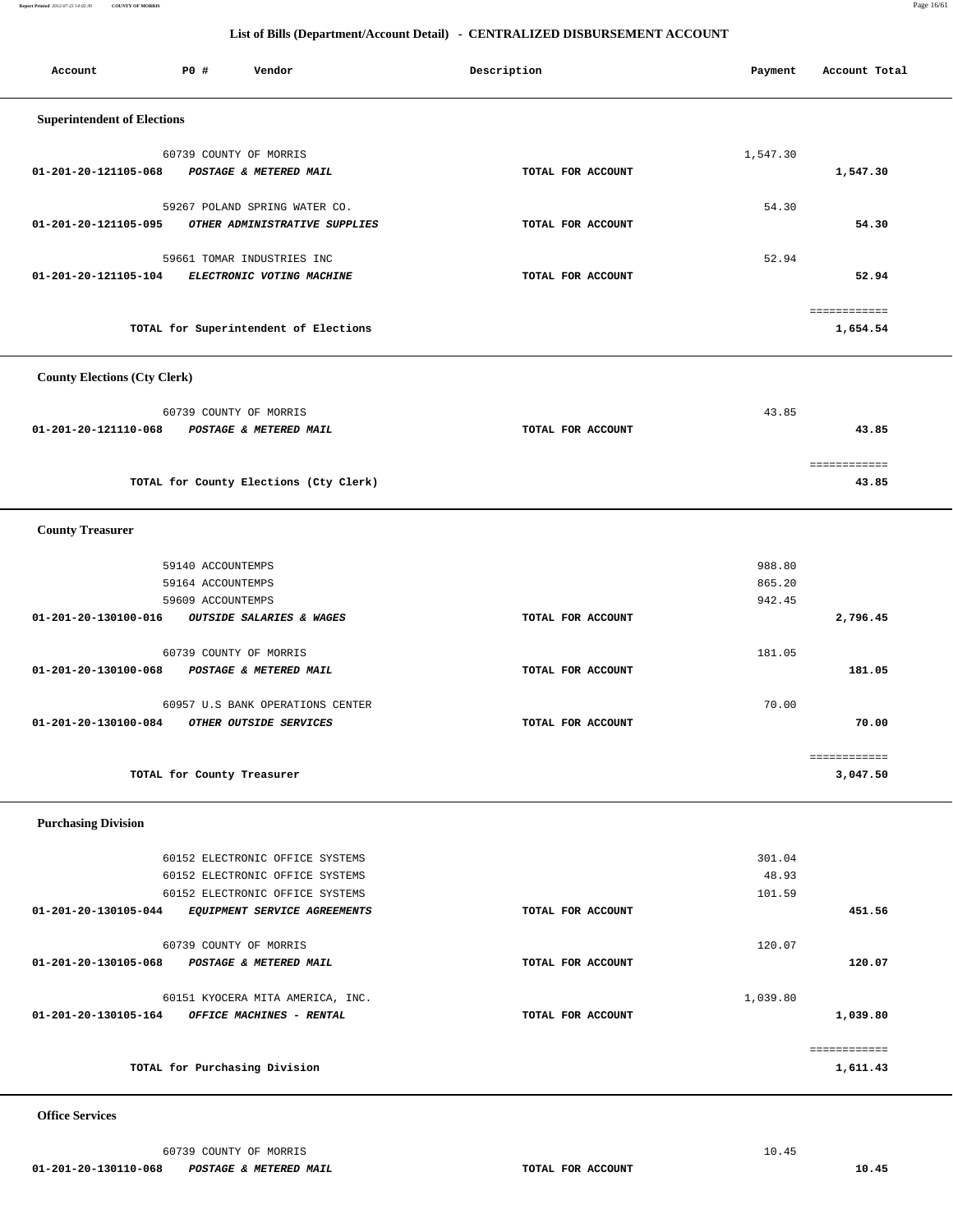**Report Printed** *2012-07-23 14:02:39* **COUNTY OF MORRIS** Page 16/61

#### **List of Bills (Department/Account Detail) - CENTRALIZED DISBURSEMENT ACCOUNT**

| Account                             | <b>PO #</b>                            | Vendor                                                          | Description       | Payment          | Account Total            |
|-------------------------------------|----------------------------------------|-----------------------------------------------------------------|-------------------|------------------|--------------------------|
|                                     |                                        |                                                                 |                   |                  |                          |
| <b>Superintendent of Elections</b>  |                                        |                                                                 |                   |                  |                          |
|                                     |                                        | 60739 COUNTY OF MORRIS                                          |                   | 1,547.30         |                          |
| 01-201-20-121105-068                |                                        | POSTAGE & METERED MAIL                                          | TOTAL FOR ACCOUNT |                  | 1,547.30                 |
|                                     |                                        | 59267 POLAND SPRING WATER CO.                                   |                   | 54.30            |                          |
| 01-201-20-121105-095                |                                        | OTHER ADMINISTRATIVE SUPPLIES                                   | TOTAL FOR ACCOUNT |                  | 54.30                    |
|                                     |                                        | 59661 TOMAR INDUSTRIES INC                                      |                   | 52.94            |                          |
| 01-201-20-121105-104                |                                        | ELECTRONIC VOTING MACHINE                                       | TOTAL FOR ACCOUNT |                  | 52.94                    |
|                                     |                                        |                                                                 |                   |                  |                          |
|                                     |                                        | TOTAL for Superintendent of Elections                           |                   |                  | ============<br>1,654.54 |
|                                     |                                        |                                                                 |                   |                  |                          |
| <b>County Elections (Cty Clerk)</b> |                                        |                                                                 |                   |                  |                          |
|                                     |                                        |                                                                 |                   |                  |                          |
| 01-201-20-121110-068                |                                        | 60739 COUNTY OF MORRIS<br>POSTAGE & METERED MAIL                | TOTAL FOR ACCOUNT | 43.85            | 43.85                    |
|                                     |                                        |                                                                 |                   |                  |                          |
|                                     |                                        |                                                                 |                   |                  | ============             |
|                                     |                                        | TOTAL for County Elections (Cty Clerk)                          |                   |                  | 43.85                    |
|                                     |                                        |                                                                 |                   |                  |                          |
| <b>County Treasurer</b>             |                                        |                                                                 |                   |                  |                          |
|                                     | 59140 ACCOUNTEMPS                      |                                                                 |                   | 988.80           |                          |
|                                     | 59164 ACCOUNTEMPS<br>59609 ACCOUNTEMPS |                                                                 |                   | 865.20<br>942.45 |                          |
| 01-201-20-130100-016                |                                        | OUTSIDE SALARIES & WAGES                                        | TOTAL FOR ACCOUNT |                  | 2,796.45                 |
|                                     |                                        |                                                                 |                   |                  |                          |
| 01-201-20-130100-068                |                                        | 60739 COUNTY OF MORRIS<br>POSTAGE & METERED MAIL                | TOTAL FOR ACCOUNT | 181.05           | 181.05                   |
|                                     |                                        |                                                                 |                   |                  |                          |
|                                     |                                        | 60957 U.S BANK OPERATIONS CENTER                                |                   | 70.00            |                          |
| 01-201-20-130100-084                |                                        | OTHER OUTSIDE SERVICES                                          | TOTAL FOR ACCOUNT |                  | 70.00                    |
|                                     |                                        |                                                                 |                   |                  | eeeeeeeeeee              |
|                                     |                                        | TOTAL for County Treasurer                                      |                   |                  | 3,047.50                 |
|                                     |                                        |                                                                 |                   |                  |                          |
| <b>Purchasing Division</b>          |                                        |                                                                 |                   |                  |                          |
|                                     |                                        | 60152 ELECTRONIC OFFICE SYSTEMS                                 |                   | 301.04           |                          |
|                                     |                                        | 60152 ELECTRONIC OFFICE SYSTEMS                                 |                   | 48.93            |                          |
| 01-201-20-130105-044                |                                        | 60152 ELECTRONIC OFFICE SYSTEMS<br>EQUIPMENT SERVICE AGREEMENTS | TOTAL FOR ACCOUNT | 101.59           | 451.56                   |
|                                     |                                        |                                                                 |                   |                  |                          |
| 01-201-20-130105-068                |                                        | 60739 COUNTY OF MORRIS<br>POSTAGE & METERED MAIL                | TOTAL FOR ACCOUNT | 120.07           | 120.07                   |
|                                     |                                        |                                                                 |                   |                  |                          |
|                                     |                                        | 60151 KYOCERA MITA AMERICA, INC.                                |                   | 1,039.80         |                          |
| 01-201-20-130105-164                |                                        | OFFICE MACHINES - RENTAL                                        | TOTAL FOR ACCOUNT |                  | 1,039.80                 |
|                                     |                                        |                                                                 |                   |                  | ============             |
|                                     |                                        | TOTAL for Purchasing Division                                   |                   |                  | 1,611.43                 |
|                                     |                                        |                                                                 |                   |                  |                          |

### **Office Services**

60739 COUNTY OF MORRIS 10.45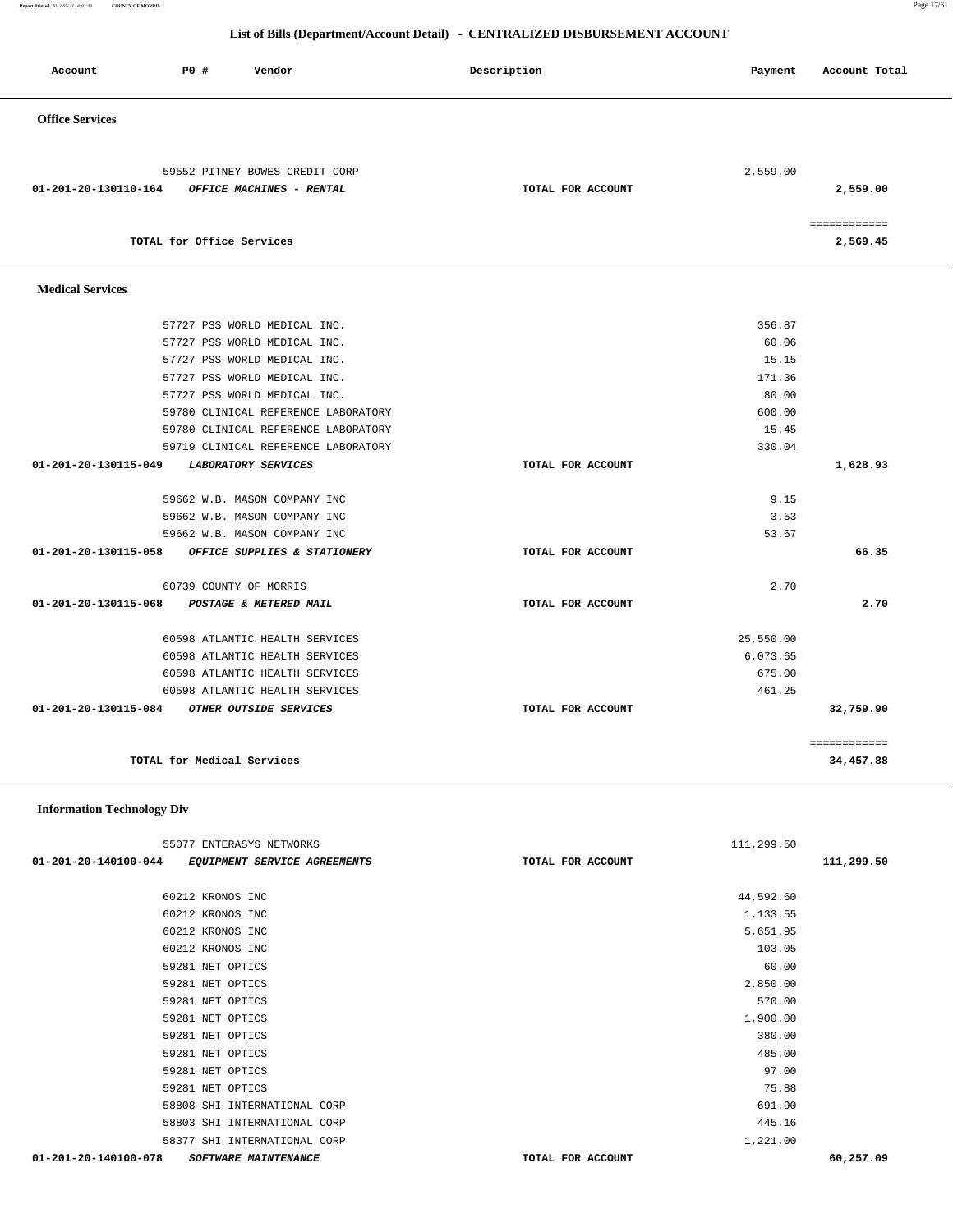**Report Printed** *2012-07-23 14:02:39* **COUNTY OF MORRIS** Page 17/61

#### **List of Bills (Department/Account Detail) - CENTRALIZED DISBURSEMENT ACCOUNT**

| Account                 | PO#                        | Vendor                              | Description       | Payment   | Account Total            |
|-------------------------|----------------------------|-------------------------------------|-------------------|-----------|--------------------------|
| <b>Office Services</b>  |                            |                                     |                   |           |                          |
|                         |                            |                                     |                   |           |                          |
|                         |                            | 59552 PITNEY BOWES CREDIT CORP      |                   | 2,559.00  |                          |
| 01-201-20-130110-164    |                            | OFFICE MACHINES - RENTAL            | TOTAL FOR ACCOUNT |           | 2,559.00                 |
|                         | TOTAL for Office Services  |                                     |                   |           | ============<br>2,569.45 |
| <b>Medical Services</b> |                            |                                     |                   |           |                          |
|                         |                            | 57727 PSS WORLD MEDICAL INC.        |                   | 356.87    |                          |
|                         |                            | 57727 PSS WORLD MEDICAL INC.        |                   | 60.06     |                          |
|                         |                            | 57727 PSS WORLD MEDICAL INC.        |                   | 15.15     |                          |
|                         |                            | 57727 PSS WORLD MEDICAL INC.        |                   | 171.36    |                          |
|                         |                            | 57727 PSS WORLD MEDICAL INC.        |                   | 80.00     |                          |
|                         |                            | 59780 CLINICAL REFERENCE LABORATORY |                   | 600.00    |                          |
|                         |                            | 59780 CLINICAL REFERENCE LABORATORY |                   | 15.45     |                          |
|                         |                            | 59719 CLINICAL REFERENCE LABORATORY |                   | 330.04    |                          |
| 01-201-20-130115-049    |                            | <b>LABORATORY SERVICES</b>          | TOTAL FOR ACCOUNT |           | 1,628.93                 |
|                         |                            | 59662 W.B. MASON COMPANY INC        |                   | 9.15      |                          |
|                         |                            | 59662 W.B. MASON COMPANY INC        |                   | 3.53      |                          |
|                         |                            | 59662 W.B. MASON COMPANY INC        |                   | 53.67     |                          |
| 01-201-20-130115-058    |                            | OFFICE SUPPLIES & STATIONERY        | TOTAL FOR ACCOUNT |           | 66.35                    |
|                         | 60739 COUNTY OF MORRIS     |                                     |                   | 2.70      |                          |
| 01-201-20-130115-068    |                            | POSTAGE & METERED MAIL              | TOTAL FOR ACCOUNT |           | 2.70                     |
|                         |                            | 60598 ATLANTIC HEALTH SERVICES      |                   | 25,550.00 |                          |
|                         |                            | 60598 ATLANTIC HEALTH SERVICES      |                   | 6,073.65  |                          |
|                         |                            | 60598 ATLANTIC HEALTH SERVICES      |                   | 675.00    |                          |
|                         |                            | 60598 ATLANTIC HEALTH SERVICES      |                   | 461.25    |                          |
| 01-201-20-130115-084    |                            | OTHER OUTSIDE SERVICES              | TOTAL FOR ACCOUNT |           | 32,759.90                |
|                         |                            |                                     |                   |           | ============             |
|                         | TOTAL for Medical Services |                                     |                   |           | 34,457.88                |

 **Information Technology Div**

| 55077 ENTERASYS NETWORKS                            |                   | 111,299.50 |            |
|-----------------------------------------------------|-------------------|------------|------------|
| 01-201-20-140100-044 EQUIPMENT SERVICE AGREEMENTS   | TOTAL FOR ACCOUNT |            | 111,299.50 |
|                                                     |                   |            |            |
| 60212 KRONOS INC                                    |                   | 44,592.60  |            |
| 60212 KRONOS INC                                    |                   | 1,133.55   |            |
| 60212 KRONOS INC                                    |                   | 5,651.95   |            |
| 60212 KRONOS INC                                    |                   | 103.05     |            |
| 59281 NET OPTICS                                    |                   | 60.00      |            |
| 59281 NET OPTICS                                    |                   | 2,850.00   |            |
| 59281 NET OPTICS                                    |                   | 570.00     |            |
| 59281 NET OPTICS                                    |                   | 1,900.00   |            |
| 59281 NET OPTICS                                    |                   | 380.00     |            |
| 59281 NET OPTICS                                    |                   | 485.00     |            |
| 59281 NET OPTICS                                    |                   | 97.00      |            |
| 59281 NET OPTICS                                    |                   | 75.88      |            |
| 58808 SHI INTERNATIONAL CORP                        |                   | 691.90     |            |
| 58803 SHI INTERNATIONAL CORP                        |                   | 445.16     |            |
| 58377 SHI INTERNATIONAL CORP                        |                   | 1,221.00   |            |
| 01-201-20-140100-078<br><b>SOFTWARE MAINTENANCE</b> | TOTAL FOR ACCOUNT |            | 60,257.09  |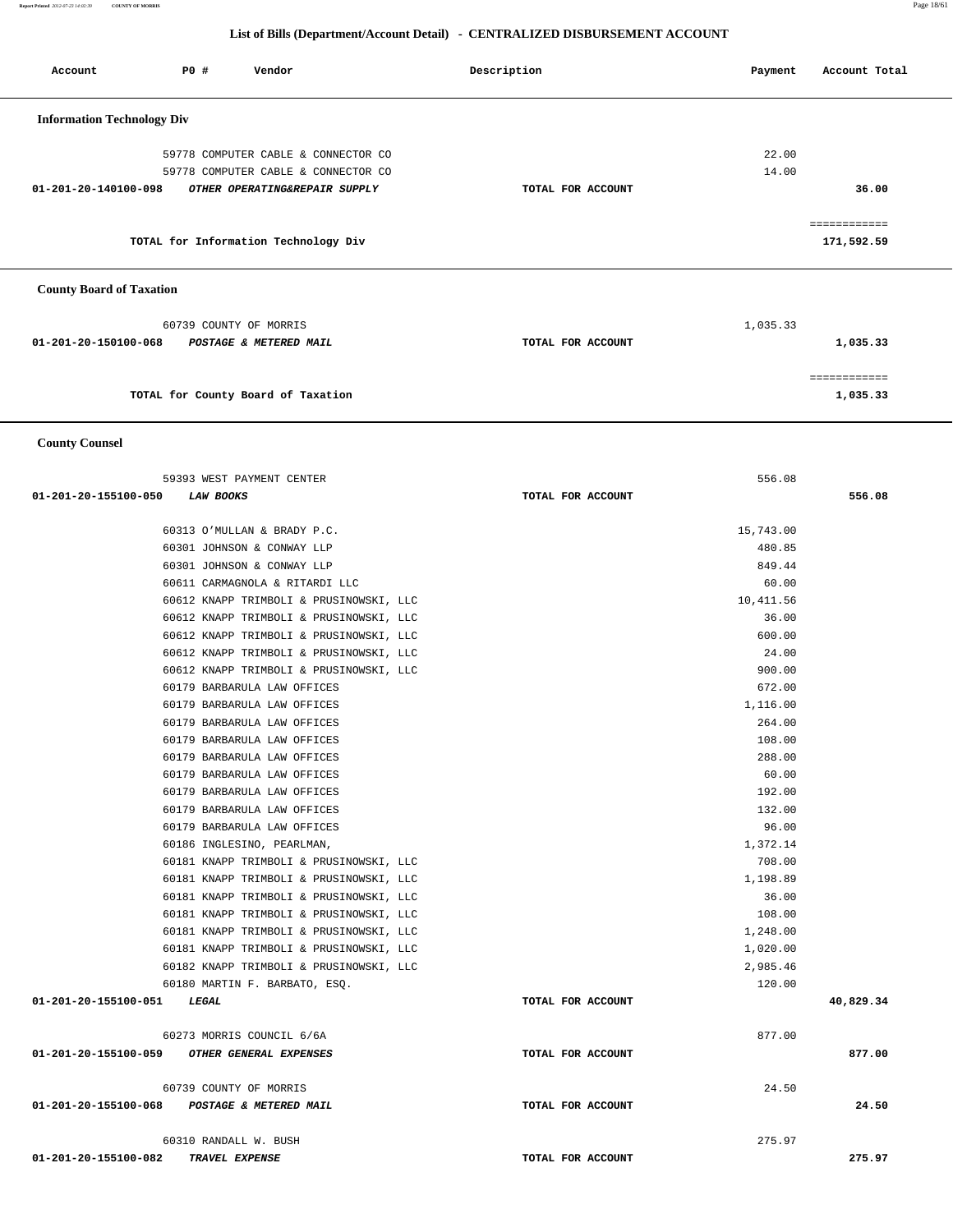**Report Printed** *2012-07-23 14:02:39* **COUNTY OF MORRIS** Page 18/61

#### **List of Bills (Department/Account Detail) - CENTRALIZED DISBURSEMENT ACCOUNT**

| Account                           | PO# | Vendor                               | Description       | Payment  | Account Total              |
|-----------------------------------|-----|--------------------------------------|-------------------|----------|----------------------------|
| <b>Information Technology Div</b> |     |                                      |                   |          |                            |
|                                   |     | 59778 COMPUTER CABLE & CONNECTOR CO  |                   | 22.00    |                            |
|                                   |     | 59778 COMPUTER CABLE & CONNECTOR CO  |                   | 14.00    |                            |
| $01 - 201 - 20 - 140100 - 098$    |     | OTHER OPERATING&REPAIR SUPPLY        | TOTAL FOR ACCOUNT |          | 36.00                      |
|                                   |     | TOTAL for Information Technology Div |                   |          | ============<br>171,592.59 |
| <b>County Board of Taxation</b>   |     |                                      |                   |          |                            |
|                                   |     | 60739 COUNTY OF MORRIS               |                   | 1,035.33 |                            |
| $01 - 201 - 20 - 150100 - 068$    |     | POSTAGE & METERED MAIL               | TOTAL FOR ACCOUNT |          | 1,035.33                   |
|                                   |     |                                      |                   |          | ============               |
|                                   |     | TOTAL for County Board of Taxation   |                   |          | 1,035.33                   |

 **County Counsel** 

| 59393 WEST PAYMENT CENTER                                |                   | 556.08           |           |
|----------------------------------------------------------|-------------------|------------------|-----------|
| 01-201-20-155100-050<br><i>LAW BOOKS</i>                 | TOTAL FOR ACCOUNT |                  | 556.08    |
| 60313 O'MULLAN & BRADY P.C.                              |                   | 15,743.00        |           |
|                                                          |                   |                  |           |
| 60301 JOHNSON & CONWAY LLP<br>60301 JOHNSON & CONWAY LLP |                   | 480.85<br>849.44 |           |
| 60611 CARMAGNOLA & RITARDI LLC                           |                   | 60.00            |           |
| 60612 KNAPP TRIMBOLI & PRUSINOWSKI, LLC                  |                   | 10,411.56        |           |
| 60612 KNAPP TRIMBOLI & PRUSINOWSKI, LLC                  |                   | 36.00            |           |
| 60612 KNAPP TRIMBOLI & PRUSINOWSKI, LLC                  |                   | 600.00           |           |
| 60612 KNAPP TRIMBOLI & PRUSINOWSKI, LLC                  |                   | 24.00            |           |
| 60612 KNAPP TRIMBOLI & PRUSINOWSKI, LLC                  |                   | 900.00           |           |
| 60179 BARBARULA LAW OFFICES                              |                   | 672.00           |           |
| 60179 BARBARULA LAW OFFICES                              |                   | 1,116.00         |           |
| 60179 BARBARULA LAW OFFICES                              |                   | 264.00           |           |
| 60179 BARBARULA LAW OFFICES                              |                   | 108.00           |           |
| 60179 BARBARULA LAW OFFICES                              |                   | 288.00           |           |
| 60179 BARBARULA LAW OFFICES                              |                   | 60.00            |           |
| 60179 BARBARULA LAW OFFICES                              |                   | 192.00           |           |
| 60179 BARBARULA LAW OFFICES                              |                   | 132.00           |           |
| 60179 BARBARULA LAW OFFICES                              |                   | 96.00            |           |
| 60186 INGLESINO, PEARLMAN,                               |                   | 1,372.14         |           |
| 60181 KNAPP TRIMBOLI & PRUSINOWSKI, LLC                  |                   | 708.00           |           |
| 60181 KNAPP TRIMBOLI & PRUSINOWSKI, LLC                  |                   | 1,198.89         |           |
| 60181 KNAPP TRIMBOLI & PRUSINOWSKI, LLC                  |                   | 36.00            |           |
| 60181 KNAPP TRIMBOLI & PRUSINOWSKI, LLC                  |                   | 108.00           |           |
| 60181 KNAPP TRIMBOLI & PRUSINOWSKI, LLC                  |                   | 1,248.00         |           |
| 60181 KNAPP TRIMBOLI & PRUSINOWSKI, LLC                  |                   | 1,020.00         |           |
| 60182 KNAPP TRIMBOLI & PRUSINOWSKI, LLC                  |                   | 2,985.46         |           |
| 60180 MARTIN F. BARBATO, ESQ.                            |                   | 120.00           |           |
| 01-201-20-155100-051<br>LEGAL                            | TOTAL FOR ACCOUNT |                  | 40,829.34 |
| 60273 MORRIS COUNCIL 6/6A                                |                   | 877.00           |           |
| 01-201-20-155100-059 OTHER GENERAL EXPENSES              | TOTAL FOR ACCOUNT |                  | 877.00    |
| 60739 COUNTY OF MORRIS                                   |                   | 24.50            |           |
| 01-201-20-155100-068 POSTAGE & METERED MAIL              | TOTAL FOR ACCOUNT |                  | 24.50     |
| 60310 RANDALL W. BUSH                                    |                   | 275.97           |           |
| 01-201-20-155100-082<br>TRAVEL EXPENSE                   | TOTAL FOR ACCOUNT |                  | 275.97    |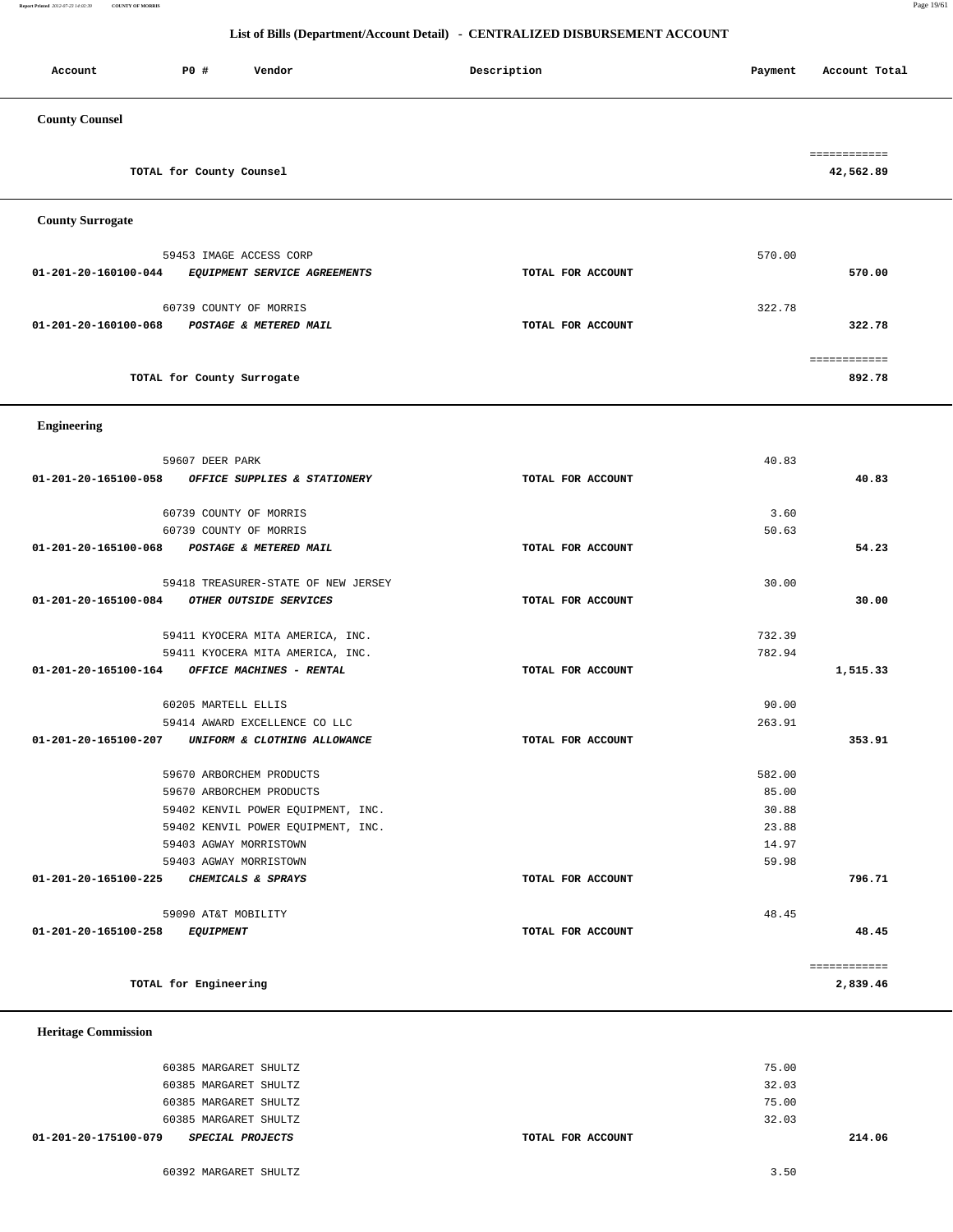**Report Printed** *2012-07-23 14:02:39* **COUNTY OF MORRIS** Page 19/61

#### **List of Bills (Department/Account Detail) - CENTRALIZED DISBURSEMENT ACCOUNT**

| P0 #<br>Account                          | Vendor                                                       | Description       | Payment | Account Total             |
|------------------------------------------|--------------------------------------------------------------|-------------------|---------|---------------------------|
| <b>County Counsel</b>                    |                                                              |                   |         |                           |
| TOTAL for County Counsel                 |                                                              |                   |         | ============<br>42,562.89 |
| <b>County Surrogate</b>                  |                                                              |                   |         |                           |
| 59453 IMAGE ACCESS CORP                  |                                                              |                   | 570.00  |                           |
| 01-201-20-160100-044                     | EQUIPMENT SERVICE AGREEMENTS                                 | TOTAL FOR ACCOUNT |         | 570.00                    |
| 60739 COUNTY OF MORRIS                   |                                                              |                   | 322.78  |                           |
| 01-201-20-160100-068                     | POSTAGE & METERED MAIL                                       | TOTAL FOR ACCOUNT |         | 322.78                    |
|                                          |                                                              |                   |         |                           |
| TOTAL for County Surrogate               |                                                              |                   |         | ============<br>892.78    |
|                                          |                                                              |                   |         |                           |
| <b>Engineering</b>                       |                                                              |                   |         |                           |
|                                          |                                                              |                   |         |                           |
| 59607 DEER PARK                          |                                                              |                   | 40.83   |                           |
| 01-201-20-165100-058                     | OFFICE SUPPLIES & STATIONERY                                 | TOTAL FOR ACCOUNT |         | 40.83                     |
| 60739 COUNTY OF MORRIS                   |                                                              |                   | 3.60    |                           |
| 60739 COUNTY OF MORRIS                   |                                                              |                   | 50.63   |                           |
| 01-201-20-165100-068                     | POSTAGE & METERED MAIL                                       | TOTAL FOR ACCOUNT |         | 54.23                     |
|                                          | 59418 TREASURER-STATE OF NEW JERSEY                          |                   | 30.00   |                           |
| 01-201-20-165100-084                     | OTHER OUTSIDE SERVICES                                       | TOTAL FOR ACCOUNT |         | 30.00                     |
|                                          |                                                              |                   |         |                           |
|                                          | 59411 KYOCERA MITA AMERICA, INC.                             |                   | 732.39  |                           |
| 01-201-20-165100-164                     | 59411 KYOCERA MITA AMERICA, INC.<br>OFFICE MACHINES - RENTAL | TOTAL FOR ACCOUNT | 782.94  | 1,515.33                  |
|                                          |                                                              |                   |         |                           |
| 60205 MARTELL ELLIS                      |                                                              |                   | 90.00   |                           |
|                                          | 59414 AWARD EXCELLENCE CO LLC                                |                   | 263.91  |                           |
| 01-201-20-165100-207                     | UNIFORM & CLOTHING ALLOWANCE                                 | TOTAL FOR ACCOUNT |         | 353.91                    |
| 59670 ARBORCHEM PRODUCTS                 |                                                              |                   | 582.00  |                           |
| 59670 ARBORCHEM PRODUCTS                 |                                                              |                   | 85.00   |                           |
|                                          | 59402 KENVIL POWER EQUIPMENT, INC.                           |                   | 30.88   |                           |
|                                          | 59402 KENVIL POWER EQUIPMENT, INC.                           |                   | 23.88   |                           |
| 59403 AGWAY MORRISTOWN                   |                                                              |                   | 14.97   |                           |
| 59403 AGWAY MORRISTOWN                   |                                                              |                   | 59.98   |                           |
| 01-201-20-165100-225                     | CHEMICALS & SPRAYS                                           | TOTAL FOR ACCOUNT |         | 796.71                    |
| 59090 AT&T MOBILITY                      |                                                              |                   | 48.45   |                           |
| 01-201-20-165100-258<br><i>EQUIPMENT</i> |                                                              | TOTAL FOR ACCOUNT |         | 48.45                     |
|                                          |                                                              |                   |         | ============              |
| TOTAL for Engineering                    |                                                              |                   |         | 2,839.46                  |
|                                          |                                                              |                   |         |                           |

 **Heritage Commission** 

| 01-201-20-175100-079  | <i>SPECIAL PROJECTS</i> | TOTAL FOR ACCOUNT |       | 214.06 |
|-----------------------|-------------------------|-------------------|-------|--------|
| 60385 MARGARET SHULTZ |                         |                   | 32.03 |        |
| 60385 MARGARET SHULTZ |                         |                   | 75.00 |        |
| 60385 MARGARET SHULTZ |                         |                   | 32.03 |        |
| 60385 MARGARET SHULTZ |                         |                   | 75.00 |        |
|                       |                         |                   |       |        |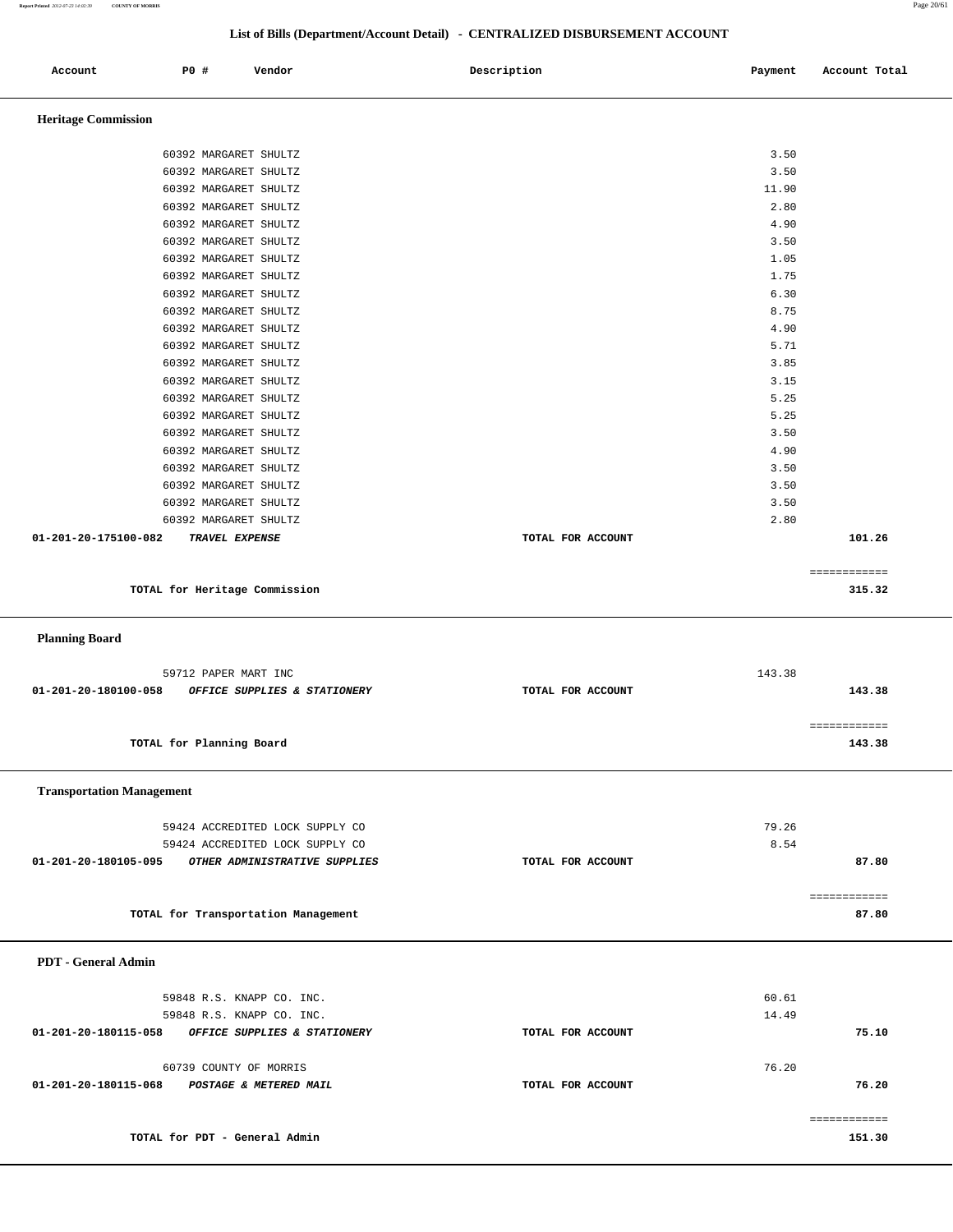| Report Printed 2012-07-23 14:02:39 | <b>COUNTY OF MORRIS</b> |                       |                               |                                                                              |         |               | Page 20/61 |
|------------------------------------|-------------------------|-----------------------|-------------------------------|------------------------------------------------------------------------------|---------|---------------|------------|
|                                    |                         |                       |                               |                                                                              |         |               |            |
|                                    |                         |                       |                               | List of Bills (Department/Account Detail) - CENTRALIZED DISBURSEMENT ACCOUNT |         |               |            |
| Account                            |                         | <b>PO #</b>           | Vendor                        | Description                                                                  | Payment | Account Total |            |
| <b>Heritage Commission</b>         |                         |                       |                               |                                                                              |         |               |            |
|                                    |                         |                       |                               |                                                                              |         |               |            |
|                                    |                         | 60392 MARGARET SHULTZ |                               |                                                                              | 3.50    |               |            |
|                                    |                         | 60392 MARGARET SHULTZ |                               |                                                                              | 3.50    |               |            |
|                                    |                         | 60392 MARGARET SHULTZ |                               |                                                                              | 11.90   |               |            |
|                                    |                         | 60392 MARGARET SHULTZ |                               |                                                                              | 2.80    |               |            |
|                                    |                         | 60392 MARGARET SHULTZ |                               |                                                                              | 4.90    |               |            |
|                                    |                         | 60392 MARGARET SHULTZ |                               |                                                                              | 3.50    |               |            |
|                                    |                         | 60392 MARGARET SHULTZ |                               |                                                                              | 1.05    |               |            |
|                                    |                         | 60392 MARGARET SHULTZ |                               |                                                                              | 1.75    |               |            |
|                                    |                         | 60392 MARGARET SHULTZ |                               |                                                                              | 6.30    |               |            |
|                                    |                         | 60392 MARGARET SHULTZ |                               |                                                                              | 8.75    |               |            |
|                                    |                         | 60392 MARGARET SHULTZ |                               |                                                                              | 4.90    |               |            |
|                                    |                         | 60392 MARGARET SHULTZ |                               |                                                                              | 5.71    |               |            |
|                                    |                         | 60392 MARGARET SHULTZ |                               |                                                                              | 3.85    |               |            |
|                                    |                         | 60392 MARGARET SHULTZ |                               |                                                                              | 3.15    |               |            |
|                                    |                         | 60392 MARGARET SHULTZ |                               |                                                                              | 5.25    |               |            |
|                                    |                         | 60392 MARGARET SHULTZ |                               |                                                                              | 5.25    |               |            |
|                                    |                         | 60392 MARGARET SHULTZ |                               |                                                                              | 3.50    |               |            |
|                                    |                         | 60392 MARGARET SHULTZ |                               |                                                                              | 4.90    |               |            |
|                                    |                         | 60392 MARGARET SHULTZ |                               |                                                                              | 3.50    |               |            |
|                                    |                         | 60392 MARGARET SHULTZ |                               |                                                                              | 3.50    |               |            |
|                                    |                         | 60392 MARGARET SHULTZ |                               |                                                                              | 3.50    |               |            |
|                                    |                         | 60392 MARGARET SHULTZ |                               |                                                                              | 2.80    |               |            |
| 01-201-20-175100-082               |                         | TRAVEL EXPENSE        |                               | TOTAL FOR ACCOUNT                                                            |         | 101.26        |            |
|                                    |                         |                       |                               |                                                                              |         | ============  |            |
|                                    |                         |                       | TOTAL for Heritage Commission |                                                                              |         | 315.32        |            |
| <b>Planning Board</b>              |                         |                       |                               |                                                                              |         |               |            |
|                                    |                         | 59712 PAPER MART INC  |                               |                                                                              | 143.38  |               |            |
| 01-201-20-180100-058               |                         |                       | OFFICE SUPPLIES & STATIONERY  | TOTAL FOR ACCOUNT                                                            |         | 143.38        |            |
|                                    |                         |                       |                               |                                                                              |         |               |            |
|                                    |                         |                       |                               |                                                                              |         | ============  |            |

**TOTAL for Planning Board 143.38**

#### **Transportation Management**

|                      | 59424 ACCREDITED LOCK SUPPLY CO |                   | 79.26 |       |
|----------------------|---------------------------------|-------------------|-------|-------|
|                      | 59424 ACCREDITED LOCK SUPPLY CO |                   | 8.54  |       |
| 01-201-20-180105-095 | OTHER ADMINISTRATIVE SUPPLIES   | TOTAL FOR ACCOUNT |       | 87.80 |
|                      |                                 |                   |       |       |
|                      |                                 |                   |       |       |

**TOTAL for Transportation Management 87.80**

#### **PDT - General Admin**

| 59848 R.S. KNAPP CO. INC.                            |                   | 60.61     |
|------------------------------------------------------|-------------------|-----------|
| 59848 R.S. KNAPP CO. INC.                            |                   | 14.49     |
| 01-201-20-180115-058<br>OFFICE SUPPLIES & STATIONERY | TOTAL FOR ACCOUNT | 75.10     |
|                                                      |                   |           |
| 60739 COUNTY OF MORRIS                               |                   | 76.20     |
| 01-201-20-180115-068<br>POSTAGE & METERED MAIL       | TOTAL FOR ACCOUNT | 76.20     |
|                                                      |                   |           |
|                                                      |                   | ========= |
| TOTAL for PDT - General Admin                        |                   | 151.30    |
|                                                      |                   |           |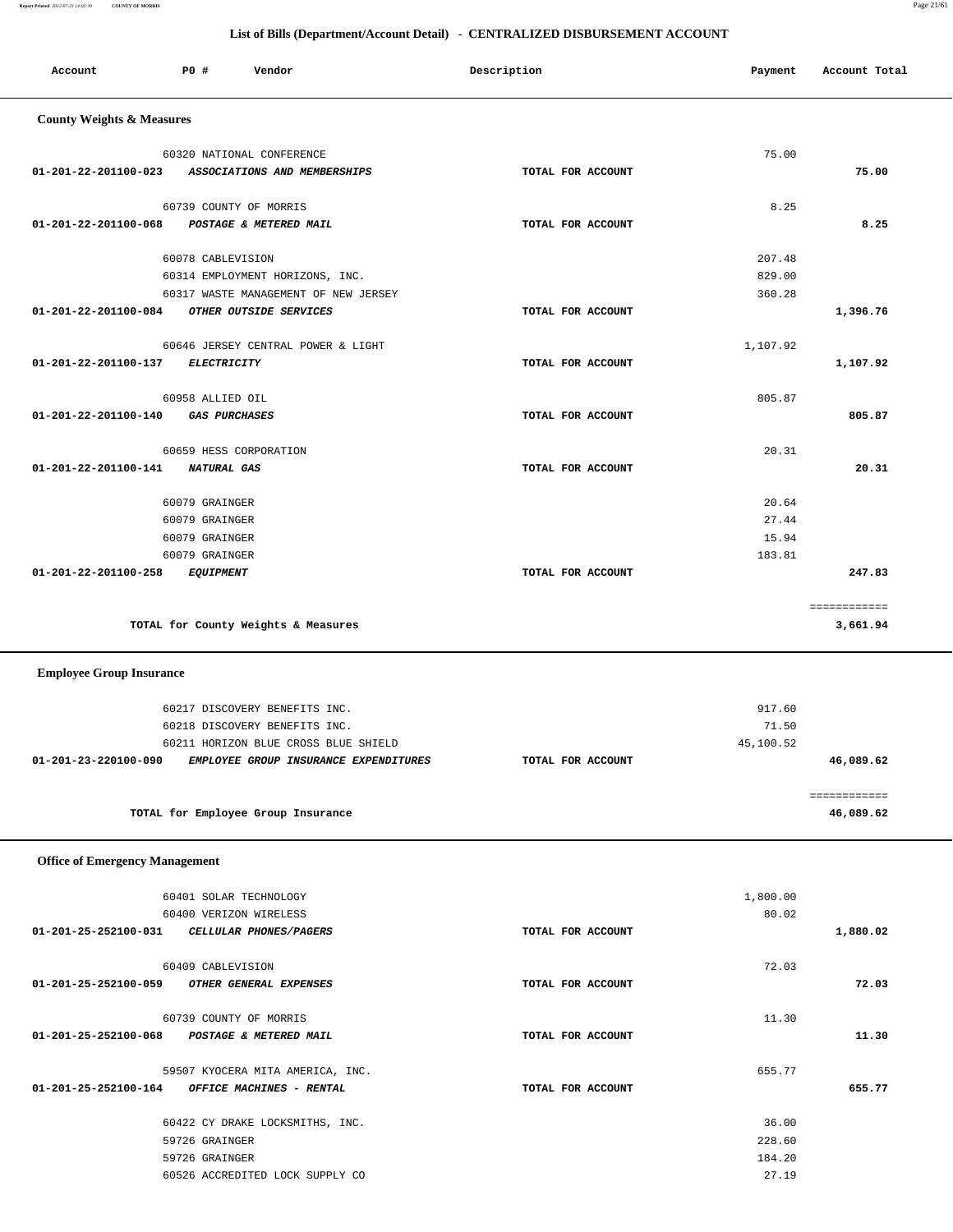#### **Report Printed** *2012-07-23 14:02:39* **COUNTY OF MORRIS** Page 21/61

### **List of Bills (Department/Account Detail) - CENTRALIZED DISBURSEMENT ACCOUNT**

| Account                               | <b>PO #</b>       | Vendor                                           | Description       | Payment   | Account Total             |
|---------------------------------------|-------------------|--------------------------------------------------|-------------------|-----------|---------------------------|
|                                       |                   |                                                  |                   |           |                           |
| <b>County Weights &amp; Measures</b>  |                   |                                                  |                   |           |                           |
|                                       |                   | 60320 NATIONAL CONFERENCE                        |                   | 75.00     |                           |
| 01-201-22-201100-023                  |                   | ASSOCIATIONS AND MEMBERSHIPS                     | TOTAL FOR ACCOUNT |           | 75.00                     |
|                                       |                   |                                                  |                   |           |                           |
| 01-201-22-201100-068                  |                   | 60739 COUNTY OF MORRIS<br>POSTAGE & METERED MAIL | TOTAL FOR ACCOUNT | 8.25      | 8.25                      |
|                                       |                   |                                                  |                   |           |                           |
|                                       | 60078 CABLEVISION |                                                  |                   | 207.48    |                           |
|                                       |                   | 60314 EMPLOYMENT HORIZONS, INC.                  |                   | 829.00    |                           |
|                                       |                   | 60317 WASTE MANAGEMENT OF NEW JERSEY             |                   | 360.28    |                           |
| 01-201-22-201100-084                  |                   | OTHER OUTSIDE SERVICES                           | TOTAL FOR ACCOUNT |           | 1,396.76                  |
|                                       |                   | 60646 JERSEY CENTRAL POWER & LIGHT               |                   | 1,107.92  |                           |
| 01-201-22-201100-137                  | ELECTRICITY       |                                                  | TOTAL FOR ACCOUNT |           | 1,107.92                  |
|                                       |                   |                                                  |                   |           |                           |
| 01-201-22-201100-140                  | 60958 ALLIED OIL  | <b>GAS PURCHASES</b>                             | TOTAL FOR ACCOUNT | 805.87    | 805.87                    |
|                                       |                   |                                                  |                   |           |                           |
|                                       |                   | 60659 HESS CORPORATION                           |                   | 20.31     |                           |
| 01-201-22-201100-141                  | NATURAL GAS       |                                                  | TOTAL FOR ACCOUNT |           | 20.31                     |
|                                       | 60079 GRAINGER    |                                                  |                   | 20.64     |                           |
|                                       | 60079 GRAINGER    |                                                  |                   | 27.44     |                           |
|                                       | 60079 GRAINGER    |                                                  |                   | 15.94     |                           |
|                                       | 60079 GRAINGER    |                                                  |                   | 183.81    |                           |
| 01-201-22-201100-258                  | <b>EQUIPMENT</b>  |                                                  | TOTAL FOR ACCOUNT |           | 247.83                    |
|                                       |                   |                                                  |                   |           | ============              |
|                                       |                   | TOTAL for County Weights & Measures              |                   |           | 3,661.94                  |
|                                       |                   |                                                  |                   |           |                           |
| <b>Employee Group Insurance</b>       |                   |                                                  |                   |           |                           |
|                                       |                   | 60217 DISCOVERY BENEFITS INC.                    |                   | 917.60    |                           |
|                                       |                   | 60218 DISCOVERY BENEFITS INC.                    |                   | 71.50     |                           |
|                                       |                   | 60211 HORIZON BLUE CROSS BLUE SHIELD             |                   | 45,100.52 |                           |
| 01-201-23-220100-090                  |                   | EMPLOYEE GROUP INSURANCE EXPENDITURES            | TOTAL FOR ACCOUNT |           | 46,089.62                 |
|                                       |                   |                                                  |                   |           |                           |
|                                       |                   | TOTAL for Employee Group Insurance               |                   |           | ============<br>46,089.62 |
|                                       |                   |                                                  |                   |           |                           |
| <b>Office of Emergency Management</b> |                   |                                                  |                   |           |                           |
|                                       |                   |                                                  |                   |           |                           |
|                                       |                   | 60401 SOLAR TECHNOLOGY                           |                   | 1,800.00  |                           |
|                                       |                   | 60400 VERIZON WIRELESS                           |                   | 80.02     |                           |
| 01-201-25-252100-031                  |                   | CELLULAR PHONES/PAGERS                           | TOTAL FOR ACCOUNT |           | 1,880.02                  |
|                                       | 60409 CABLEVISION |                                                  |                   | 72.03     |                           |
| 01-201-25-252100-059                  |                   | OTHER GENERAL EXPENSES                           | TOTAL FOR ACCOUNT |           | 72.03                     |
|                                       |                   |                                                  |                   |           |                           |
| 01-201-25-252100-068                  |                   | 60739 COUNTY OF MORRIS<br>POSTAGE & METERED MAIL | TOTAL FOR ACCOUNT | 11.30     | 11.30                     |
|                                       |                   |                                                  |                   |           |                           |
|                                       |                   | 59507 KYOCERA MITA AMERICA, INC.                 |                   | 655.77    |                           |
| 01-201-25-252100-164                  |                   | OFFICE MACHINES - RENTAL                         | TOTAL FOR ACCOUNT |           | 655.77                    |
|                                       |                   | 60422 CY DRAKE LOCKSMITHS, INC.                  |                   | 36.00     |                           |
|                                       | 59726 GRAINGER    |                                                  |                   | 228.60    |                           |
|                                       | 59726 GRAINGER    |                                                  |                   | 184.20    |                           |
|                                       |                   | 60526 ACCREDITED LOCK SUPPLY CO                  |                   | 27.19     |                           |
|                                       |                   |                                                  |                   |           |                           |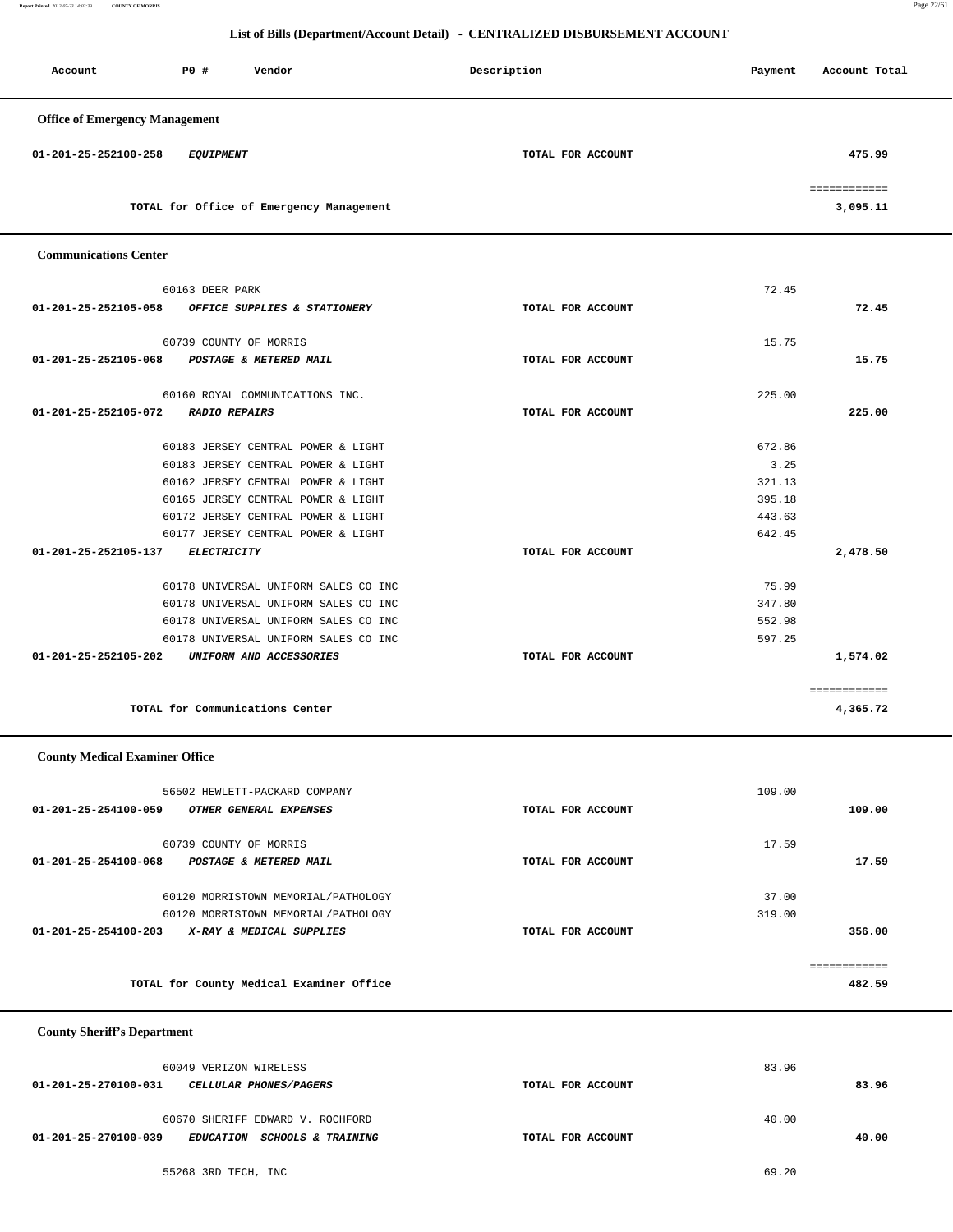**Report Printed** *2012-07-23 14:02:39* **COUNTY OF MORRIS** Page 22/61

#### **List of Bills (Department/Account Detail) - CENTRALIZED DISBURSEMENT ACCOUNT**

| Account                               | P0 #<br>Vendor                           | Description       | Payment | Account Total            |
|---------------------------------------|------------------------------------------|-------------------|---------|--------------------------|
| <b>Office of Emergency Management</b> |                                          |                   |         |                          |
| 01-201-25-252100-258                  | <b>EQUIPMENT</b>                         | TOTAL FOR ACCOUNT |         | 475.99                   |
|                                       | TOTAL for Office of Emergency Management |                   |         | ============<br>3,095.11 |
| <b>Communications Center</b>          |                                          |                   |         |                          |
|                                       | 60163 DEER PARK                          |                   | 72.45   |                          |
| 01-201-25-252105-058                  | OFFICE SUPPLIES & STATIONERY             | TOTAL FOR ACCOUNT |         | 72.45                    |
|                                       | 60739 COUNTY OF MORRIS                   |                   | 15.75   |                          |
| 01-201-25-252105-068                  | POSTAGE & METERED MAIL                   | TOTAL FOR ACCOUNT |         | 15.75                    |
|                                       | 60160 ROYAL COMMUNICATIONS INC.          |                   | 225.00  |                          |
| 01-201-25-252105-072                  | <b>RADIO REPAIRS</b>                     | TOTAL FOR ACCOUNT |         | 225.00                   |
|                                       | 60183 JERSEY CENTRAL POWER & LIGHT       |                   | 672.86  |                          |
|                                       | 60183 JERSEY CENTRAL POWER & LIGHT       |                   | 3.25    |                          |
|                                       | 60162 JERSEY CENTRAL POWER & LIGHT       |                   | 321.13  |                          |
|                                       | 60165 JERSEY CENTRAL POWER & LIGHT       |                   | 395.18  |                          |
|                                       | 60172 JERSEY CENTRAL POWER & LIGHT       |                   | 443.63  |                          |
|                                       | 60177 JERSEY CENTRAL POWER & LIGHT       |                   | 642.45  |                          |
| 01-201-25-252105-137                  | <b>ELECTRICITY</b>                       | TOTAL FOR ACCOUNT |         | 2,478.50                 |
|                                       | 60178 UNIVERSAL UNIFORM SALES CO INC     |                   | 75.99   |                          |
|                                       | 60178 UNIVERSAL UNIFORM SALES CO INC     |                   | 347.80  |                          |
|                                       | 60178 UNIVERSAL UNIFORM SALES CO INC     |                   | 552.98  |                          |
|                                       | 60178 UNIVERSAL UNIFORM SALES CO INC     |                   | 597.25  |                          |
| 01-201-25-252105-202                  | UNIFORM AND ACCESSORIES                  | TOTAL FOR ACCOUNT |         | 1,574.02                 |
|                                       | TOTAL for Communications Center          |                   |         | ============<br>4,365.72 |
| <b>County Medical Examiner Office</b> |                                          |                   |         |                          |

|                                | 56502 HEWLETT-PACKARD COMPANY            |                   | 109.00 |        |
|--------------------------------|------------------------------------------|-------------------|--------|--------|
| 01-201-25-254100-059           | OTHER GENERAL EXPENSES                   | TOTAL FOR ACCOUNT |        | 109.00 |
| 01-201-25-254100-068           | 60739 COUNTY OF MORRIS                   |                   | 17.59  | 17.59  |
|                                | <b>POSTAGE &amp; METERED MAIL</b>        | TOTAL FOR ACCOUNT |        |        |
|                                | 60120 MORRISTOWN MEMORIAL/PATHOLOGY      |                   | 37.00  |        |
|                                | 60120 MORRISTOWN MEMORIAL/PATHOLOGY      |                   | 319.00 |        |
| $01 - 201 - 25 - 254100 - 203$ | X-RAY & MEDICAL SUPPLIES                 | TOTAL FOR ACCOUNT |        | 356.00 |
|                                |                                          |                   |        |        |
|                                |                                          |                   |        |        |
|                                | TOTAL for County Medical Examiner Office |                   |        | 482.59 |
|                                |                                          |                   |        |        |

 **County Sheriff's Department**

| 60049 VERIZON WIRELESS                                                    | 83.96             |       |
|---------------------------------------------------------------------------|-------------------|-------|
| 01-201-25-270100-031<br><i>CELLULAR PHONES/PAGERS</i>                     | TOTAL FOR ACCOUNT | 83.96 |
| 60670 SHERIFF EDWARD V. ROCHFORD                                          | 40.00             |       |
| 01-201-25-270100-039<br><b>SCHOOLS &amp; TRAINING</b><br><b>EDUCATION</b> | TOTAL FOR ACCOUNT | 40.00 |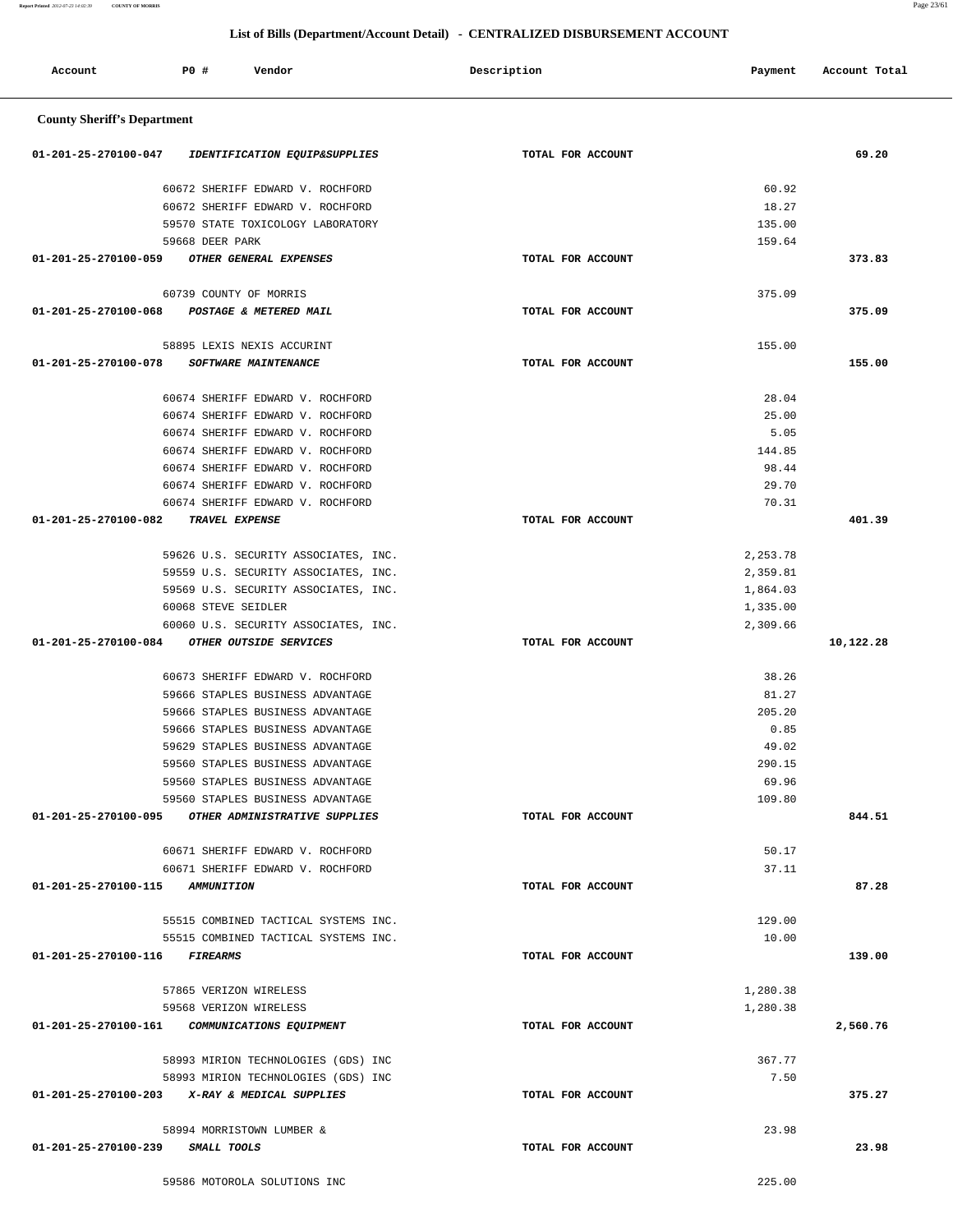| Account                            | P0 # | <b>Ellot</b> of <b>Billio</b> ( <b>Beparentle</b> ring recount <b>Betain</b> )<br>Vendor | CERTIMIBILIB BIOBUNDENIERT ITUCUUTTI<br>Description | Payment         | Account Total |
|------------------------------------|------|------------------------------------------------------------------------------------------|-----------------------------------------------------|-----------------|---------------|
| <b>County Sheriff's Department</b> |      |                                                                                          |                                                     |                 |               |
| 01-201-25-270100-047               |      | IDENTIFICATION EQUIP&SUPPLIES                                                            | TOTAL FOR ACCOUNT                                   |                 | 69.20         |
|                                    |      | 60672 SHERIFF EDWARD V. ROCHFORD                                                         |                                                     | 60.92           |               |
|                                    |      | 60672 SHERIFF EDWARD V. ROCHFORD                                                         |                                                     | 18.27           |               |
|                                    |      | 59570 STATE TOXICOLOGY LABORATORY                                                        |                                                     | 135.00          |               |
|                                    |      | 59668 DEER PARK                                                                          |                                                     | 159.64          |               |
| 01-201-25-270100-059               |      | OTHER GENERAL EXPENSES                                                                   | TOTAL FOR ACCOUNT                                   |                 | 373.83        |
|                                    |      | 60739 COUNTY OF MORRIS                                                                   |                                                     | 375.09          |               |
| 01-201-25-270100-068               |      | POSTAGE & METERED MAIL                                                                   | TOTAL FOR ACCOUNT                                   |                 | 375.09        |
|                                    |      | 58895 LEXIS NEXIS ACCURINT                                                               |                                                     | 155.00          |               |
| 01-201-25-270100-078               |      | <b>SOFTWARE MAINTENANCE</b>                                                              | TOTAL FOR ACCOUNT                                   |                 | 155.00        |
|                                    |      | 60674 SHERIFF EDWARD V. ROCHFORD                                                         |                                                     | 28.04           |               |
|                                    |      | 60674 SHERIFF EDWARD V. ROCHFORD                                                         |                                                     | 25.00           |               |
|                                    |      | 60674 SHERIFF EDWARD V. ROCHFORD                                                         |                                                     | 5.05            |               |
|                                    |      | 60674 SHERIFF EDWARD V. ROCHFORD                                                         |                                                     | 144.85          |               |
|                                    |      | 60674 SHERIFF EDWARD V. ROCHFORD                                                         |                                                     | 98.44           |               |
|                                    |      | 60674 SHERIFF EDWARD V. ROCHFORD                                                         |                                                     | 29.70           |               |
|                                    |      | 60674 SHERIFF EDWARD V. ROCHFORD                                                         |                                                     | 70.31           |               |
| 01-201-25-270100-082               |      | TRAVEL EXPENSE                                                                           | TOTAL FOR ACCOUNT                                   |                 | 401.39        |
|                                    |      | 59626 U.S. SECURITY ASSOCIATES, INC.                                                     |                                                     | 2,253.78        |               |
|                                    |      | 59559 U.S. SECURITY ASSOCIATES, INC.                                                     |                                                     | 2,359.81        |               |
|                                    |      | 59569 U.S. SECURITY ASSOCIATES, INC.                                                     |                                                     | 1,864.03        |               |
|                                    |      | 60068 STEVE SEIDLER                                                                      |                                                     | 1,335.00        |               |
|                                    |      | 60060 U.S. SECURITY ASSOCIATES, INC.                                                     |                                                     | 2,309.66        |               |
| 01-201-25-270100-084               |      | OTHER OUTSIDE SERVICES                                                                   | TOTAL FOR ACCOUNT                                   |                 | 10,122.28     |
|                                    |      | 60673 SHERIFF EDWARD V. ROCHFORD                                                         |                                                     | 38.26           |               |
|                                    |      | 59666 STAPLES BUSINESS ADVANTAGE                                                         |                                                     | 81.27           |               |
|                                    |      | 59666 STAPLES BUSINESS ADVANTAGE                                                         |                                                     | 205.20          |               |
|                                    |      | 59666 STAPLES BUSINESS ADVANTAGE                                                         |                                                     | 0.85            |               |
|                                    |      | 59629 STAPLES BUSINESS ADVANTAGE                                                         |                                                     | 49.02           |               |
|                                    |      | 59560 STAPLES BUSINESS ADVANTAGE<br>59560 STAPLES BUSINESS ADVANTAGE                     |                                                     | 290.15<br>69.96 |               |
|                                    |      | 59560 STAPLES BUSINESS ADVANTAGE                                                         |                                                     | 109.80          |               |
| 01-201-25-270100-095               |      | OTHER ADMINISTRATIVE SUPPLIES                                                            | TOTAL FOR ACCOUNT                                   |                 | 844.51        |
|                                    |      |                                                                                          |                                                     |                 |               |
|                                    |      | 60671 SHERIFF EDWARD V. ROCHFORD                                                         |                                                     | 50.17           |               |
|                                    |      | 60671 SHERIFF EDWARD V. ROCHFORD                                                         |                                                     | 37.11           |               |
| 01-201-25-270100-115               |      | <i><b>AMMUNITION</b></i>                                                                 | TOTAL FOR ACCOUNT                                   |                 | 87.28         |
|                                    |      | 55515 COMBINED TACTICAL SYSTEMS INC.                                                     |                                                     | 129.00          |               |
|                                    |      | 55515 COMBINED TACTICAL SYSTEMS INC.                                                     |                                                     | 10.00           |               |
| 01-201-25-270100-116               |      | <i><b>FIREARMS</b></i>                                                                   | TOTAL FOR ACCOUNT                                   |                 | 139.00        |
|                                    |      | 57865 VERIZON WIRELESS                                                                   |                                                     | 1,280.38        |               |
|                                    |      | 59568 VERIZON WIRELESS                                                                   |                                                     | 1,280.38        |               |
| 01-201-25-270100-161               |      | COMMUNICATIONS EQUIPMENT                                                                 | TOTAL FOR ACCOUNT                                   |                 | 2,560.76      |
|                                    |      | 58993 MIRION TECHNOLOGIES (GDS) INC                                                      |                                                     | 367.77          |               |
|                                    |      | 58993 MIRION TECHNOLOGIES (GDS) INC                                                      |                                                     | 7.50            |               |
|                                    |      | 01-201-25-270100-203 X-RAY & MEDICAL SUPPLIES                                            | TOTAL FOR ACCOUNT                                   |                 | 375.27        |
|                                    |      | 58994 MORRISTOWN LUMBER &                                                                |                                                     | 23.98           |               |
| 01-201-25-270100-239               |      | SMALL TOOLS                                                                              | TOTAL FOR ACCOUNT                                   |                 | 23.98         |
|                                    |      |                                                                                          |                                                     |                 |               |

59586 MOTOROLA SOLUTIONS INC 225.00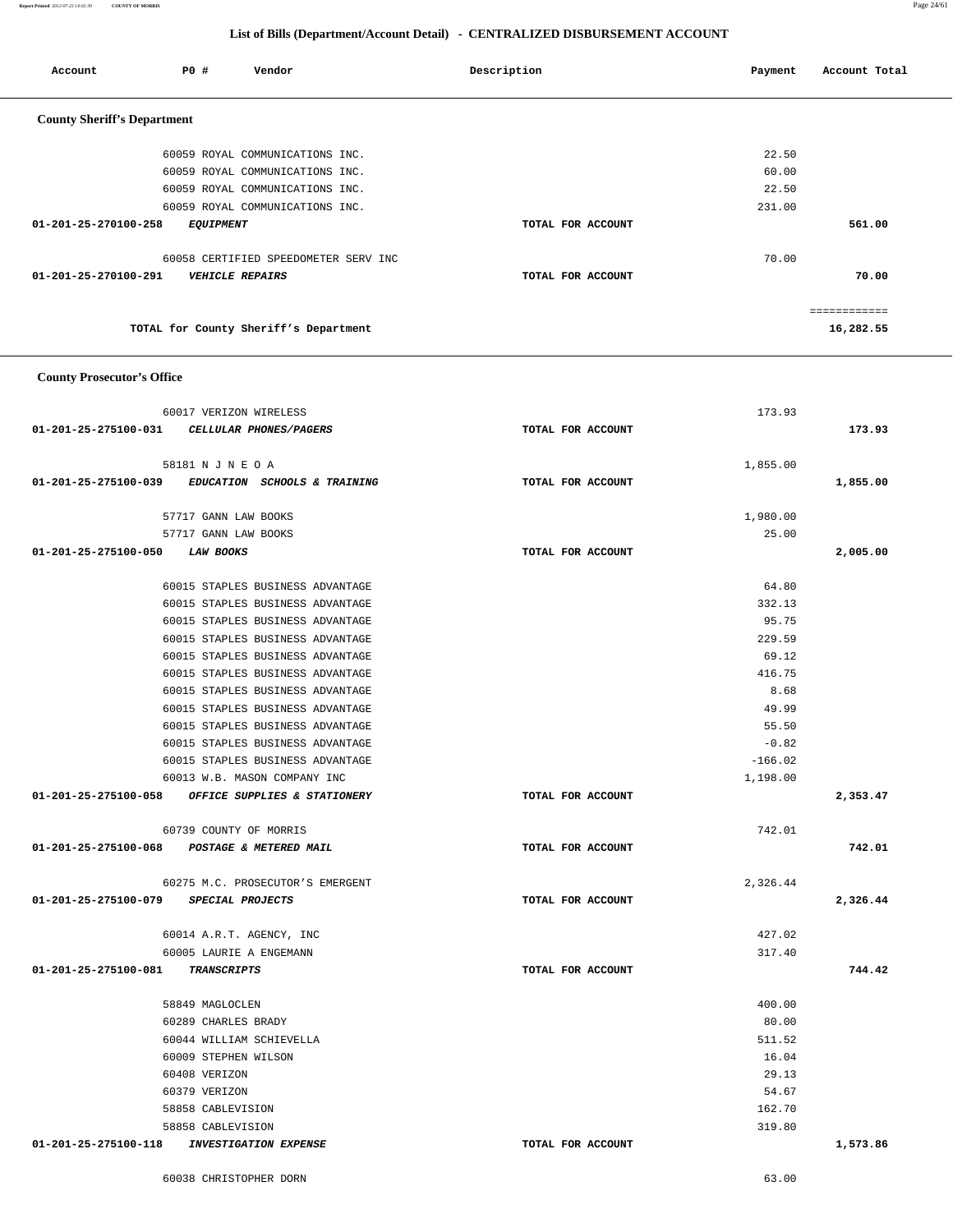60038 CHRISTOPHER DORN 63.00

|                                                      |                   | ============ |
|------------------------------------------------------|-------------------|--------------|
| TOTAL for County Sheriff's Department                |                   | 16,282.55    |
| <b>County Prosecutor's Office</b>                    |                   |              |
| 60017 VERIZON WIRELESS                               | 173.93            |              |
| 01-201-25-275100-031<br>CELLULAR PHONES/PAGERS       | TOTAL FOR ACCOUNT | 173.93       |
| 58181 N J N E O A                                    | 1,855.00          |              |
| 01-201-25-275100-039<br>EDUCATION SCHOOLS & TRAINING | TOTAL FOR ACCOUNT | 1,855.00     |
| 57717 GANN LAW BOOKS                                 | 1,980.00          |              |
| 57717 GANN LAW BOOKS                                 | 25.00             |              |
| 01-201-25-275100-050<br><b>LAW BOOKS</b>             | TOTAL FOR ACCOUNT | 2,005.00     |
| 60015 STAPLES BUSINESS ADVANTAGE                     | 64.80             |              |
| 60015 STAPLES BUSINESS ADVANTAGE                     | 332.13            |              |
| 60015 STAPLES BUSINESS ADVANTAGE                     | 95.75             |              |
| 60015 STAPLES BUSINESS ADVANTAGE                     | 229.59            |              |
| 60015 STAPLES BUSINESS ADVANTAGE                     | 69.12             |              |
| 60015 STAPLES BUSINESS ADVANTAGE                     | 416.75            |              |
| 60015 STAPLES BUSINESS ADVANTAGE                     | 8.68              |              |
| 60015 STAPLES BUSINESS ADVANTAGE                     | 49.99             |              |
| 60015 STAPLES BUSINESS ADVANTAGE                     | 55.50             |              |
| 60015 STAPLES BUSINESS ADVANTAGE                     | $-0.82$           |              |
| 60015 STAPLES BUSINESS ADVANTAGE                     | $-166.02$         |              |
| 60013 W.B. MASON COMPANY INC                         | 1,198.00          |              |
| 01-201-25-275100-058<br>OFFICE SUPPLIES & STATIONERY | TOTAL FOR ACCOUNT | 2,353.47     |
| 60739 COUNTY OF MORRIS                               | 742.01            |              |
| 01-201-25-275100-068 POSTAGE & METERED MAIL          | TOTAL FOR ACCOUNT | 742.01       |
| 60275 M.C. PROSECUTOR'S EMERGENT                     | 2,326.44          |              |
| 01-201-25-275100-079<br>SPECIAL PROJECTS             | TOTAL FOR ACCOUNT | 2,326.44     |
| 60014 A.R.T. AGENCY, INC                             | 427.02            |              |
| 60005 LAURIE A ENGEMANN                              | 317.40            |              |
| 01-201-25-275100-081<br>TRANSCRIPTS                  | TOTAL FOR ACCOUNT | 744.42       |
| 58849 MAGLOCLEN                                      | 400.00            |              |
| 60289 CHARLES BRADY                                  | 80.00             |              |
| 60044 WILLIAM SCHIEVELLA                             | 511.52            |              |
| 60009 STEPHEN WILSON                                 | 16.04             |              |
| 60408 VERIZON                                        | 29.13             |              |
| 60379 VERIZON                                        | 54.67             |              |
| 58858 CABLEVISION                                    | 162.70            |              |
| 58858 CABLEVISION                                    | 319.80            |              |
| 01-201-25-275100-118<br><b>INVESTIGATION EXPENSE</b> | TOTAL FOR ACCOUNT | 1,573.86     |
|                                                      |                   |              |

| Account                            | <b>PO #</b>            | Vendor                               | Description |                   | Payment | Account Total |  |
|------------------------------------|------------------------|--------------------------------------|-------------|-------------------|---------|---------------|--|
|                                    |                        |                                      |             |                   |         |               |  |
| <b>County Sheriff's Department</b> |                        |                                      |             |                   |         |               |  |
|                                    |                        |                                      |             |                   |         |               |  |
|                                    |                        | 60059 ROYAL COMMUNICATIONS INC.      |             |                   | 22.50   |               |  |
|                                    |                        | 60059 ROYAL COMMUNICATIONS INC.      |             |                   | 60.00   |               |  |
|                                    |                        | 60059 ROYAL COMMUNICATIONS INC.      |             |                   | 22.50   |               |  |
|                                    |                        | 60059 ROYAL COMMUNICATIONS INC.      |             |                   | 231.00  |               |  |
| 01-201-25-270100-258               | <i>EQUIPMENT</i>       |                                      |             | TOTAL FOR ACCOUNT |         | 561.00        |  |
|                                    |                        |                                      |             |                   |         |               |  |
|                                    |                        | 60058 CERTIFIED SPEEDOMETER SERV INC |             |                   | 70.00   |               |  |
| 01-201-25-270100-291               | <b>VEHICLE REPAIRS</b> |                                      |             | TOTAL FOR ACCOUNT |         | 70.00         |  |
|                                    |                        |                                      |             |                   |         |               |  |

 **List of Bills (Department/Account Detail) - CENTRALIZED DISBURSEMENT ACCOUNT**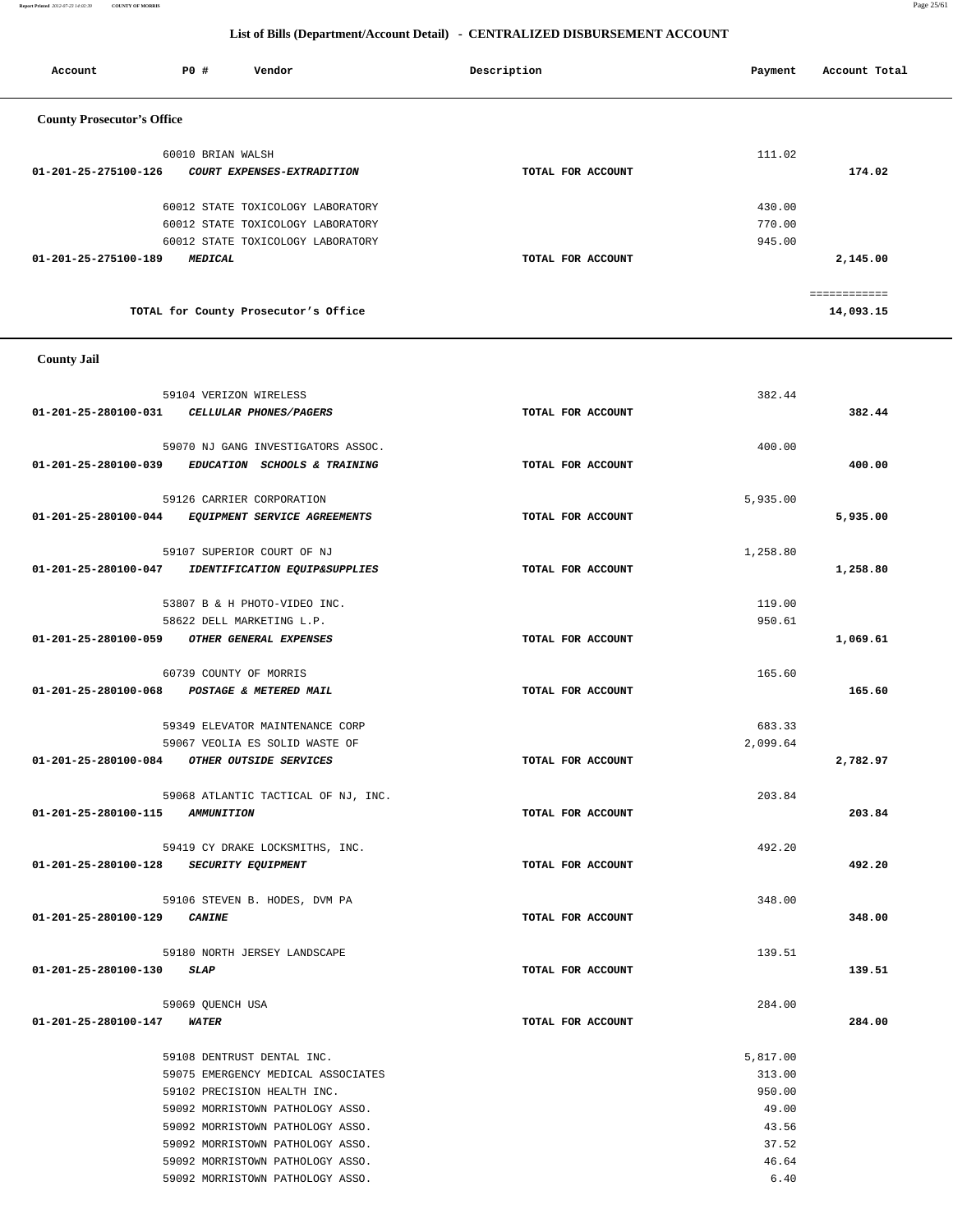**Report Printed** *2012-07-23 14:02:39* **COUNTY OF MORRIS** Page 25/61

#### **List of Bills (Department/Account Detail) - CENTRALIZED DISBURSEMENT ACCOUNT**

| Account                           | PO#               | Vendor                               | Description       | Payment | Account Total |
|-----------------------------------|-------------------|--------------------------------------|-------------------|---------|---------------|
| <b>County Prosecutor's Office</b> |                   |                                      |                   |         |               |
|                                   | 60010 BRIAN WALSH |                                      |                   | 111.02  |               |
| 01-201-25-275100-126              |                   | COURT EXPENSES-EXTRADITION           | TOTAL FOR ACCOUNT |         | 174.02        |
|                                   |                   | 60012 STATE TOXICOLOGY LABORATORY    |                   | 430.00  |               |
|                                   |                   | 60012 STATE TOXICOLOGY LABORATORY    |                   | 770.00  |               |
|                                   |                   | 60012 STATE TOXICOLOGY LABORATORY    |                   | 945.00  |               |
| 01-201-25-275100-189              | <b>MEDICAL</b>    |                                      | TOTAL FOR ACCOUNT |         | 2,145.00      |
|                                   |                   |                                      |                   |         |               |
|                                   |                   |                                      |                   |         |               |
|                                   |                   | TOTAL for County Prosecutor's Office |                   |         | 14,093.15     |

 **County Jail** 

|                                         | 59104 VERIZON WIRELESS                             |                   | 382.44   |          |
|-----------------------------------------|----------------------------------------------------|-------------------|----------|----------|
|                                         | 01-201-25-280100-031 CELLULAR PHONES/PAGERS        | TOTAL FOR ACCOUNT |          | 382.44   |
|                                         |                                                    |                   |          |          |
|                                         | 59070 NJ GANG INVESTIGATORS ASSOC.                 |                   | 400.00   |          |
|                                         | 01-201-25-280100-039 EDUCATION SCHOOLS & TRAINING  | TOTAL FOR ACCOUNT |          | 400.00   |
|                                         | 59126 CARRIER CORPORATION                          |                   | 5,935.00 |          |
|                                         | 01-201-25-280100-044 EQUIPMENT SERVICE AGREEMENTS  | TOTAL FOR ACCOUNT |          | 5,935.00 |
|                                         | 59107 SUPERIOR COURT OF NJ                         |                   | 1,258.80 |          |
|                                         | 01-201-25-280100-047 IDENTIFICATION EQUIP&SUPPLIES | TOTAL FOR ACCOUNT |          | 1,258.80 |
|                                         |                                                    |                   |          |          |
|                                         | 53807 B & H PHOTO-VIDEO INC.                       |                   | 119.00   |          |
|                                         | 58622 DELL MARKETING L.P.                          |                   | 950.61   |          |
|                                         | 01-201-25-280100-059 OTHER GENERAL EXPENSES        | TOTAL FOR ACCOUNT |          | 1,069.61 |
|                                         | 60739 COUNTY OF MORRIS                             |                   | 165.60   |          |
|                                         | 01-201-25-280100-068 POSTAGE & METERED MAIL        | TOTAL FOR ACCOUNT |          | 165.60   |
|                                         | 59349 ELEVATOR MAINTENANCE CORP                    |                   | 683.33   |          |
|                                         | 59067 VEOLIA ES SOLID WASTE OF                     |                   | 2,099.64 |          |
|                                         | 01-201-25-280100-084 OTHER OUTSIDE SERVICES        | TOTAL FOR ACCOUNT |          | 2,782.97 |
|                                         |                                                    |                   |          |          |
|                                         | 59068 ATLANTIC TACTICAL OF NJ, INC.                |                   | 203.84   |          |
| 01-201-25-280100-115 AMMUNITION         |                                                    | TOTAL FOR ACCOUNT |          | 203.84   |
|                                         |                                                    |                   | 492.20   |          |
|                                         | 59419 CY DRAKE LOCKSMITHS, INC.                    |                   |          |          |
| 01-201-25-280100-128 SECURITY EQUIPMENT |                                                    | TOTAL FOR ACCOUNT |          | 492.20   |
|                                         | 59106 STEVEN B. HODES, DVM PA                      |                   | 348.00   |          |
| 01-201-25-280100-129 CANINE             |                                                    | TOTAL FOR ACCOUNT |          | 348.00   |
|                                         | 59180 NORTH JERSEY LANDSCAPE                       |                   | 139.51   |          |
| 01-201-25-280100-130                    | <b>SLAP</b>                                        | TOTAL FOR ACCOUNT |          | 139.51   |
|                                         |                                                    |                   |          |          |
|                                         | 59069 QUENCH USA                                   |                   | 284.00   |          |
| 01-201-25-280100-147 WATER              |                                                    | TOTAL FOR ACCOUNT |          | 284.00   |
|                                         | 59108 DENTRUST DENTAL INC.                         |                   | 5,817.00 |          |
|                                         | 59075 EMERGENCY MEDICAL ASSOCIATES                 |                   | 313.00   |          |
|                                         | 59102 PRECISION HEALTH INC.                        |                   | 950.00   |          |
|                                         | 59092 MORRISTOWN PATHOLOGY ASSO.                   |                   | 49.00    |          |
|                                         | 59092 MORRISTOWN PATHOLOGY ASSO.                   |                   | 43.56    |          |
|                                         | 59092 MORRISTOWN PATHOLOGY ASSO.                   |                   | 37.52    |          |
|                                         | 59092 MORRISTOWN PATHOLOGY ASSO.                   |                   | 46.64    |          |
|                                         | 59092 MORRISTOWN PATHOLOGY ASSO.                   |                   | 6.40     |          |
|                                         |                                                    |                   |          |          |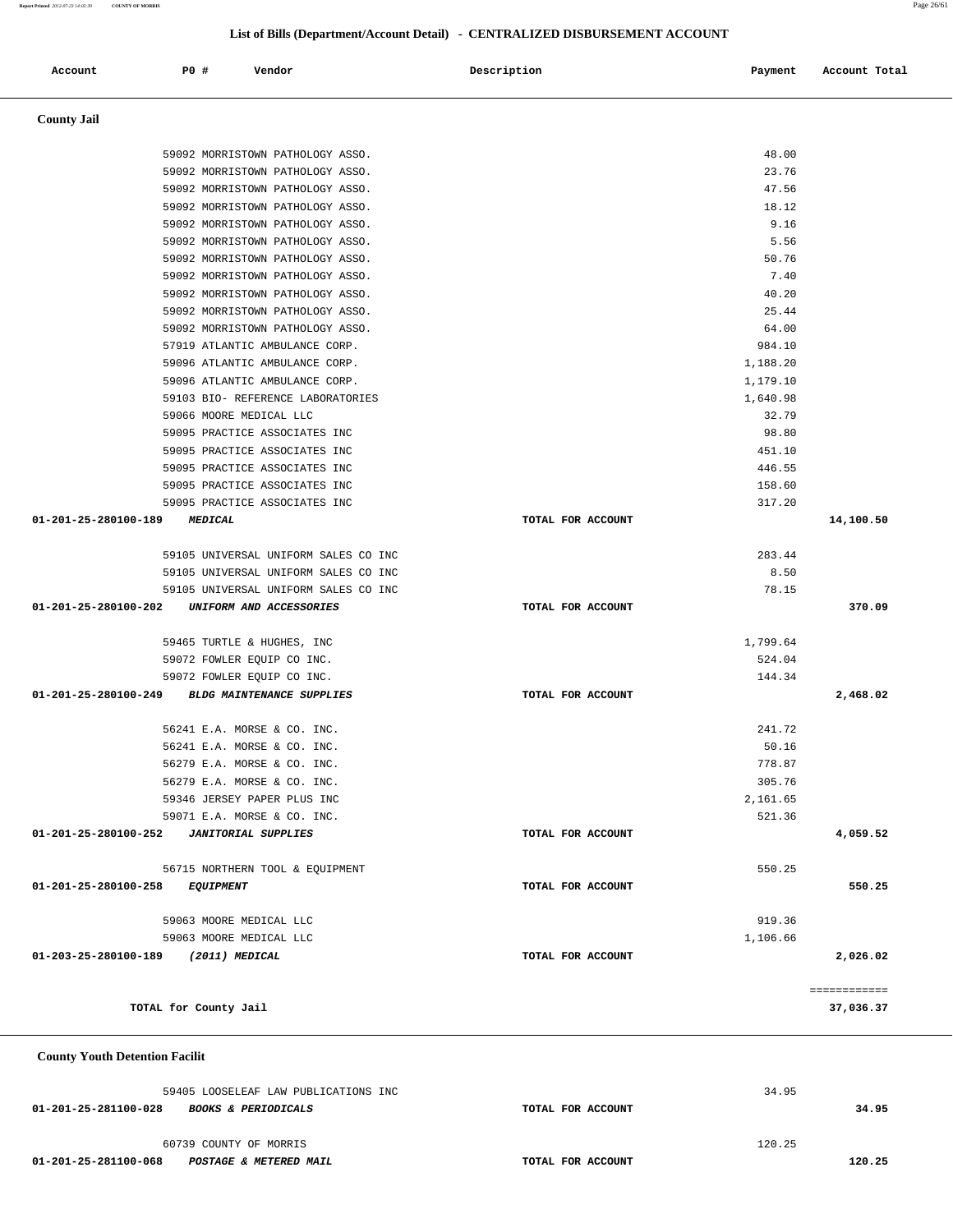| <b>County Jail</b>                                 |                   |          |              |
|----------------------------------------------------|-------------------|----------|--------------|
| 59092 MORRISTOWN PATHOLOGY ASSO.                   |                   | 48.00    |              |
| 59092 MORRISTOWN PATHOLOGY ASSO.                   |                   | 23.76    |              |
| 59092 MORRISTOWN PATHOLOGY ASSO.                   |                   | 47.56    |              |
| 59092 MORRISTOWN PATHOLOGY ASSO.                   |                   | 18.12    |              |
| 59092 MORRISTOWN PATHOLOGY ASSO.                   |                   | 9.16     |              |
| 59092 MORRISTOWN PATHOLOGY ASSO.                   |                   | 5.56     |              |
| 59092 MORRISTOWN PATHOLOGY ASSO.                   |                   | 50.76    |              |
| 59092 MORRISTOWN PATHOLOGY ASSO.                   |                   | 7.40     |              |
| 59092 MORRISTOWN PATHOLOGY ASSO.                   |                   | 40.20    |              |
| 59092 MORRISTOWN PATHOLOGY ASSO.                   |                   | 25.44    |              |
| 59092 MORRISTOWN PATHOLOGY ASSO.                   |                   | 64.00    |              |
| 57919 ATLANTIC AMBULANCE CORP.                     |                   | 984.10   |              |
| 59096 ATLANTIC AMBULANCE CORP.                     |                   | 1,188.20 |              |
| 59096 ATLANTIC AMBULANCE CORP.                     |                   | 1,179.10 |              |
| 59103 BIO- REFERENCE LABORATORIES                  |                   | 1,640.98 |              |
| 59066 MOORE MEDICAL LLC                            |                   | 32.79    |              |
| 59095 PRACTICE ASSOCIATES INC                      |                   | 98.80    |              |
| 59095 PRACTICE ASSOCIATES INC                      |                   | 451.10   |              |
| 59095 PRACTICE ASSOCIATES INC                      |                   | 446.55   |              |
| 59095 PRACTICE ASSOCIATES INC                      |                   | 158.60   |              |
| 59095 PRACTICE ASSOCIATES INC                      |                   | 317.20   |              |
| 01-201-25-280100-189<br><b>MEDICAL</b>             | TOTAL FOR ACCOUNT |          | 14,100.50    |
| 59105 UNIVERSAL UNIFORM SALES CO INC               |                   | 283.44   |              |
| 59105 UNIVERSAL UNIFORM SALES CO INC               |                   | 8.50     |              |
| 59105 UNIVERSAL UNIFORM SALES CO INC               |                   | 78.15    |              |
| 01-201-25-280100-202<br>UNIFORM AND ACCESSORIES    | TOTAL FOR ACCOUNT |          | 370.09       |
| 59465 TURTLE & HUGHES, INC                         |                   | 1,799.64 |              |
| 59072 FOWLER EQUIP CO INC.                         |                   | 524.04   |              |
| 59072 FOWLER EQUIP CO INC.                         |                   | 144.34   |              |
| 01-201-25-280100-249 BLDG MAINTENANCE SUPPLIES     | TOTAL FOR ACCOUNT |          | 2,468.02     |
| 56241 E.A. MORSE & CO. INC.                        |                   | 241.72   |              |
| 56241 E.A. MORSE & CO. INC.                        |                   | 50.16    |              |
| 56279 E.A. MORSE & CO. INC.                        |                   | 778.87   |              |
| 56279 E.A. MORSE & CO. INC.                        |                   | 305.76   |              |
| 59346 JERSEY PAPER PLUS INC                        |                   | 2,161.65 |              |
| 59071 E.A. MORSE & CO. INC.                        |                   | 521.36   |              |
| 01-201-25-280100-252<br><b>JANITORIAL SUPPLIES</b> | TOTAL FOR ACCOUNT |          | 4,059.52     |
| 56715 NORTHERN TOOL & EQUIPMENT                    |                   | 550.25   |              |
| 01-201-25-280100-258<br><b>EQUIPMENT</b>           | TOTAL FOR ACCOUNT |          | 550.25       |
| 59063 MOORE MEDICAL LLC                            |                   | 919.36   |              |
| 59063 MOORE MEDICAL LLC                            |                   | 1,106.66 |              |
| 01-203-25-280100-189<br>(2011) MEDICAL             | TOTAL FOR ACCOUNT |          | 2,026.02     |
|                                                    |                   |          | ============ |
|                                                    |                   |          |              |

59405 LOOSELEAF LAW PUBLICATIONS INC 34.95  **01-201-25-281100-028 BOOKS & PERIODICALS TOTAL FOR ACCOUNT 34.95**

 60739 COUNTY OF MORRIS 120.25  **01-201-25-281100-068 POSTAGE & METERED MAIL TOTAL FOR ACCOUNT 120.25**

Account **PO #** Vendor **Payment Payment Payment** Payment Paccount Total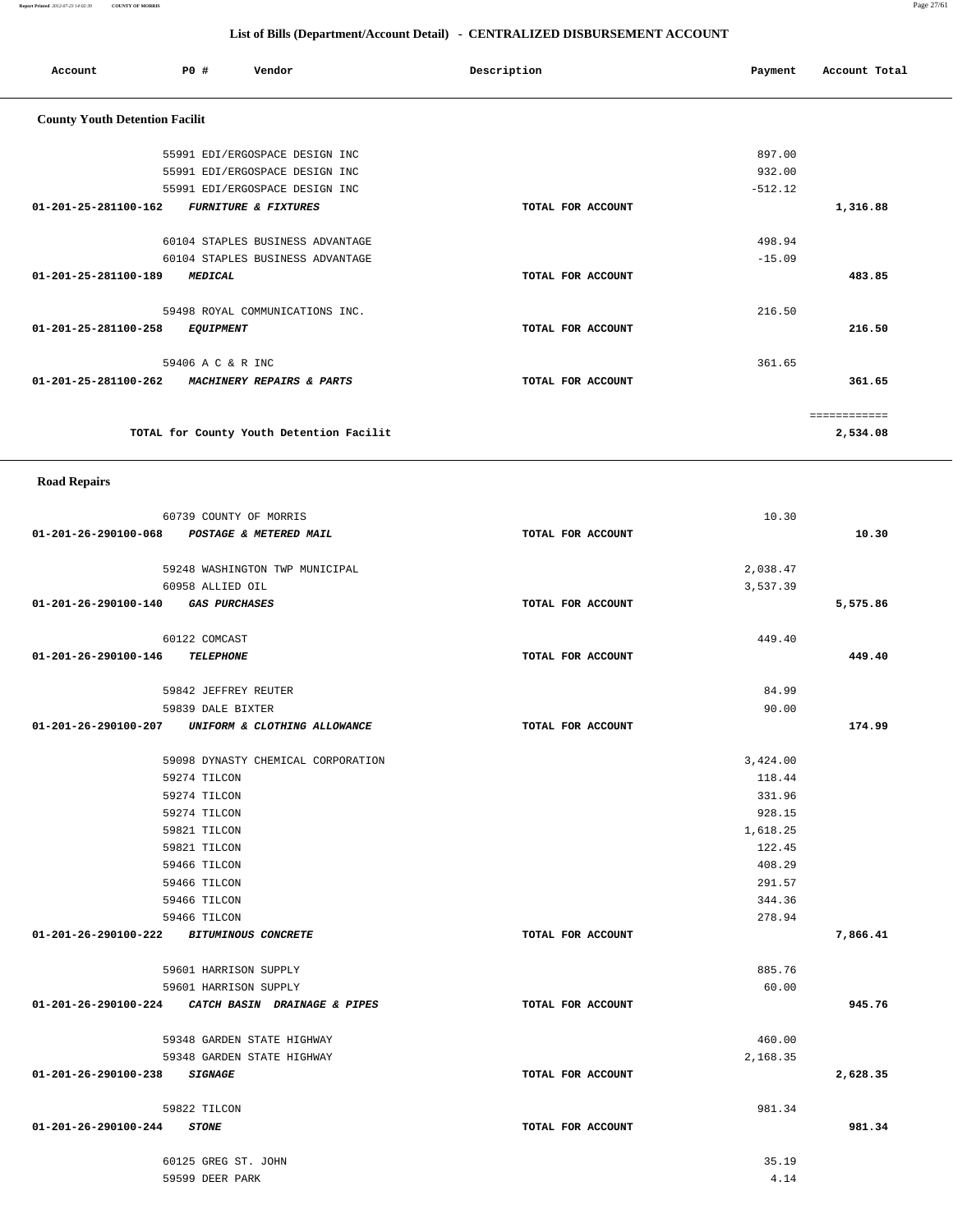**Report Printed** *2012-07-23 14:02:39* **COUNTY OF MORRIS** Page 27/61

#### **List of Bills (Department/Account Detail) - CENTRALIZED DISBURSEMENT ACCOUNT**

| Account                               | P0#                    | Vendor                                   | Description       | Payment   | Account Total |
|---------------------------------------|------------------------|------------------------------------------|-------------------|-----------|---------------|
| <b>County Youth Detention Facilit</b> |                        |                                          |                   |           |               |
|                                       |                        | 55991 EDI/ERGOSPACE DESIGN INC           |                   | 897.00    |               |
|                                       |                        | 55991 EDI/ERGOSPACE DESIGN INC           |                   | 932.00    |               |
|                                       |                        | 55991 EDI/ERGOSPACE DESIGN INC           |                   | $-512.12$ |               |
| 01-201-25-281100-162                  |                        | <b>FURNITURE &amp; FIXTURES</b>          | TOTAL FOR ACCOUNT |           | 1,316.88      |
|                                       |                        |                                          |                   |           |               |
|                                       |                        | 60104 STAPLES BUSINESS ADVANTAGE         |                   | 498.94    |               |
|                                       |                        | 60104 STAPLES BUSINESS ADVANTAGE         |                   | $-15.09$  | 483.85        |
| 01-201-25-281100-189                  | <b>MEDICAL</b>         |                                          | TOTAL FOR ACCOUNT |           |               |
|                                       |                        | 59498 ROYAL COMMUNICATIONS INC.          |                   | 216.50    |               |
| 01-201-25-281100-258                  | <b>EQUIPMENT</b>       |                                          | TOTAL FOR ACCOUNT |           | 216.50        |
|                                       | 59406 A C & R INC      |                                          |                   | 361.65    |               |
| 01-201-25-281100-262                  |                        | MACHINERY REPAIRS & PARTS                | TOTAL FOR ACCOUNT |           | 361.65        |
|                                       |                        |                                          |                   |           |               |
|                                       |                        |                                          |                   |           | ============  |
|                                       |                        | TOTAL for County Youth Detention Facilit |                   |           | 2,534.08      |
| <b>Road Repairs</b>                   |                        |                                          |                   |           |               |
|                                       | 60739 COUNTY OF MORRIS |                                          |                   | 10.30     |               |
| 01-201-26-290100-068                  |                        | POSTAGE & METERED MAIL                   | TOTAL FOR ACCOUNT |           | 10.30         |

|                                    | 59248 WASHINGTON TWP MUNICIPAL                    |                   | 2,038.47 |          |
|------------------------------------|---------------------------------------------------|-------------------|----------|----------|
|                                    | 60958 ALLIED OIL                                  |                   | 3,537.39 |          |
| 01-201-26-290100-140 GAS PURCHASES |                                                   | TOTAL FOR ACCOUNT |          | 5,575.86 |
|                                    | 60122 COMCAST                                     |                   | 449.40   |          |
| 01-201-26-290100-146 TELEPHONE     |                                                   | TOTAL FOR ACCOUNT |          | 449.40   |
|                                    | 59842 JEFFREY REUTER                              |                   | 84.99    |          |
|                                    | 59839 DALE BIXTER                                 |                   | 90.00    |          |
|                                    | 01-201-26-290100-207 UNIFORM & CLOTHING ALLOWANCE | TOTAL FOR ACCOUNT |          | 174.99   |
|                                    | 59098 DYNASTY CHEMICAL CORPORATION                |                   | 3,424.00 |          |
|                                    | 59274 TILCON                                      |                   | 118.44   |          |
|                                    | 59274 TILCON                                      |                   | 331.96   |          |
|                                    | 59274 TILCON                                      |                   | 928.15   |          |
|                                    | 59821 TILCON                                      |                   | 1,618.25 |          |
|                                    | 59821 TILCON                                      |                   | 122.45   |          |
|                                    | 59466 TILCON                                      |                   | 408.29   |          |
|                                    | 59466 TILCON                                      |                   | 291.57   |          |
|                                    | 59466 TILCON                                      |                   | 344.36   |          |
|                                    | 59466 TILCON                                      |                   | 278.94   |          |
|                                    | 01-201-26-290100-222 BITUMINOUS CONCRETE          | TOTAL FOR ACCOUNT |          | 7,866.41 |
|                                    | 59601 HARRISON SUPPLY                             |                   | 885.76   |          |
|                                    | 59601 HARRISON SUPPLY                             |                   | 60.00    |          |
|                                    | 01-201-26-290100-224 CATCH BASIN DRAINAGE & PIPES | TOTAL FOR ACCOUNT |          | 945.76   |
|                                    | 59348 GARDEN STATE HIGHWAY                        |                   | 460.00   |          |
|                                    | 59348 GARDEN STATE HIGHWAY                        |                   | 2,168.35 |          |
| 01-201-26-290100-238 SIGNAGE       |                                                   | TOTAL FOR ACCOUNT |          | 2,628.35 |
|                                    | 59822 TILCON                                      |                   | 981.34   |          |
| 01-201-26-290100-244 STONE         |                                                   | TOTAL FOR ACCOUNT |          | 981.34   |
|                                    | 60125 GREG ST. JOHN                               |                   | 35.19    |          |
|                                    | 59599 DEER PARK                                   |                   | 4.14     |          |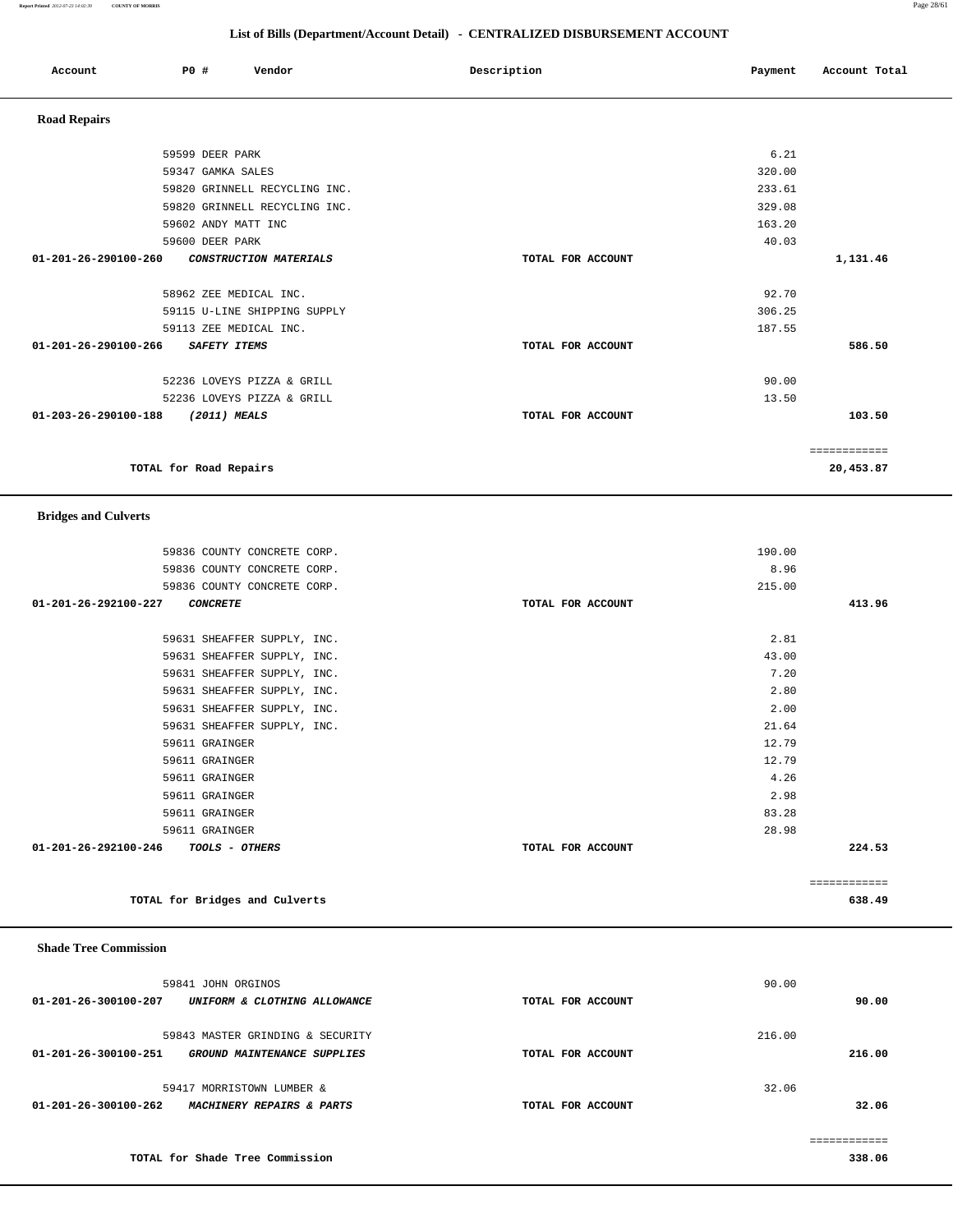**Report Printed** *2012-07-23 14:02:39* **COUNTY OF MORRIS** Page 28/61

#### **List of Bills (Department/Account Detail) - CENTRALIZED DISBURSEMENT ACCOUNT**

| Account              | <b>PO #</b>            |                     | Vendor                        | Description |                   | Payment | Account Total             |
|----------------------|------------------------|---------------------|-------------------------------|-------------|-------------------|---------|---------------------------|
| <b>Road Repairs</b>  |                        |                     |                               |             |                   |         |                           |
|                      |                        | 59599 DEER PARK     |                               |             |                   | 6.21    |                           |
|                      |                        | 59347 GAMKA SALES   |                               |             |                   | 320.00  |                           |
|                      |                        |                     | 59820 GRINNELL RECYCLING INC. |             |                   | 233.61  |                           |
|                      |                        |                     | 59820 GRINNELL RECYCLING INC. |             |                   | 329.08  |                           |
|                      |                        | 59602 ANDY MATT INC |                               |             |                   | 163.20  |                           |
|                      |                        | 59600 DEER PARK     |                               |             |                   | 40.03   |                           |
| 01-201-26-290100-260 |                        |                     | CONSTRUCTION MATERIALS        |             | TOTAL FOR ACCOUNT |         | 1,131.46                  |
|                      |                        |                     | 58962 ZEE MEDICAL INC.        |             |                   | 92.70   |                           |
|                      |                        |                     | 59115 U-LINE SHIPPING SUPPLY  |             |                   | 306.25  |                           |
|                      |                        |                     | 59113 ZEE MEDICAL INC.        |             |                   | 187.55  |                           |
| 01-201-26-290100-266 |                        | SAFETY ITEMS        |                               |             | TOTAL FOR ACCOUNT |         | 586.50                    |
|                      |                        |                     | 52236 LOVEYS PIZZA & GRILL    |             |                   | 90.00   |                           |
|                      |                        |                     | 52236 LOVEYS PIZZA & GRILL    |             |                   | 13.50   |                           |
| 01-203-26-290100-188 |                        | (2011) MEALS        |                               |             | TOTAL FOR ACCOUNT |         | 103.50                    |
|                      | TOTAL for Road Repairs |                     |                               |             |                   |         | ============<br>20,453.87 |
|                      |                        |                     |                               |             |                   |         |                           |

#### **Bridges and Culverts**

| 59836 COUNTY CONCRETE CORP.             | 190.00            |              |
|-----------------------------------------|-------------------|--------------|
| 59836 COUNTY CONCRETE CORP.             | 8.96              |              |
| 59836 COUNTY CONCRETE CORP.             | 215.00            |              |
| 01-201-26-292100-227<br><b>CONCRETE</b> | TOTAL FOR ACCOUNT | 413.96       |
|                                         |                   |              |
| 59631 SHEAFFER SUPPLY, INC.             | 2.81              |              |
| 59631 SHEAFFER SUPPLY, INC.             | 43.00             |              |
| 59631 SHEAFFER SUPPLY, INC.             | 7.20              |              |
| 59631 SHEAFFER SUPPLY, INC.             | 2.80              |              |
| 59631 SHEAFFER SUPPLY, INC.             | 2.00              |              |
| 59631 SHEAFFER SUPPLY, INC.             | 21.64             |              |
| 59611 GRAINGER                          | 12.79             |              |
| 59611 GRAINGER                          | 12.79             |              |
| 59611 GRAINGER                          | 4.26              |              |
| 59611 GRAINGER                          | 2.98              |              |
| 59611 GRAINGER                          | 83.28             |              |
| 59611 GRAINGER                          | 28.98             |              |
| 01-201-26-292100-246 TOOLS - OTHERS     | TOTAL FOR ACCOUNT | 224.53       |
|                                         |                   |              |
|                                         |                   | ============ |

**TOTAL for Bridges and Culverts 638.49**

#### **Shade Tree Commission**

| 59841 JOHN ORGINOS                                                                      |                   | 90.00            |
|-----------------------------------------------------------------------------------------|-------------------|------------------|
| 01-201-26-300100-207<br>UNIFORM & CLOTHING ALLOWANCE                                    | TOTAL FOR ACCOUNT | 90.00            |
| 59843 MASTER GRINDING & SECURITY<br>01-201-26-300100-251<br>GROUND MAINTENANCE SUPPLIES | TOTAL FOR ACCOUNT | 216.00<br>216.00 |
| 59417 MORRISTOWN LUMBER &<br>01-201-26-300100-262<br>MACHINERY REPAIRS & PARTS          | TOTAL FOR ACCOUNT | 32.06<br>32.06   |
|                                                                                         |                   |                  |

**TOTAL for Shade Tree Commission 338.06**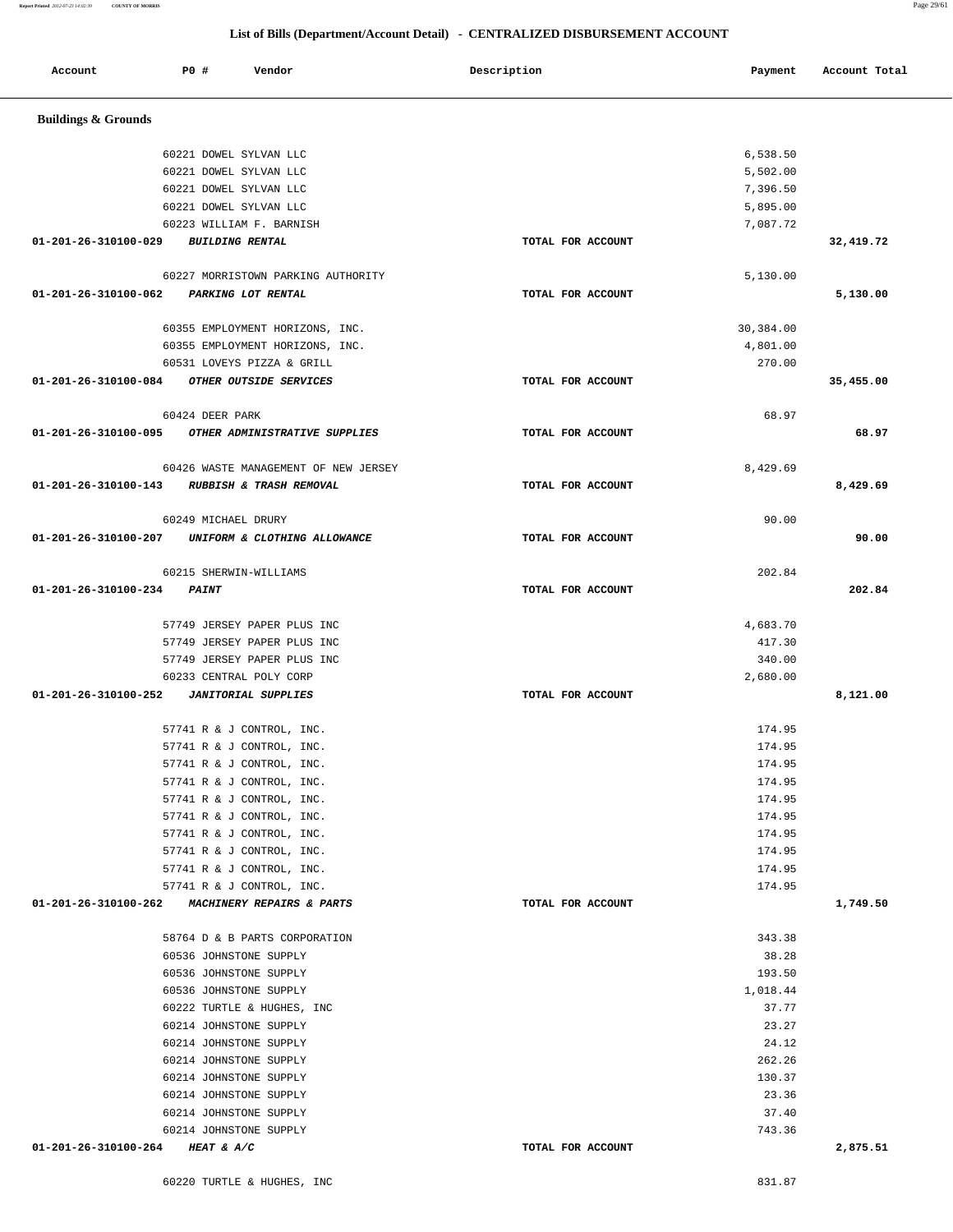| 01-201-26-310100-029                         | <b>BUILDING RENTAL</b>                                  | TOTAL FOR ACCOUNT |                  | 32,419.72 |
|----------------------------------------------|---------------------------------------------------------|-------------------|------------------|-----------|
|                                              | 60227 MORRISTOWN PARKING AUTHORITY                      |                   | 5,130.00         |           |
| 01-201-26-310100-062 PARKING LOT RENTAL      |                                                         | TOTAL FOR ACCOUNT |                  | 5,130.00  |
|                                              | 60355 EMPLOYMENT HORIZONS, INC.                         |                   | 30,384.00        |           |
|                                              | 60355 EMPLOYMENT HORIZONS, INC.                         |                   | 4,801.00         |           |
|                                              | 60531 LOVEYS PIZZA & GRILL                              |                   | 270.00           |           |
| 01-201-26-310100-084 OTHER OUTSIDE SERVICES  |                                                         | TOTAL FOR ACCOUNT |                  | 35,455.00 |
|                                              | 60424 DEER PARK                                         |                   | 68.97            |           |
|                                              | 01-201-26-310100-095 OTHER ADMINISTRATIVE SUPPLIES      | TOTAL FOR ACCOUNT |                  | 68.97     |
|                                              | 60426 WASTE MANAGEMENT OF NEW JERSEY                    |                   | 8,429.69         |           |
| 01-201-26-310100-143 RUBBISH & TRASH REMOVAL |                                                         | TOTAL FOR ACCOUNT |                  | 8,429.69  |
|                                              | 60249 MICHAEL DRURY                                     |                   | 90.00            |           |
|                                              | 01-201-26-310100-207 UNIFORM & CLOTHING ALLOWANCE       | TOTAL FOR ACCOUNT |                  | 90.00     |
|                                              | 60215 SHERWIN-WILLIAMS                                  |                   | 202.84           |           |
| 01-201-26-310100-234 PAINT                   |                                                         | TOTAL FOR ACCOUNT |                  | 202.84    |
|                                              | 57749 JERSEY PAPER PLUS INC                             |                   | 4,683.70         |           |
|                                              | 57749 JERSEY PAPER PLUS INC                             |                   | 417.30           |           |
|                                              | 57749 JERSEY PAPER PLUS INC                             |                   | 340.00           |           |
|                                              | 60233 CENTRAL POLY CORP                                 |                   | 2,680.00         |           |
|                                              |                                                         | TOTAL FOR ACCOUNT |                  | 8,121.00  |
|                                              | 57741 R & J CONTROL, INC.                               |                   | 174.95           |           |
|                                              | 57741 R & J CONTROL, INC.                               |                   | 174.95           |           |
|                                              | 57741 R & J CONTROL, INC.                               |                   | 174.95           |           |
|                                              | 57741 R & J CONTROL, INC.                               |                   | 174.95           |           |
|                                              | 57741 R & J CONTROL, INC.                               |                   | 174.95           |           |
|                                              | 57741 R & J CONTROL, INC.                               |                   | 174.95           |           |
|                                              | 57741 R & J CONTROL, INC.                               |                   | 174.95           |           |
|                                              | 57741 R & J CONTROL, INC.                               |                   | 174.95           |           |
|                                              | 57741 R & J CONTROL, INC.<br>57741 R & J CONTROL, INC.  |                   | 174.95<br>174.95 |           |
|                                              | 01-201-26-310100-262 MACHINERY REPAIRS & PARTS          | TOTAL FOR ACCOUNT |                  | 1,749.50  |
|                                              |                                                         |                   |                  |           |
|                                              | 58764 D & B PARTS CORPORATION<br>60536 JOHNSTONE SUPPLY |                   | 343.38           |           |
|                                              | 60536 JOHNSTONE SUPPLY                                  |                   | 38.28<br>193.50  |           |
|                                              | 60536 JOHNSTONE SUPPLY                                  |                   | 1,018.44         |           |
|                                              | 60222 TURTLE & HUGHES, INC                              |                   | 37.77            |           |
|                                              | 60214 JOHNSTONE SUPPLY                                  |                   | 23.27            |           |
|                                              | 60214 JOHNSTONE SUPPLY                                  |                   | 24.12            |           |
|                                              | 60214 JOHNSTONE SUPPLY                                  |                   | 262.26           |           |
|                                              | 60214 JOHNSTONE SUPPLY                                  |                   | 130.37           |           |
|                                              | 60214 JOHNSTONE SUPPLY                                  |                   | 23.36            |           |
|                                              | 60214 JOHNSTONE SUPPLY                                  |                   | 37.40            |           |
|                                              | 60214 JOHNSTONE SUPPLY                                  |                   | 743.36           |           |
| 01-201-26-310100-264                         | HEAT & A/C                                              | TOTAL FOR ACCOUNT |                  | 2,875.51  |

 **Buildings & Grounds** 

Account **PO #** Vendor **Description Payment** Account Total

 60221 DOWEL SYLVAN LLC 6,538.50 60221 DOWEL SYLVAN LLC 5,502.00 60221 DOWEL SYLVAN LLC 7,396.50 60221 DOWEL SYLVAN LLC 5,895.00 60223 WILLIAM F. BARNISH 7,087.72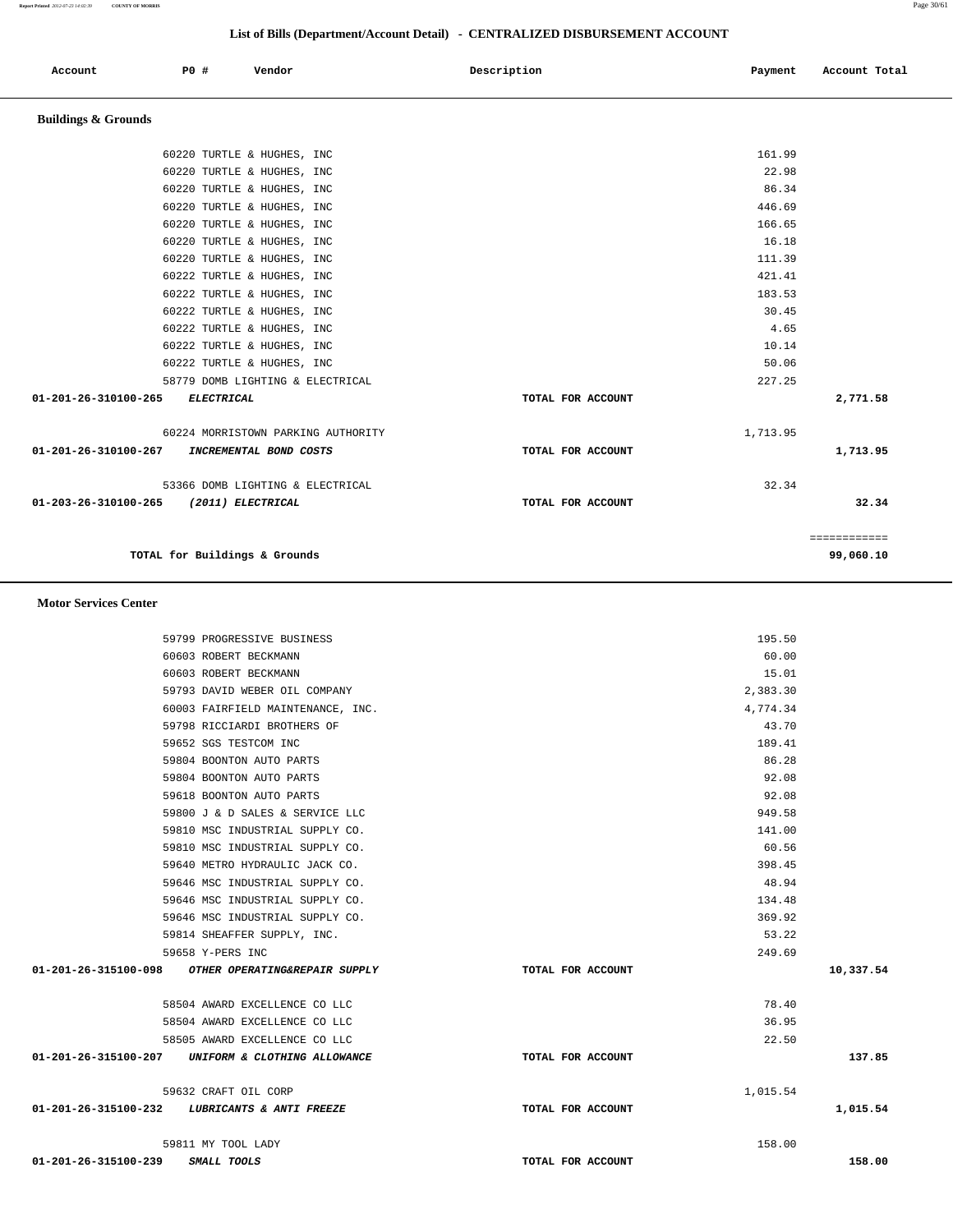Account **PO #** Vendor **Payment Payment Payment** Payment Payment Payment Account Total

 **Buildings & Grounds** 

| TOTAL for Buildings & Grounds                            |                   | ============<br>99,060.10 |
|----------------------------------------------------------|-------------------|---------------------------|
| 01-203-26-310100-265<br>(2011) ELECTRICAL                | TOTAL FOR ACCOUNT | 32.34                     |
| 53366 DOMB LIGHTING & ELECTRICAL                         | 32.34             |                           |
| 01-201-26-310100-267<br>INCREMENTAL BOND COSTS           | TOTAL FOR ACCOUNT | 1,713.95                  |
| 60224 MORRISTOWN PARKING AUTHORITY                       | 1,713.95          |                           |
| 01-201-26-310100-265<br>ELECTRICAL                       | TOTAL FOR ACCOUNT | 2,771.58                  |
| 58779 DOMB LIGHTING & ELECTRICAL                         | 227.25            |                           |
| 60222 TURTLE & HUGHES, INC                               | 50.06             |                           |
| 60222 TURTLE & HUGHES, INC                               | 10.14             |                           |
| 60222 TURTLE & HUGHES, INC                               | 4.65              |                           |
| 60222 TURTLE & HUGHES, INC                               | 30.45             |                           |
| 60222 TURTLE & HUGHES, INC                               | 183.53            |                           |
| 60222 TURTLE & HUGHES, INC                               | 421.41            |                           |
| 60220 TURTLE & HUGHES, INC                               | 111.39            |                           |
| 60220 TURTLE & HUGHES, INC<br>60220 TURTLE & HUGHES, INC | 16.18             |                           |
| 60220 TURTLE & HUGHES, INC                               | 166.65            |                           |
| 60220 TURTLE & HUGHES, INC                               | 86.34<br>446.69   |                           |
| 60220 TURTLE & HUGHES, INC                               | 22.98             |                           |
| 60220 TURTLE & HUGHES, INC                               | 161.99            |                           |
|                                                          |                   |                           |

 **Motor Services Center** 

|           | 195.50   |                   | 59799 PROGRESSIVE BUSINESS                         |                      |
|-----------|----------|-------------------|----------------------------------------------------|----------------------|
|           | 60.00    |                   | 60603 ROBERT BECKMANN                              |                      |
|           | 15.01    |                   | 60603 ROBERT BECKMANN                              |                      |
|           | 2,383.30 |                   | 59793 DAVID WEBER OIL COMPANY                      |                      |
|           | 4,774.34 |                   | 60003 FAIRFIELD MAINTENANCE, INC.                  |                      |
|           | 43.70    |                   | 59798 RICCIARDI BROTHERS OF                        |                      |
|           | 189.41   |                   | 59652 SGS TESTCOM INC                              |                      |
|           | 86.28    |                   | 59804 BOONTON AUTO PARTS                           |                      |
|           | 92.08    |                   | 59804 BOONTON AUTO PARTS                           |                      |
|           | 92.08    |                   | 59618 BOONTON AUTO PARTS                           |                      |
|           | 949.58   |                   | 59800 J & D SALES & SERVICE LLC                    |                      |
|           | 141.00   |                   | 59810 MSC INDUSTRIAL SUPPLY CO.                    |                      |
|           | 60.56    |                   | 59810 MSC INDUSTRIAL SUPPLY CO.                    |                      |
|           | 398.45   |                   | 59640 METRO HYDRAULIC JACK CO.                     |                      |
|           | 48.94    |                   | 59646 MSC INDUSTRIAL SUPPLY CO.                    |                      |
|           | 134.48   |                   | 59646 MSC INDUSTRIAL SUPPLY CO.                    |                      |
|           | 369.92   |                   | 59646 MSC INDUSTRIAL SUPPLY CO.                    |                      |
|           | 53.22    |                   | 59814 SHEAFFER SUPPLY, INC.                        |                      |
|           | 249.69   |                   | 59658 Y-PERS INC                                   |                      |
| 10,337.54 |          | TOTAL FOR ACCOUNT | 01-201-26-315100-098 OTHER OPERATING&REPAIR SUPPLY |                      |
|           | 78.40    |                   | 58504 AWARD EXCELLENCE CO LLC                      |                      |
|           | 36.95    |                   | 58504 AWARD EXCELLENCE CO LLC                      |                      |
|           | 22.50    |                   | 58505 AWARD EXCELLENCE CO LLC                      |                      |
| 137.85    |          | TOTAL FOR ACCOUNT | 01-201-26-315100-207 UNIFORM & CLOTHING ALLOWANCE  |                      |
|           | 1,015.54 |                   | 59632 CRAFT OIL CORP                               |                      |
| 1,015.54  |          | TOTAL FOR ACCOUNT | 01-201-26-315100-232 LUBRICANTS & ANTI FREEZE      |                      |
|           | 158.00   |                   | 59811 MY TOOL LADY                                 |                      |
| 158.00    |          | TOTAL FOR ACCOUNT | SMALL TOOLS                                        | 01-201-26-315100-239 |

### **List of Bills (Department/Account Detail) - CENTRALIZED DISBURSEMENT ACCOUNT**

**Report Printed** *2012-07-23 14:02:39* **COUNTY OF MORRIS** Page 30/61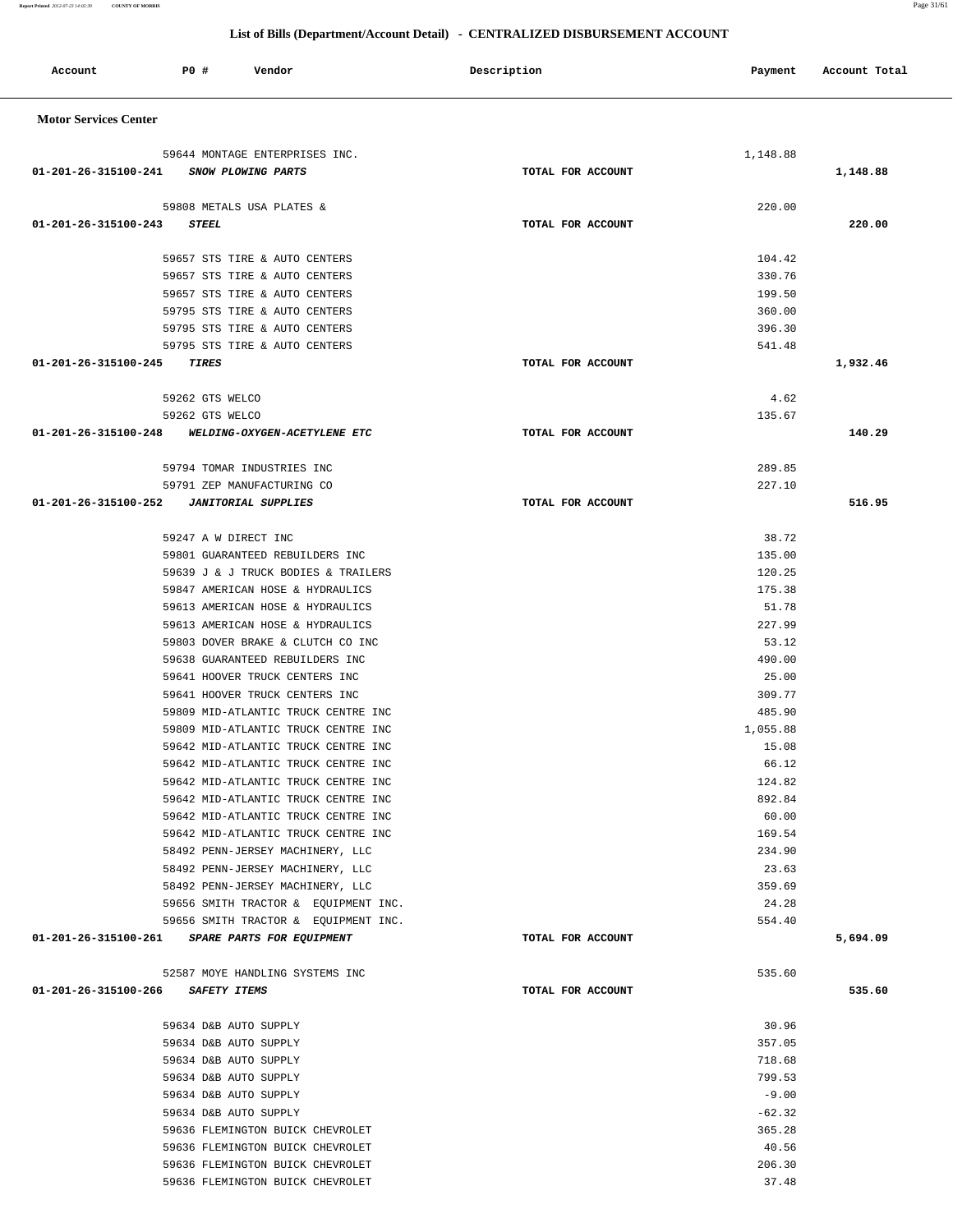| 59808 METALS USA PLATES &                         | 220.00            |          |
|---------------------------------------------------|-------------------|----------|
| 01-201-26-315100-243 STEEL                        | TOTAL FOR ACCOUNT | 220.00   |
| 59657 STS TIRE & AUTO CENTERS                     | 104.42            |          |
| 59657 STS TIRE & AUTO CENTERS                     | 330.76            |          |
| 59657 STS TIRE & AUTO CENTERS                     | 199.50            |          |
| 59795 STS TIRE & AUTO CENTERS                     | 360.00            |          |
| 59795 STS TIRE & AUTO CENTERS                     | 396.30            |          |
| 59795 STS TIRE & AUTO CENTERS                     | 541.48            |          |
| 01-201-26-315100-245 TIRES                        | TOTAL FOR ACCOUNT | 1,932.46 |
|                                                   |                   |          |
| 59262 GTS WELCO                                   | 4.62              |          |
| 59262 GTS WELCO                                   | 135.67            |          |
| 01-201-26-315100-248 WELDING-OXYGEN-ACETYLENE ETC | TOTAL FOR ACCOUNT | 140.29   |
|                                                   |                   |          |
| 59794 TOMAR INDUSTRIES INC                        | 289.85            |          |
| 59791 ZEP MANUFACTURING CO                        | 227.10            |          |
|                                                   | TOTAL FOR ACCOUNT | 516.95   |
|                                                   |                   |          |
| 59247 A W DIRECT INC                              | 38.72             |          |
| 59801 GUARANTEED REBUILDERS INC                   | 135.00            |          |
| 59639 J & J TRUCK BODIES & TRAILERS               | 120.25            |          |
| 59847 AMERICAN HOSE & HYDRAULICS                  | 175.38            |          |
| 59613 AMERICAN HOSE & HYDRAULICS                  | 51.78             |          |
| 59613 AMERICAN HOSE & HYDRAULICS                  | 227.99            |          |
| 59803 DOVER BRAKE & CLUTCH CO INC                 | 53.12             |          |
| 59638 GUARANTEED REBUILDERS INC                   | 490.00            |          |
| 59641 HOOVER TRUCK CENTERS INC                    | 25.00             |          |
| 59641 HOOVER TRUCK CENTERS INC                    | 309.77            |          |
| 59809 MID-ATLANTIC TRUCK CENTRE INC               | 485.90            |          |
| 59809 MID-ATLANTIC TRUCK CENTRE INC               | 1,055.88          |          |
| 59642 MID-ATLANTIC TRUCK CENTRE INC               | 15.08             |          |
| 59642 MID-ATLANTIC TRUCK CENTRE INC               | 66.12             |          |
| 59642 MID-ATLANTIC TRUCK CENTRE INC               | 124.82            |          |
| 59642 MID-ATLANTIC TRUCK CENTRE INC               | 892.84            |          |
| 59642 MID-ATLANTIC TRUCK CENTRE INC               | 60.00             |          |
| 59642 MID-ATLANTIC TRUCK CENTRE INC               | 169.54            |          |
| 58492 PENN-JERSEY MACHINERY, LLC                  | 234.90            |          |
| 58492 PENN-JERSEY MACHINERY, LLC                  | 23.63             |          |
| 58492 PENN-JERSEY MACHINERY, LLC                  | 359.69            |          |
| 59656 SMITH TRACTOR & EQUIPMENT INC.              | 24.28             |          |
| 59656 SMITH TRACTOR & EQUIPMENT INC.              | 554.40            |          |
| 01-201-26-315100-261 SPARE PARTS FOR EQUIPMENT    | TOTAL FOR ACCOUNT | 5,694.09 |
|                                                   |                   |          |
| 52587 MOYE HANDLING SYSTEMS INC                   | 535.60            |          |
| 01-201-26-315100-266 SAFETY ITEMS                 | TOTAL FOR ACCOUNT | 535.60   |
|                                                   |                   |          |
| 59634 D&B AUTO SUPPLY<br>59634 D&B AUTO SUPPLY    | 30.96<br>357.05   |          |
|                                                   |                   |          |
| 59634 D&B AUTO SUPPLY                             | 718.68<br>799.53  |          |
| 59634 D&B AUTO SUPPLY                             |                   |          |
| 59634 D&B AUTO SUPPLY                             | $-9.00$           |          |
| 59634 D&B AUTO SUPPLY                             | $-62.32$          |          |
| 59636 FLEMINGTON BUICK CHEVROLET                  | 365.28            |          |
| 59636 FLEMINGTON BUICK CHEVROLET                  | 40.56             |          |
| 59636 FLEMINGTON BUICK CHEVROLET                  | 206.30            |          |
| 59636 FLEMINGTON BUICK CHEVROLET                  | 37.48             |          |
|                                                   |                   |          |
|                                                   |                   |          |

#### **Motor Services Center**

|  | List of Bills (Department/Account Detail) - CENTRALIZED DISBURSEMENT ACCOUNT |
|--|------------------------------------------------------------------------------|
|  |                                                                              |

Account **PO #** Vendor **Description Description Payment** Account Total

59644 MONTAGE ENTERPRISES INC.  $1,148.88$  **01-201-26-315100-241 SNOW PLOWING PARTS TOTAL FOR ACCOUNT 1,148.88**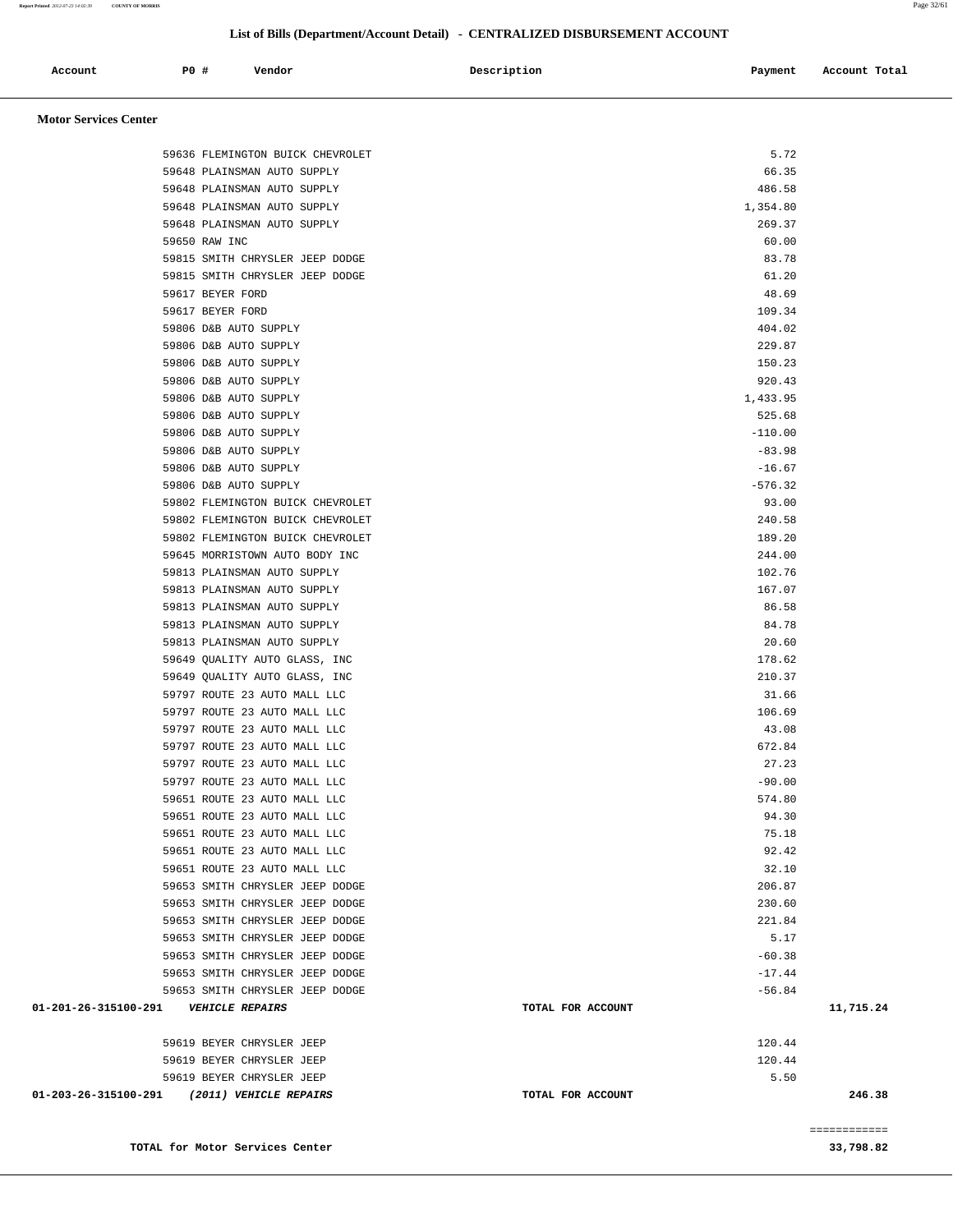**Report Printed** *2012-07-23 14:02:39* **COUNTY OF MORRIS** Page 32/61

#### **List of Bills (Department/Account Detail) - CENTRALIZED DISBURSEMENT ACCOUNT**

| Account<br>. | PO <sub>1</sub> | Vendor | Description | Payment | Account Total |
|--------------|-----------------|--------|-------------|---------|---------------|
|              |                 |        |             |         |               |

#### **Motor Services Center**

|                                         | TOTAL for Motor Services Center             |                      | ============<br>33,798.82 |
|-----------------------------------------|---------------------------------------------|----------------------|---------------------------|
|                                         |                                             |                      |                           |
|                                         | 01-203-26-315100-291 (2011) VEHICLE REPAIRS | TOTAL FOR ACCOUNT    | 246.38                    |
|                                         | 59619 BEYER CHRYSLER JEEP                   | 5.50                 |                           |
|                                         | 59619 BEYER CHRYSLER JEEP                   | 120.44               |                           |
|                                         | 59619 BEYER CHRYSLER JEEP                   | 120.44               |                           |
|                                         |                                             |                      |                           |
| 01-201-26-315100-291    VEHICLE REPAIRS | 59653 SMITH CHRYSLER JEEP DODGE             | TOTAL FOR ACCOUNT    | 11,715.24                 |
|                                         | 59653 SMITH CHRYSLER JEEP DODGE             | $-17.44$<br>$-56.84$ |                           |
|                                         | 59653 SMITH CHRYSLER JEEP DODGE             | $-60.38$             |                           |
|                                         | 59653 SMITH CHRYSLER JEEP DODGE             | 5.17                 |                           |
|                                         | 59653 SMITH CHRYSLER JEEP DODGE             | 221.84               |                           |
|                                         | 59653 SMITH CHRYSLER JEEP DODGE             | 230.60               |                           |
|                                         | 59653 SMITH CHRYSLER JEEP DODGE             | 206.87               |                           |
|                                         | 59651 ROUTE 23 AUTO MALL LLC                | 32.10                |                           |
|                                         | 59651 ROUTE 23 AUTO MALL LLC                | 92.42                |                           |
|                                         | 59651 ROUTE 23 AUTO MALL LLC                | 75.18                |                           |
|                                         | 59651 ROUTE 23 AUTO MALL LLC                | 94.30                |                           |
|                                         | 59651 ROUTE 23 AUTO MALL LLC                | 574.80               |                           |
|                                         | 59797 ROUTE 23 AUTO MALL LLC                | $-90.00$             |                           |
|                                         | 59797 ROUTE 23 AUTO MALL LLC                | 27.23                |                           |
|                                         | 59797 ROUTE 23 AUTO MALL LLC                | 672.84               |                           |
|                                         | 59797 ROUTE 23 AUTO MALL LLC                | 43.08                |                           |
|                                         | 59797 ROUTE 23 AUTO MALL LLC                | 106.69               |                           |
|                                         | 59797 ROUTE 23 AUTO MALL LLC                | 31.66                |                           |
|                                         | 59649 QUALITY AUTO GLASS, INC               | 210.37               |                           |
|                                         | 59649 QUALITY AUTO GLASS, INC               | 178.62               |                           |
|                                         | 59813 PLAINSMAN AUTO SUPPLY                 | 20.60                |                           |
|                                         | 59813 PLAINSMAN AUTO SUPPLY                 | 84.78                |                           |
|                                         | 59813 PLAINSMAN AUTO SUPPLY                 | 86.58                |                           |
|                                         | 59813 PLAINSMAN AUTO SUPPLY                 | 167.07               |                           |
|                                         | 59813 PLAINSMAN AUTO SUPPLY                 | 102.76               |                           |
|                                         | 59645 MORRISTOWN AUTO BODY INC              | 244.00               |                           |
|                                         | 59802 FLEMINGTON BUICK CHEVROLET            | 189.20               |                           |
|                                         | 59802 FLEMINGTON BUICK CHEVROLET            | 240.58               |                           |
|                                         | 59802 FLEMINGTON BUICK CHEVROLET            | 93.00                |                           |
|                                         | 59806 D&B AUTO SUPPLY                       | $-576.32$            |                           |
|                                         | 59806 D&B AUTO SUPPLY                       | $-16.67$             |                           |
|                                         | 59806 D&B AUTO SUPPLY                       | $-83.98$             |                           |
|                                         | 59806 D&B AUTO SUPPLY                       | $-110.00$            |                           |
|                                         | 59806 D&B AUTO SUPPLY                       | 525.68               |                           |
|                                         | 59806 D&B AUTO SUPPLY                       | 1,433.95             |                           |
|                                         | 59806 D&B AUTO SUPPLY                       | 920.43               |                           |
|                                         | 59806 D&B AUTO SUPPLY                       | 150.23               |                           |
|                                         | 59806 D&B AUTO SUPPLY                       | 229.87               |                           |
|                                         | 59806 D&B AUTO SUPPLY                       | 404.02               |                           |
|                                         | 59617 BEYER FORD<br>59617 BEYER FORD        | 109.34               |                           |
|                                         | 59815 SMITH CHRYSLER JEEP DODGE             | 61.20<br>48.69       |                           |
|                                         | 59815 SMITH CHRYSLER JEEP DODGE             | 83.78                |                           |
|                                         | 59650 RAW INC                               | 60.00                |                           |
|                                         | 59648 PLAINSMAN AUTO SUPPLY                 | 269.37               |                           |
|                                         | 59648 PLAINSMAN AUTO SUPPLY                 | 1,354.80             |                           |
|                                         | 59648 PLAINSMAN AUTO SUPPLY                 | 486.58               |                           |
|                                         | 59648 PLAINSMAN AUTO SUPPLY                 | 66.35                |                           |
|                                         | 59636 FLEMINGTON BUICK CHEVROLET            | 5.72                 |                           |
|                                         |                                             |                      |                           |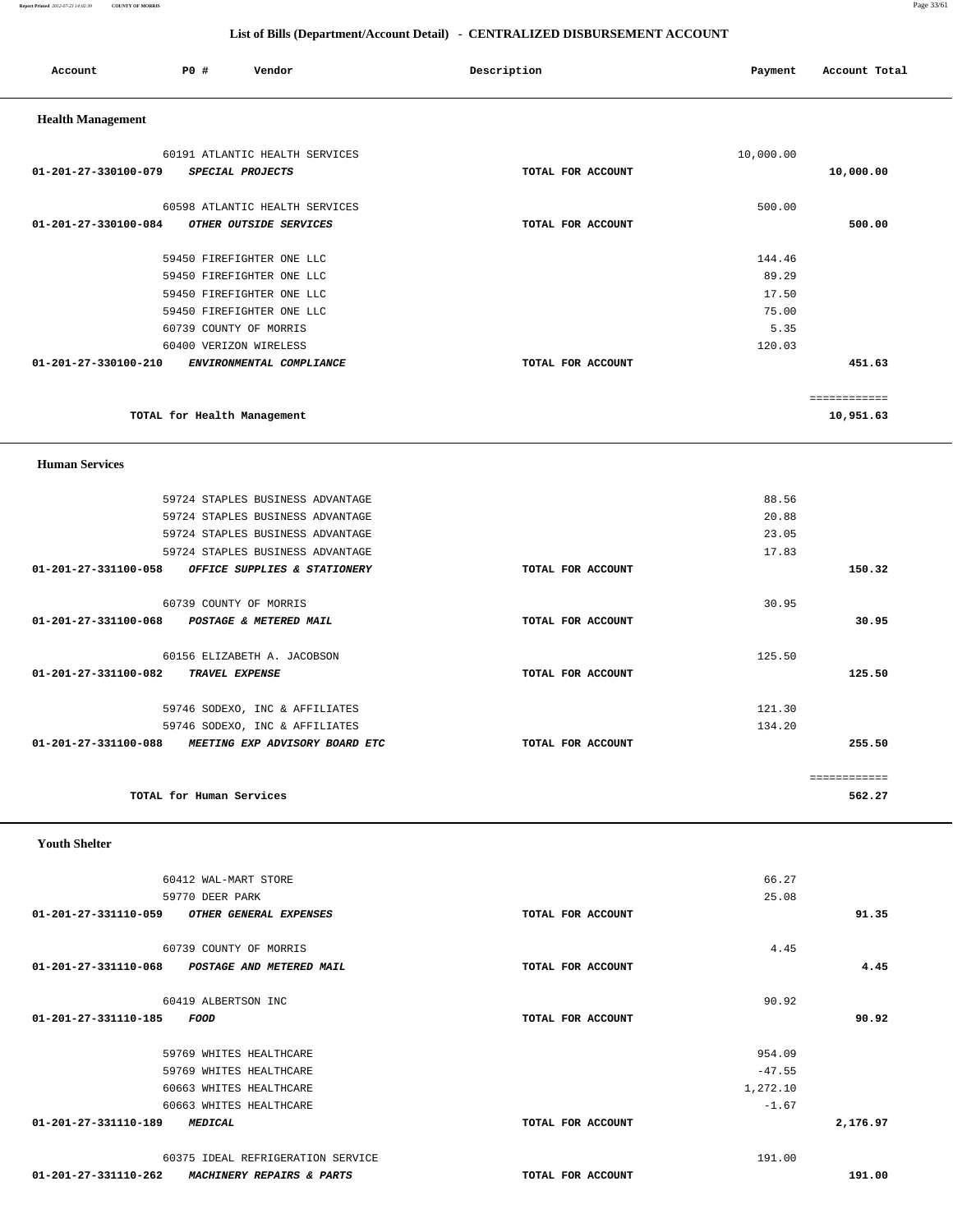**Report Printed** *2012-07-23 14:02:39* **COUNTY OF MORRIS** Page 33/61

|                           | List of Bills (Department/Account Detail) - CENTRALIZED DISBURSEMENT ACCOUNT |                                                          |                   |           |                        |  |  |
|---------------------------|------------------------------------------------------------------------------|----------------------------------------------------------|-------------------|-----------|------------------------|--|--|
| Account                   | P0 #                                                                         | Vendor                                                   | Description       | Payment   | Account Total          |  |  |
| <b>Health Management</b>  |                                                                              |                                                          |                   |           |                        |  |  |
|                           |                                                                              | 60191 ATLANTIC HEALTH SERVICES                           |                   | 10,000.00 |                        |  |  |
| 01-201-27-330100-079      |                                                                              | SPECIAL PROJECTS                                         | TOTAL FOR ACCOUNT |           | 10,000.00              |  |  |
|                           |                                                                              |                                                          |                   |           |                        |  |  |
|                           |                                                                              | 60598 ATLANTIC HEALTH SERVICES<br>OTHER OUTSIDE SERVICES | TOTAL FOR ACCOUNT | 500.00    |                        |  |  |
| 01-201-27-330100-084      |                                                                              |                                                          |                   |           | 500.00                 |  |  |
|                           |                                                                              | 59450 FIREFIGHTER ONE LLC                                |                   | 144.46    |                        |  |  |
|                           |                                                                              | 59450 FIREFIGHTER ONE LLC                                |                   | 89.29     |                        |  |  |
|                           |                                                                              | 59450 FIREFIGHTER ONE LLC                                |                   | 17.50     |                        |  |  |
|                           |                                                                              | 59450 FIREFIGHTER ONE LLC                                |                   | 75.00     |                        |  |  |
|                           |                                                                              | 60739 COUNTY OF MORRIS                                   |                   | 5.35      |                        |  |  |
|                           |                                                                              | 60400 VERIZON WIRELESS                                   |                   | 120.03    |                        |  |  |
| 01-201-27-330100-210      |                                                                              | ENVIRONMENTAL COMPLIANCE                                 | TOTAL FOR ACCOUNT |           | 451.63                 |  |  |
|                           |                                                                              |                                                          |                   |           | ============           |  |  |
|                           |                                                                              | TOTAL for Health Management                              |                   |           | 10,951.63              |  |  |
| <b>Human Services</b>     |                                                                              |                                                          |                   |           |                        |  |  |
|                           |                                                                              | 59724 STAPLES BUSINESS ADVANTAGE                         |                   | 88.56     |                        |  |  |
|                           |                                                                              | 59724 STAPLES BUSINESS ADVANTAGE                         |                   | 20.88     |                        |  |  |
|                           |                                                                              | 59724 STAPLES BUSINESS ADVANTAGE                         |                   | 23.05     |                        |  |  |
|                           |                                                                              | 59724 STAPLES BUSINESS ADVANTAGE                         |                   | 17.83     |                        |  |  |
| 01-201-27-331100-058      |                                                                              | OFFICE SUPPLIES & STATIONERY                             | TOTAL FOR ACCOUNT |           | 150.32                 |  |  |
|                           |                                                                              | 60739 COUNTY OF MORRIS                                   |                   | 30.95     |                        |  |  |
| 01-201-27-331100-068      |                                                                              | POSTAGE & METERED MAIL                                   | TOTAL FOR ACCOUNT |           | 30.95                  |  |  |
|                           |                                                                              | 60156 ELIZABETH A. JACOBSON                              |                   | 125.50    |                        |  |  |
| 01-201-27-331100-082      |                                                                              | TRAVEL EXPENSE                                           | TOTAL FOR ACCOUNT |           | 125.50                 |  |  |
|                           |                                                                              |                                                          |                   |           |                        |  |  |
|                           |                                                                              | 59746 SODEXO, INC & AFFILIATES                           |                   | 121.30    |                        |  |  |
|                           |                                                                              | 59746 SODEXO, INC & AFFILIATES                           |                   | 134.20    |                        |  |  |
|                           |                                                                              | 01-201-27-331100-088 MEETING EXP ADVISORY BOARD ETC      | TOTAL FOR ACCOUNT |           | 255.50                 |  |  |
|                           | TOTAL for Human Services                                                     |                                                          |                   |           | ============<br>562.27 |  |  |
| <b>Youth Shelter</b>      |                                                                              |                                                          |                   |           |                        |  |  |
|                           |                                                                              | 60412 WAL-MART STORE                                     |                   | 66.27     |                        |  |  |
|                           | 59770 DEER PARK                                                              |                                                          |                   | 25.08     |                        |  |  |
| 01-201-27-331110-059      |                                                                              | OTHER GENERAL EXPENSES                                   | TOTAL FOR ACCOUNT |           | 91.35                  |  |  |
|                           |                                                                              | 60739 COUNTY OF MORRIS                                   |                   | 4.45      |                        |  |  |
|                           |                                                                              | 01-201-27-331110-068 POSTAGE AND METERED MAIL            | TOTAL FOR ACCOUNT |           | 4.45                   |  |  |
|                           | 60419 ALBERTSON INC                                                          |                                                          |                   | 90.92     |                        |  |  |
| 01-201-27-331110-185 FOOD |                                                                              |                                                          | TOTAL FOR ACCOUNT |           | 90.92                  |  |  |
|                           |                                                                              |                                                          |                   |           |                        |  |  |
|                           |                                                                              | 59769 WHITES HEALTHCARE                                  |                   | 954.09    |                        |  |  |

59769 WHITES HEALTHCARE  $-47.55$  60663 WHITES HEALTHCARE 1,272.10 60663 WHITES HEALTHCARE -1.67  **01-201-27-331110-189 MEDICAL TOTAL FOR ACCOUNT 2,176.97**

 60375 IDEAL REFRIGERATION SERVICE 191.00  **01-201-27-331110-262 MACHINERY REPAIRS & PARTS TOTAL FOR ACCOUNT 191.00**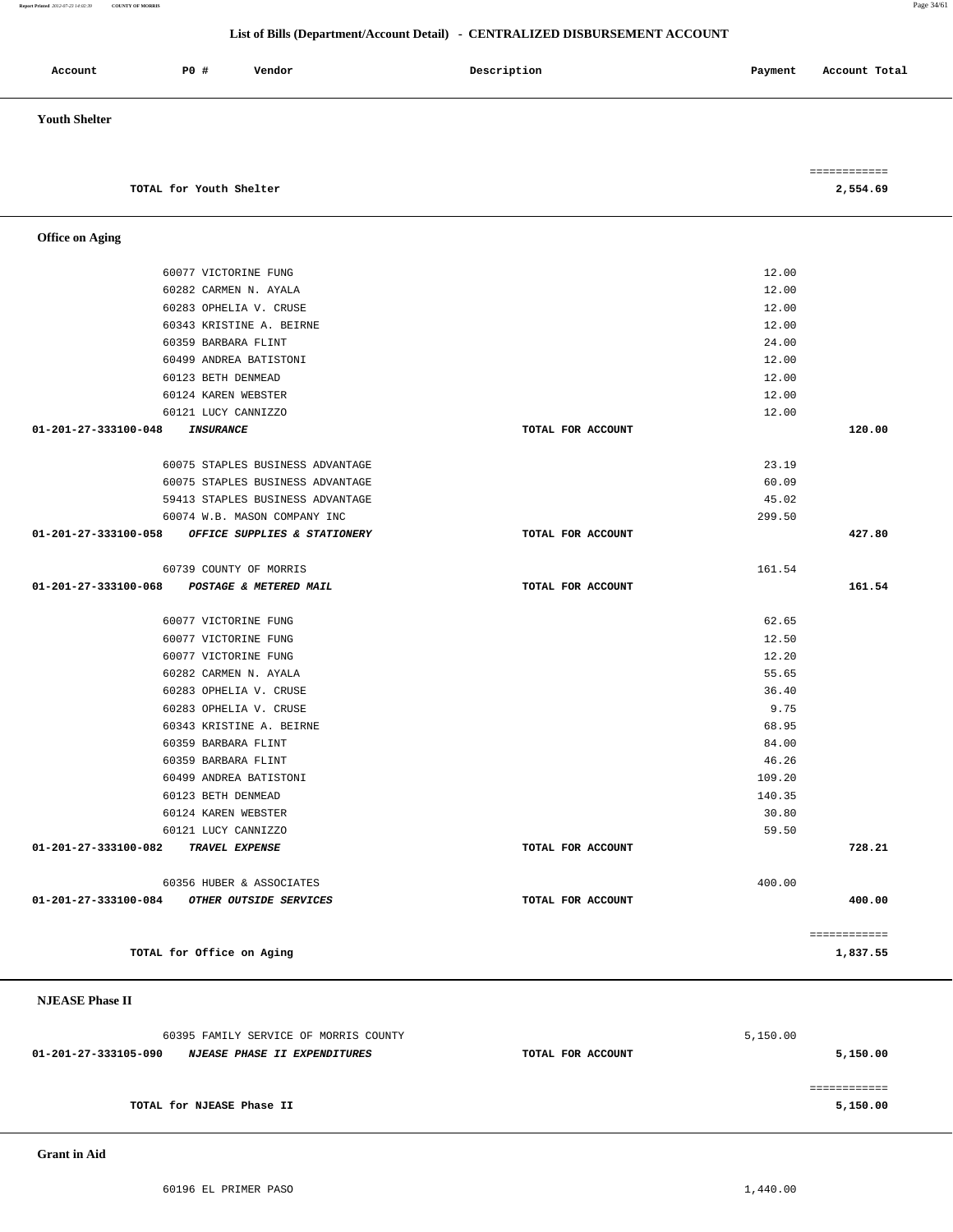#### **Report Printed** *2012-07-23 14:02:39* **COUNTY OF MORRIS** Page 34/61

#### **List of Bills (Department/Account Detail) - CENTRALIZED DISBURSEMENT ACCOUNT**

| <b>PO #</b><br>Account<br>Vendor                     | Description       | Payment | Account Total |
|------------------------------------------------------|-------------------|---------|---------------|
| <b>Youth Shelter</b>                                 |                   |         |               |
|                                                      |                   |         |               |
|                                                      |                   |         | ============  |
| TOTAL for Youth Shelter                              |                   |         | 2,554.69      |
| <b>Office on Aging</b>                               |                   |         |               |
| 60077 VICTORINE FUNG                                 |                   | 12.00   |               |
| 60282 CARMEN N. AYALA                                |                   | 12.00   |               |
| 60283 OPHELIA V. CRUSE                               |                   | 12.00   |               |
| 60343 KRISTINE A. BEIRNE                             |                   | 12.00   |               |
| 60359 BARBARA FLINT                                  |                   | 24.00   |               |
| 60499 ANDREA BATISTONI                               |                   | 12.00   |               |
| 60123 BETH DENMEAD                                   |                   | 12.00   |               |
| 60124 KAREN WEBSTER                                  |                   | 12.00   |               |
| 60121 LUCY CANNIZZO                                  |                   | 12.00   |               |
| 01-201-27-333100-048<br><b>INSURANCE</b>             | TOTAL FOR ACCOUNT |         | 120.00        |
| 60075 STAPLES BUSINESS ADVANTAGE                     |                   | 23.19   |               |
| 60075 STAPLES BUSINESS ADVANTAGE                     |                   | 60.09   |               |
| 59413 STAPLES BUSINESS ADVANTAGE                     |                   | 45.02   |               |
| 60074 W.B. MASON COMPANY INC                         |                   | 299.50  |               |
| 01-201-27-333100-058<br>OFFICE SUPPLIES & STATIONERY | TOTAL FOR ACCOUNT |         | 427.80        |
| 60739 COUNTY OF MORRIS                               |                   | 161.54  |               |
| 01-201-27-333100-068<br>POSTAGE & METERED MAIL       | TOTAL FOR ACCOUNT |         | 161.54        |
| 60077 VICTORINE FUNG                                 |                   | 62.65   |               |
| 60077 VICTORINE FUNG                                 |                   | 12.50   |               |
| 60077 VICTORINE FUNG                                 |                   | 12.20   |               |
| 60282 CARMEN N. AYALA                                |                   | 55.65   |               |
| 60283 OPHELIA V. CRUSE                               |                   | 36.40   |               |
| 60283 OPHELIA V. CRUSE                               |                   | 9.75    |               |
| 60343 KRISTINE A. BEIRNE                             |                   | 68.95   |               |
| 60359 BARBARA FLINT                                  |                   | 84.00   |               |
| 60359 BARBARA FLINT                                  |                   | 46.26   |               |
| 60499 ANDREA BATISTONI                               |                   | 109.20  |               |
| 60123 BETH DENMEAD                                   |                   | 140.35  |               |
| 60124 KAREN WEBSTER                                  |                   | 30.80   |               |
| 60121 LUCY CANNIZZO                                  | TOTAL FOR ACCOUNT | 59.50   |               |
| 01-201-27-333100-082 TRAVEL EXPENSE                  |                   |         | 728.21        |
| 60356 HUBER & ASSOCIATES                             |                   | 400.00  |               |
| 01-201-27-333100-084 OTHER OUTSIDE SERVICES          | TOTAL FOR ACCOUNT |         | 400.00        |
|                                                      |                   |         | ============  |
| TOTAL for Office on Aging                            |                   |         | 1,837.55      |
|                                                      |                   |         |               |

#### **NJEASE Phase II**

| 60395 FAMILY SERVICE OF MORRIS COUNTY                       | 5,150.00          |          |
|-------------------------------------------------------------|-------------------|----------|
| 01-201-27-333105-090<br><i>NJEASE PHASE II EXPENDITURES</i> | TOTAL FOR ACCOUNT | 5,150.00 |
|                                                             |                   |          |
|                                                             |                   |          |
| TOTAL for NJEASE Phase II                                   |                   | 5,150.00 |

 **Grant in Aid**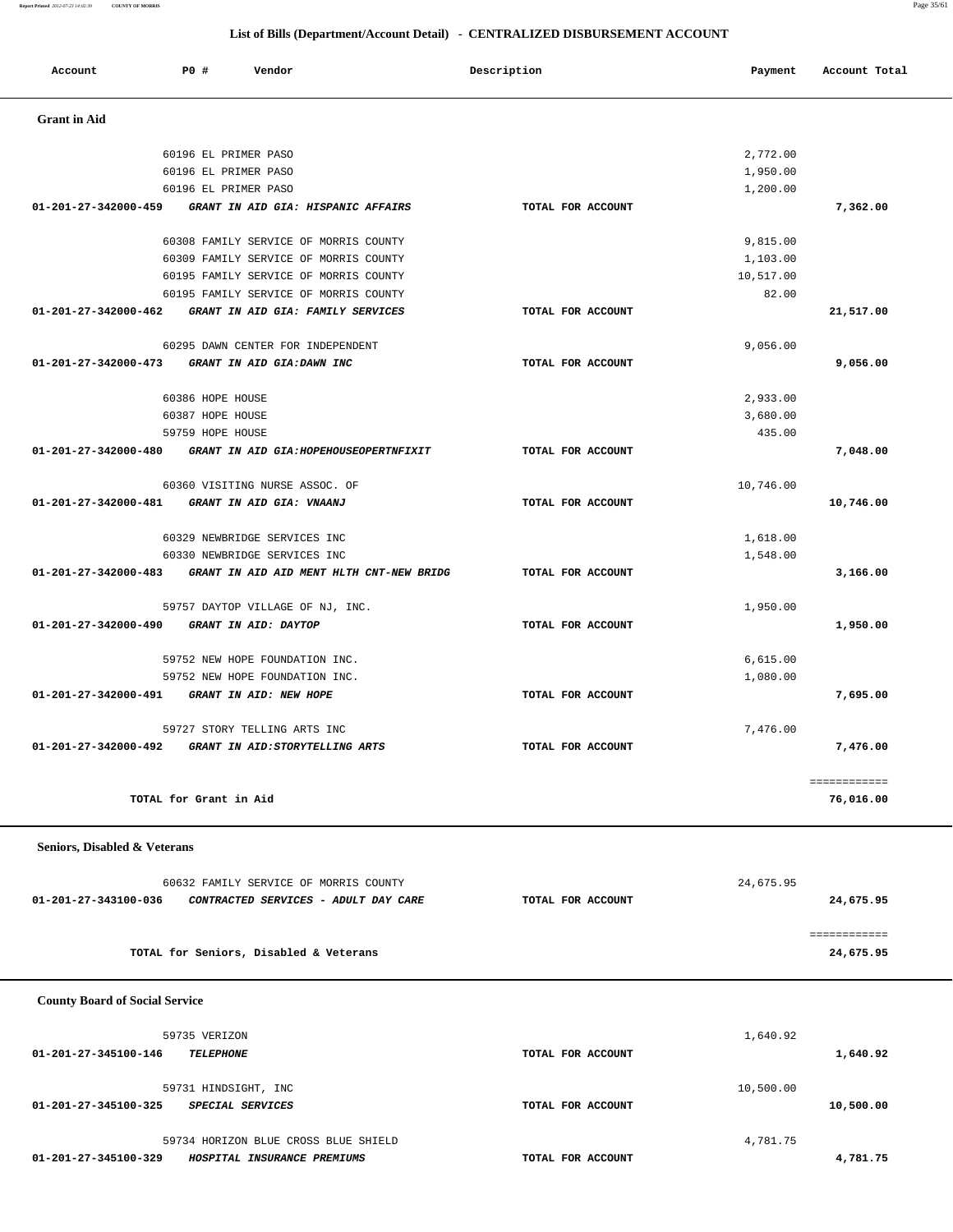| 60632 FAMILY SERVICE OF MORRIS COUNTY                        |                   | 24,675.95 |
|--------------------------------------------------------------|-------------------|-----------|
| CONTRACTED SERVICES - ADULT DAY CARE<br>01-201-27-343100-036 | TOTAL FOR ACCOUNT | 24,675.95 |
|                                                              |                   |           |
| TOTAL for Seniors, Disabled & Veterans                       |                   | 24,675.95 |

| TOTAL for Grant in Aid                                       |                   |           |  |  |
|--------------------------------------------------------------|-------------------|-----------|--|--|
| Seniors, Disabled & Veterans                                 |                   |           |  |  |
| 60632 FAMILY SERVICE OF MORRIS COUNTY                        |                   | 24,675.95 |  |  |
| 01-201-27-343100-036<br>CONTRACTED SERVICES - ADULT DAY CARE | TOTAL FOR ACCOUNT | 24,675.95 |  |  |

|                      | POTAP ET BETWEK BY20                                          |                   | 2,772.00  |              |
|----------------------|---------------------------------------------------------------|-------------------|-----------|--------------|
|                      | 60196 EL PRIMER PASO                                          |                   | 1,950.00  |              |
|                      | 60196 EL PRIMER PASO                                          |                   | 1,200.00  |              |
| 01-201-27-342000-459 | GRANT IN AID GIA: HISPANIC AFFAIRS                            | TOTAL FOR ACCOUNT |           | 7,362.00     |
|                      | 60308 FAMILY SERVICE OF MORRIS COUNTY                         |                   | 9,815.00  |              |
|                      | 60309 FAMILY SERVICE OF MORRIS COUNTY                         |                   | 1,103.00  |              |
|                      | 60195 FAMILY SERVICE OF MORRIS COUNTY                         |                   | 10,517.00 |              |
|                      | 60195 FAMILY SERVICE OF MORRIS COUNTY                         |                   | 82.00     |              |
|                      | 01-201-27-342000-462 GRANT IN AID GIA: FAMILY SERVICES        | TOTAL FOR ACCOUNT |           | 21,517.00    |
|                      | 60295 DAWN CENTER FOR INDEPENDENT                             |                   | 9,056.00  |              |
| 01-201-27-342000-473 | GRANT IN AID GIA:DAWN INC                                     | TOTAL FOR ACCOUNT |           | 9,056.00     |
|                      | 60386 HOPE HOUSE                                              |                   | 2,933.00  |              |
|                      | 60387 HOPE HOUSE                                              |                   | 3,680.00  |              |
|                      | 59759 HOPE HOUSE                                              |                   | 435.00    |              |
|                      | 01-201-27-342000-480 GRANT IN AID GIA:HOPEHOUSEOPERTNFIXIT    | TOTAL FOR ACCOUNT |           | 7,048.00     |
|                      | 60360 VISITING NURSE ASSOC. OF                                |                   | 10,746.00 |              |
|                      | 01-201-27-342000-481 GRANT IN AID GIA: VNAANJ                 | TOTAL FOR ACCOUNT |           | 10,746.00    |
|                      | 60329 NEWBRIDGE SERVICES INC                                  |                   | 1,618.00  |              |
|                      | 60330 NEWBRIDGE SERVICES INC                                  |                   | 1,548.00  |              |
|                      | 01-201-27-342000-483 GRANT IN AID AID MENT HLTH CNT-NEW BRIDG | TOTAL FOR ACCOUNT |           | 3,166.00     |
|                      | 59757 DAYTOP VILLAGE OF NJ, INC.                              |                   | 1,950.00  |              |
| 01-201-27-342000-490 | GRANT IN AID: DAYTOP                                          | TOTAL FOR ACCOUNT |           | 1,950.00     |
|                      | 59752 NEW HOPE FOUNDATION INC.                                |                   | 6,615.00  |              |
|                      | 59752 NEW HOPE FOUNDATION INC.                                |                   | 1,080.00  |              |
|                      | 01-201-27-342000-491 GRANT IN AID: NEW HOPE                   | TOTAL FOR ACCOUNT |           | 7,695.00     |
|                      | 59727 STORY TELLING ARTS INC                                  |                   | 7,476.00  |              |
|                      | 01-201-27-342000-492 GRANT IN AID: STORYTELLING ARTS          | TOTAL FOR ACCOUNT |           | 7,476.00     |
|                      |                                                               |                   |           | ============ |
|                      | TOTAL for Grant in Aid                                        |                   |           | 76,016.00    |

| Account                        | P0 #                 | Vendor                                | Description       | Payment   | Account Total |
|--------------------------------|----------------------|---------------------------------------|-------------------|-----------|---------------|
| <b>Grant</b> in Aid            |                      |                                       |                   |           |               |
|                                | 60196 EL PRIMER PASO |                                       |                   | 2,772.00  |               |
|                                | 60196 EL PRIMER PASO |                                       |                   | 1,950.00  |               |
|                                | 60196 EL PRIMER PASO |                                       |                   | 1,200.00  |               |
| $01 - 201 - 27 - 342000 - 459$ |                      | GRANT IN AID GIA: HISPANIC AFFAIRS    | TOTAL FOR ACCOUNT |           | 7,362.00      |
|                                |                      | 60308 FAMILY SERVICE OF MORRIS COUNTY |                   | 9,815.00  |               |
|                                |                      | 60309 FAMILY SERVICE OF MORRIS COUNTY |                   | 1,103.00  |               |
|                                |                      | 60195 FAMILY SERVICE OF MORRIS COUNTY |                   | 10,517.00 |               |
|                                |                      | 60195 FAMILY SERVICE OF MORRIS COUNTY |                   | 82.00     |               |
| 01-201-27-342000-462           |                      | GRANT IN AID GIA: FAMILY SERVICES     | TOTAL FOR ACCOUNT |           | 21,517.00     |
|                                |                      | 60295 DAWN CENTER FOR INDEPENDENT     |                   | 9,056.00  |               |
| 01-201-27-342000-473           |                      | GRANT IN AID GIA: DAWN INC            | TOTAL FOR ACCOUNT |           | 9,056.00      |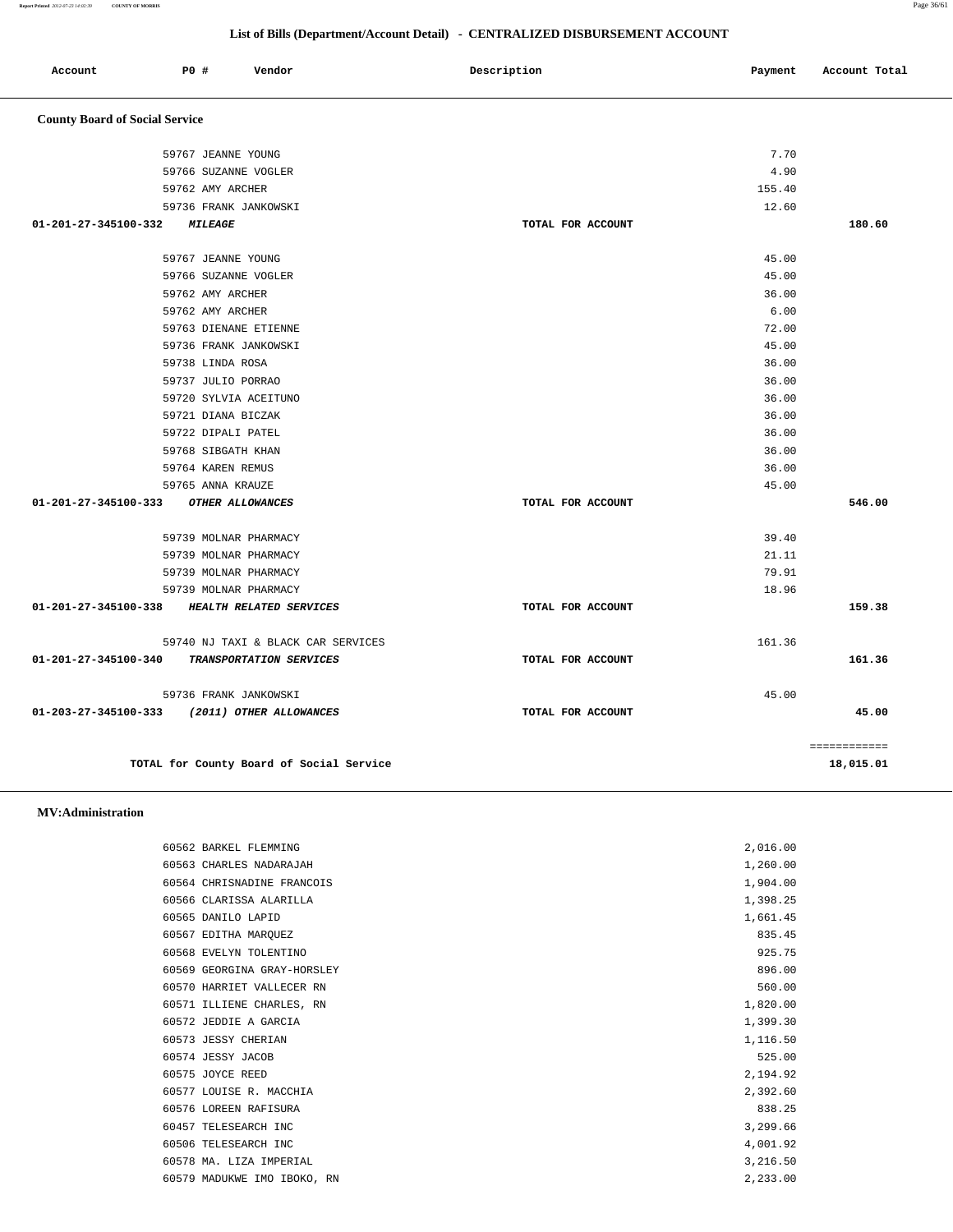**Report Printed** *2012-07-23 14:02:39* **COUNTY OF MORRIS** Page 36/61

#### **List of Bills (Department/Account Detail) - CENTRALIZED DISBURSEMENT ACCOUNT**

| Account                               | PO#                   | Vendor                                       | Description       | Payment | Account Total |
|---------------------------------------|-----------------------|----------------------------------------------|-------------------|---------|---------------|
| <b>County Board of Social Service</b> |                       |                                              |                   |         |               |
|                                       | 59767 JEANNE YOUNG    |                                              |                   | 7.70    |               |
|                                       | 59766 SUZANNE VOGLER  |                                              |                   | 4.90    |               |
|                                       | 59762 AMY ARCHER      |                                              |                   | 155.40  |               |
|                                       |                       | 59736 FRANK JANKOWSKI                        |                   | 12.60   |               |
| 01-201-27-345100-332                  | <i><b>MILEAGE</b></i> |                                              | TOTAL FOR ACCOUNT |         | 180.60        |
|                                       | 59767 JEANNE YOUNG    |                                              |                   | 45.00   |               |
|                                       | 59766 SUZANNE VOGLER  |                                              |                   | 45.00   |               |
|                                       | 59762 AMY ARCHER      |                                              |                   | 36.00   |               |
|                                       | 59762 AMY ARCHER      |                                              |                   | 6.00    |               |
|                                       |                       | 59763 DIENANE ETIENNE                        |                   | 72.00   |               |
|                                       |                       | 59736 FRANK JANKOWSKI                        |                   | 45.00   |               |
|                                       | 59738 LINDA ROSA      |                                              |                   | 36.00   |               |
|                                       | 59737 JULIO PORRAO    |                                              |                   | 36.00   |               |
|                                       |                       | 59720 SYLVIA ACEITUNO                        |                   | 36.00   |               |
|                                       | 59721 DIANA BICZAK    |                                              |                   | 36.00   |               |
|                                       | 59722 DIPALI PATEL    |                                              |                   | 36.00   |               |
|                                       | 59768 SIBGATH KHAN    |                                              |                   | 36.00   |               |
|                                       | 59764 KAREN REMUS     |                                              |                   | 36.00   |               |
|                                       | 59765 ANNA KRAUZE     |                                              |                   | 45.00   |               |
| 01-201-27-345100-333                  |                       | OTHER ALLOWANCES                             | TOTAL FOR ACCOUNT |         | 546.00        |
|                                       |                       | 59739 MOLNAR PHARMACY                        |                   | 39.40   |               |
|                                       |                       | 59739 MOLNAR PHARMACY                        |                   | 21.11   |               |
|                                       |                       | 59739 MOLNAR PHARMACY                        |                   | 79.91   |               |
|                                       |                       | 59739 MOLNAR PHARMACY                        |                   | 18.96   |               |
| 01-201-27-345100-338                  |                       | HEALTH RELATED SERVICES                      | TOTAL FOR ACCOUNT |         | 159.38        |
|                                       |                       | 59740 NJ TAXI & BLACK CAR SERVICES           |                   | 161.36  |               |
| 01-201-27-345100-340                  |                       | TRANSPORTATION SERVICES                      | TOTAL FOR ACCOUNT |         | 161.36        |
|                                       |                       | 59736 FRANK JANKOWSKI                        |                   | 45.00   |               |
|                                       |                       | 01-203-27-345100-333 (2011) OTHER ALLOWANCES | TOTAL FOR ACCOUNT |         | 45.00         |
|                                       |                       |                                              |                   |         | ============  |
|                                       |                       | TOTAL for County Board of Social Service     |                   |         | 18,015.01     |

 **MV:Administration** 

| 60562 BARKEL FLEMMING       | 2,016.00 |
|-----------------------------|----------|
| 60563 CHARLES NADARAJAH     | 1,260.00 |
| 60564 CHRISNADINE FRANCOIS  | 1,904.00 |
| 60566 CLARISSA ALARILLA     | 1,398.25 |
| 60565 DANILO LAPID          | 1,661.45 |
| 60567 EDITHA MARQUEZ        | 835.45   |
| 60568 EVELYN TOLENTINO      | 925.75   |
| 60569 GEORGINA GRAY-HORSLEY | 896.00   |
| 60570 HARRIET VALLECER RN   | 560.00   |
| 60571 ILLIENE CHARLES, RN   | 1,820.00 |
| 60572 JEDDIE A GARCIA       | 1,399.30 |
| 60573 JESSY CHERIAN         | 1,116.50 |
| 60574 JESSY JACOB           | 525.00   |
| 60575 JOYCE REED            | 2,194.92 |
| 60577 LOUISE R. MACCHIA     | 2,392.60 |
| 60576 LOREEN RAFISURA       | 838.25   |
| 60457 TELESEARCH INC        | 3,299.66 |
| 60506 TELESEARCH INC        | 4,001.92 |
| 60578 MA. LIZA IMPERIAL     | 3,216.50 |
| 60579 MADUKWE IMO IBOKO, RN | 2,233.00 |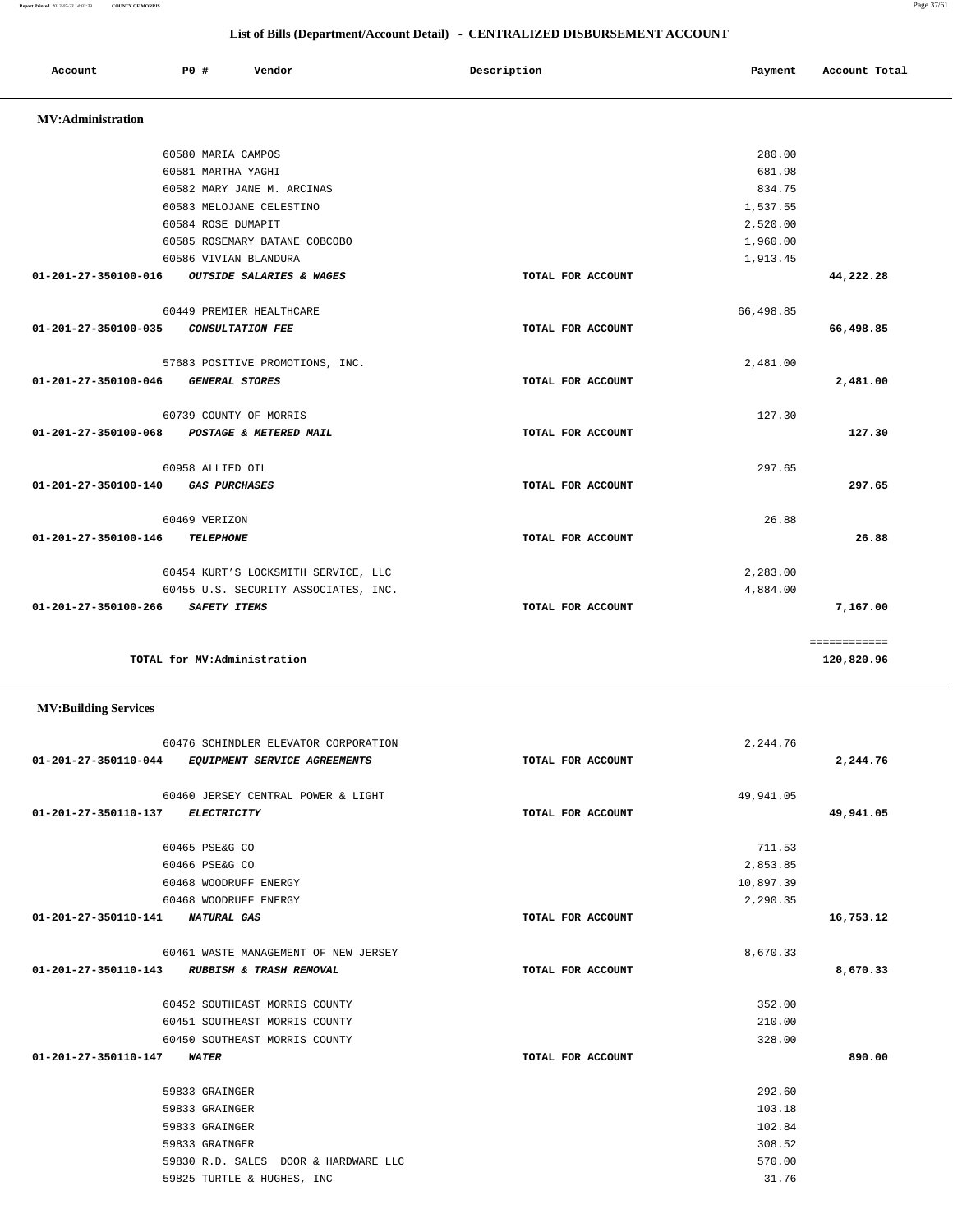| TOTAL for MV:Administration                                                                                  |                                                     |                                                | ============<br>120,820.96 |
|--------------------------------------------------------------------------------------------------------------|-----------------------------------------------------|------------------------------------------------|----------------------------|
|                                                                                                              |                                                     |                                                |                            |
| 60476 SCHINDLER ELEVATOR CORPORATION<br>EQUIPMENT SERVICE AGREEMENTS                                         | TOTAL FOR ACCOUNT                                   | 2,244.76                                       | 2,244.76                   |
| 60460 JERSEY CENTRAL POWER & LIGHT                                                                           |                                                     | 49,941.05                                      |                            |
| <b>ELECTRICITY</b>                                                                                           | TOTAL FOR ACCOUNT                                   |                                                | 49,941.05                  |
| 60465 PSE&G CO<br>60466 PSE&G CO<br>60468 WOODRUFF ENERGY                                                    |                                                     | 711.53<br>2,853.85<br>10,897.39                |                            |
| NATURAL GAS                                                                                                  | TOTAL FOR ACCOUNT                                   |                                                | 16,753.12                  |
| 60461 WASTE MANAGEMENT OF NEW JERSEY<br>RUBBISH & TRASH REMOVAL                                              | TOTAL FOR ACCOUNT                                   | 8,670.33                                       | 8,670.33                   |
| 60452 SOUTHEAST MORRIS COUNTY<br>60451 SOUTHEAST MORRIS COUNTY<br>60450 SOUTHEAST MORRIS COUNTY              |                                                     | 352.00<br>210.00<br>328.00                     |                            |
| WATER                                                                                                        | TOTAL FOR ACCOUNT                                   |                                                | 890.00                     |
| 59833 GRAINGER<br>59833 GRAINGER<br>59833 GRAINGER<br>59833 GRAINGER<br>59830 R.D. SALES DOOR & HARDWARE LLC |                                                     | 292.60<br>103.18<br>102.84<br>308.52<br>570.00 |                            |
|                                                                                                              | 60468 WOODRUFF ENERGY<br>59825 TURTLE & HUGHES, INC |                                                | 2,290.35<br>31.76          |

|                                   | 60582 MARY JANE M. ARCINAS           |                   | 834.75    |                |
|-----------------------------------|--------------------------------------|-------------------|-----------|----------------|
|                                   | 60583 MELOJANE CELESTINO             |                   | 1,537.55  |                |
|                                   | 60584 ROSE DUMAPIT                   |                   | 2,520.00  |                |
|                                   | 60585 ROSEMARY BATANE COBCOBO        |                   | 1,960.00  |                |
|                                   | 60586 VIVIAN BLANDURA                |                   | 1,913.45  |                |
| $01 - 201 - 27 - 350100 - 016$    | <b>OUTSIDE SALARIES &amp; WAGES</b>  | TOTAL FOR ACCOUNT |           | 44,222.28      |
|                                   | 60449 PREMIER HEALTHCARE             |                   | 66,498.85 |                |
| 01-201-27-350100-035              | <i>CONSULTATION FEE</i>              | TOTAL FOR ACCOUNT |           | 66,498.85      |
|                                   | 57683 POSITIVE PROMOTIONS, INC.      |                   | 2,481.00  |                |
| 01-201-27-350100-046              | <b>GENERAL STORES</b>                | TOTAL FOR ACCOUNT |           | 2,481.00       |
|                                   | 60739 COUNTY OF MORRIS               |                   | 127.30    |                |
| 01-201-27-350100-068              | POSTAGE & METERED MAIL               | TOTAL FOR ACCOUNT |           | 127.30         |
|                                   | 60958 ALLIED OIL                     |                   | 297.65    |                |
| 01-201-27-350100-140              | <i><b>GAS PURCHASES</b></i>          | TOTAL FOR ACCOUNT |           | 297.65         |
|                                   | 60469 VERIZON                        |                   | 26.88     |                |
| 01-201-27-350100-146              | <b>TELEPHONE</b>                     | TOTAL FOR ACCOUNT |           | 26.88          |
|                                   | 60454 KURT'S LOCKSMITH SERVICE, LLC  |                   | 2,283.00  |                |
|                                   | 60455 U.S. SECURITY ASSOCIATES, INC. |                   | 4,884.00  |                |
| 01-201-27-350100-266 SAFETY ITEMS |                                      | TOTAL FOR ACCOUNT |           | 7,167.00       |
|                                   |                                      |                   |           | ============   |
|                                   | ______ _ ___ _ _ _ _ _ _             |                   |           | $\overline{a}$ |

Account **PO #** Vendor **Payment Payment Payment** Payment Payment Payment Account Total

 60580 MARIA CAMPOS 280.00 60581 MARTHA YAGHI 681.98

## **List of Bills (Department/Account Detail) - CENTRALIZED DISBURSEMENT ACCOUNT**

 **MV:Administration**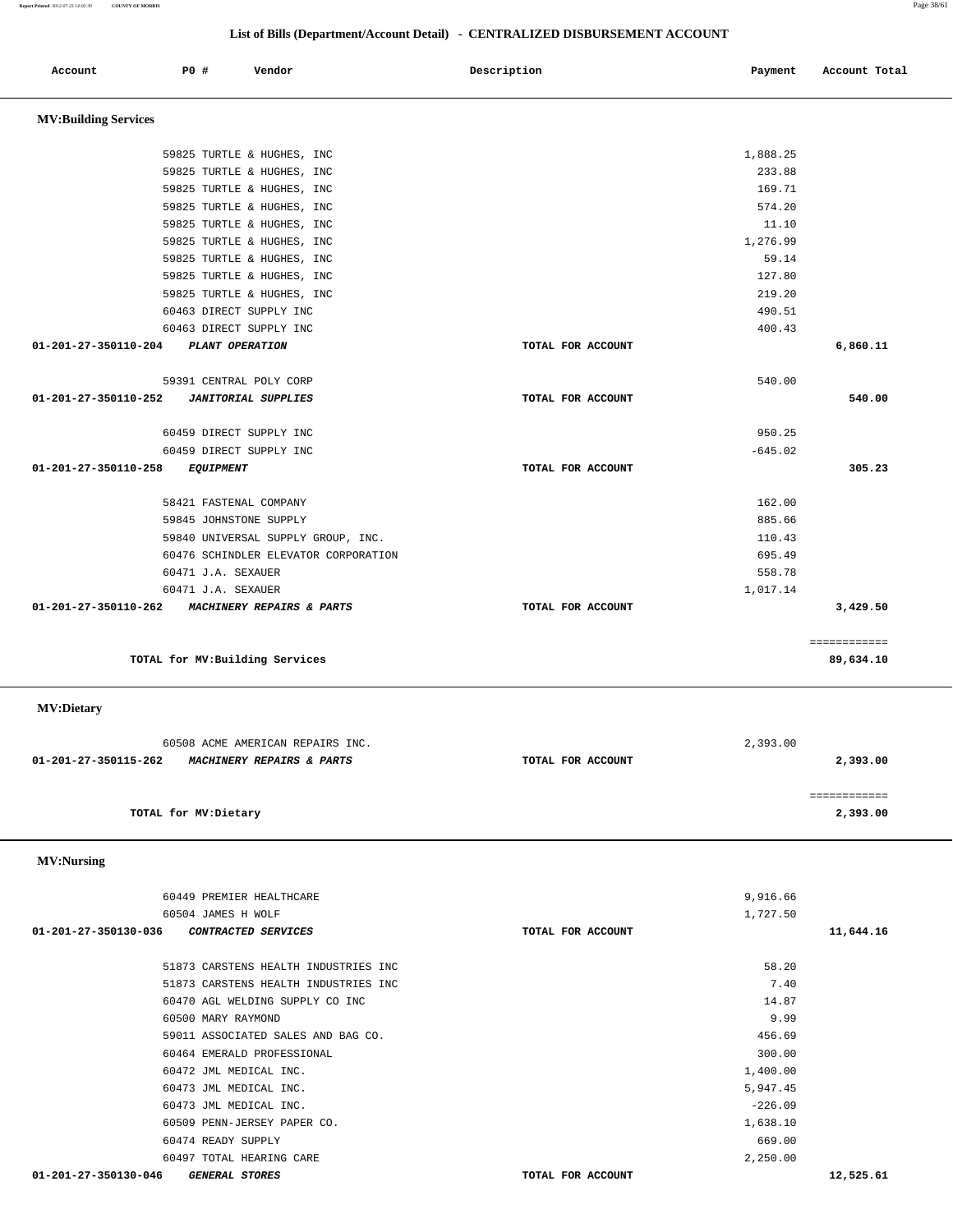### **List of Bills (Department/Account Detail) - CENTRALIZED DISBURSEMENT ACCOUNT**

| Account                                        | P0 #                  |                    | Vendor                                                                     | Description |                   | Payment          | Account Total |
|------------------------------------------------|-----------------------|--------------------|----------------------------------------------------------------------------|-------------|-------------------|------------------|---------------|
|                                                |                       |                    |                                                                            |             |                   |                  |               |
| <b>MV:Building Services</b>                    |                       |                    |                                                                            |             |                   |                  |               |
|                                                |                       |                    |                                                                            |             |                   |                  |               |
|                                                |                       |                    | 59825 TURTLE & HUGHES, INC                                                 |             |                   | 1,888.25         |               |
|                                                |                       |                    | 59825 TURTLE & HUGHES, INC                                                 |             |                   | 233.88           |               |
|                                                |                       |                    | 59825 TURTLE & HUGHES, INC                                                 |             |                   | 169.71           |               |
|                                                |                       |                    | 59825 TURTLE & HUGHES, INC<br>59825 TURTLE & HUGHES, INC                   |             |                   | 574.20<br>11.10  |               |
|                                                |                       |                    | 59825 TURTLE & HUGHES, INC                                                 |             |                   | 1,276.99         |               |
|                                                |                       |                    | 59825 TURTLE & HUGHES, INC                                                 |             |                   | 59.14            |               |
|                                                |                       |                    | 59825 TURTLE & HUGHES, INC                                                 |             |                   | 127.80           |               |
|                                                |                       |                    | 59825 TURTLE & HUGHES, INC                                                 |             |                   | 219.20           |               |
|                                                |                       |                    | 60463 DIRECT SUPPLY INC                                                    |             |                   | 490.51           |               |
|                                                |                       |                    | 60463 DIRECT SUPPLY INC                                                    |             |                   | 400.43           |               |
| 01-201-27-350110-204                           |                       |                    | PLANT OPERATION                                                            |             | TOTAL FOR ACCOUNT |                  | 6,860.11      |
|                                                |                       |                    |                                                                            |             |                   |                  |               |
|                                                |                       |                    | 59391 CENTRAL POLY CORP                                                    |             |                   | 540.00           |               |
| 01-201-27-350110-252                           |                       |                    | <b>JANITORIAL SUPPLIES</b>                                                 |             | TOTAL FOR ACCOUNT |                  | 540.00        |
|                                                |                       |                    |                                                                            |             |                   |                  |               |
|                                                |                       |                    | 60459 DIRECT SUPPLY INC                                                    |             |                   | 950.25           |               |
|                                                |                       |                    | 60459 DIRECT SUPPLY INC                                                    |             |                   | $-645.02$        |               |
| 01-201-27-350110-258                           |                       | <b>EQUIPMENT</b>   |                                                                            |             | TOTAL FOR ACCOUNT |                  | 305.23        |
|                                                |                       |                    |                                                                            |             |                   |                  |               |
|                                                |                       |                    | 58421 FASTENAL COMPANY                                                     |             |                   | 162.00           |               |
|                                                |                       |                    | 59845 JOHNSTONE SUPPLY                                                     |             |                   | 885.66<br>110.43 |               |
|                                                |                       |                    | 59840 UNIVERSAL SUPPLY GROUP, INC.<br>60476 SCHINDLER ELEVATOR CORPORATION |             |                   | 695.49           |               |
|                                                |                       | 60471 J.A. SEXAUER |                                                                            |             |                   | 558.78           |               |
|                                                |                       | 60471 J.A. SEXAUER |                                                                            |             |                   | 1,017.14         |               |
| 01-201-27-350110-262                           |                       |                    | MACHINERY REPAIRS & PARTS                                                  |             | TOTAL FOR ACCOUNT |                  | 3,429.50      |
|                                                |                       |                    |                                                                            |             |                   |                  |               |
|                                                |                       |                    |                                                                            |             |                   |                  | ============  |
|                                                |                       |                    | TOTAL for MV: Building Services                                            |             |                   |                  | 89,634.10     |
| <b>MV:Dietary</b>                              |                       |                    |                                                                            |             |                   |                  |               |
|                                                |                       |                    |                                                                            |             |                   |                  |               |
|                                                |                       |                    | 60508 ACME AMERICAN REPAIRS INC.                                           |             |                   | 2,393.00         |               |
| 01-201-27-350115-262 MACHINERY REPAIRS & PARTS |                       |                    |                                                                            |             | TOTAL FOR ACCOUNT |                  | 2,393.00      |
|                                                |                       |                    |                                                                            |             |                   |                  |               |
|                                                |                       |                    |                                                                            |             |                   |                  | ============  |
|                                                | TOTAL for MV: Dietary |                    |                                                                            |             |                   |                  | 2,393.00      |
| <b>MV:Nursing</b>                              |                       |                    |                                                                            |             |                   |                  |               |
|                                                |                       |                    |                                                                            |             |                   |                  |               |
|                                                |                       |                    | 60449 PREMIER HEALTHCARE                                                   |             |                   | 9,916.66         |               |
|                                                |                       | 60504 JAMES H WOLF |                                                                            |             |                   | 1,727.50         |               |
| 01-201-27-350130-036                           |                       |                    | CONTRACTED SERVICES                                                        |             | TOTAL FOR ACCOUNT |                  | 11,644.16     |
|                                                |                       |                    | 51873 CARSTENS HEALTH INDUSTRIES INC                                       |             |                   | 58.20            |               |
|                                                |                       |                    | 51873 CARSTENS HEALTH INDUSTRIES INC                                       |             |                   | 7.40             |               |
|                                                |                       |                    | 60470 AGL WELDING SUPPLY CO INC                                            |             |                   | 14.87            |               |
|                                                |                       | 60500 MARY RAYMOND |                                                                            |             |                   | 9.99             |               |
|                                                |                       |                    | 59011 ASSOCIATED SALES AND BAG CO.                                         |             |                   | 456.69           |               |
|                                                |                       |                    | 60464 EMERALD PROFESSIONAL                                                 |             |                   | 300.00           |               |
|                                                |                       |                    | 60472 JML MEDICAL INC.                                                     |             |                   | 1,400.00         |               |
|                                                |                       |                    | 60473 JML MEDICAL INC.                                                     |             |                   | 5,947.45         |               |
|                                                |                       |                    | 60473 JML MEDICAL INC.                                                     |             |                   | $-226.09$        |               |

 **01-201-27-350130-046 GENERAL STORES TOTAL FOR ACCOUNT 12,525.61**

 60509 PENN-JERSEY PAPER CO. 1,638.10 60474 READY SUPPLY 669.00 60497 TOTAL HEARING CARE 2,250.00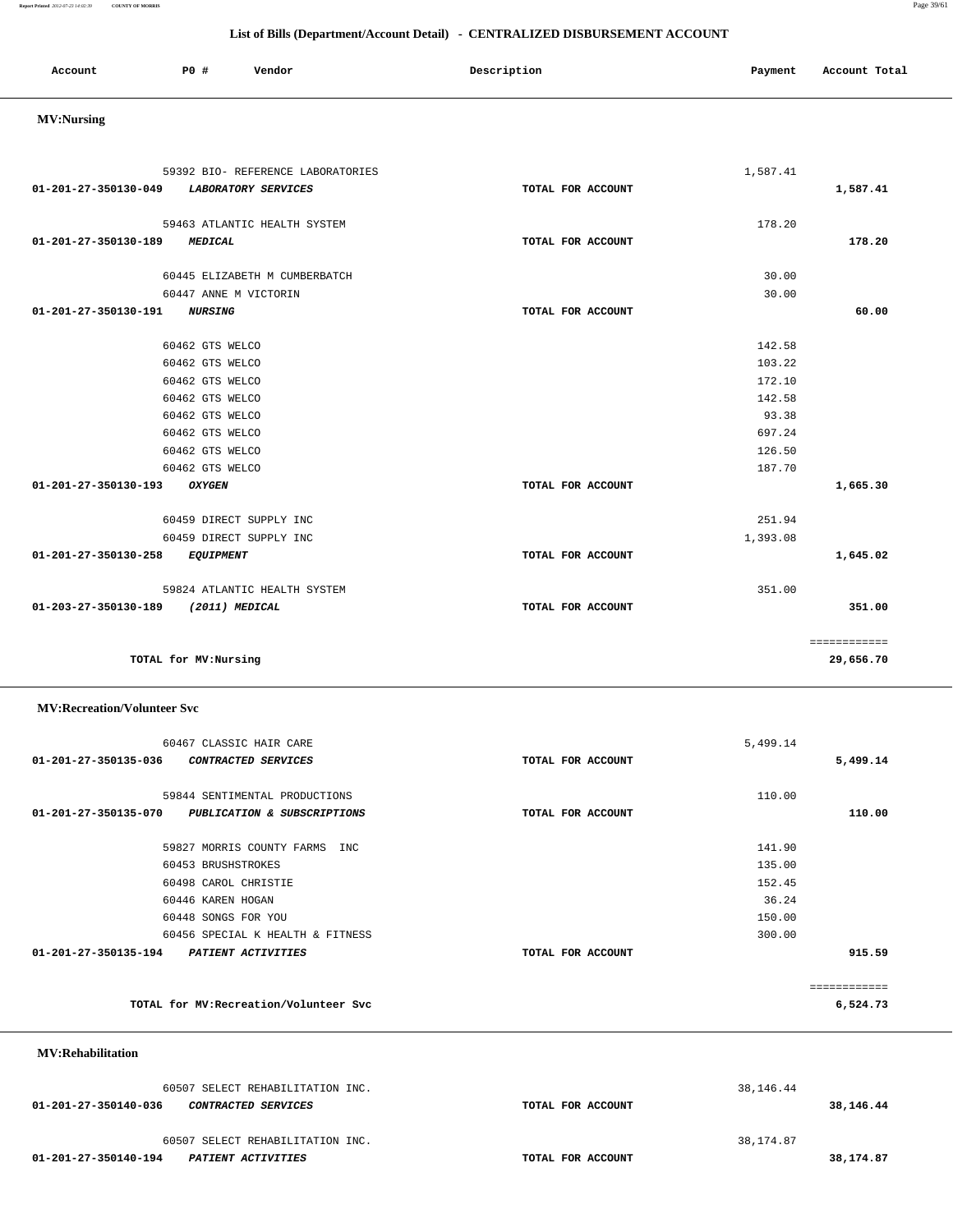| TOTAL for MV: Recreation/Volunteer Svc                                          |                   | -----------<br>6,524.73  |
|---------------------------------------------------------------------------------|-------------------|--------------------------|
| <b>MV:Rehabilitation</b>                                                        |                   |                          |
| 60507 SELECT REHABILITATION INC.<br>01-201-27-350140-036<br>CONTRACTED SERVICES | TOTAL FOR ACCOUNT | 38, 146. 44<br>38,146.44 |
| 60507 SELECT REHABILITATION INC.<br>01-201-27-350140-194<br>PATIENT ACTIVITIES  | TOTAL FOR ACCOUNT | 38,174.87<br>38,174.87   |

### 60467 CLASSIC HAIR CARE 5,499.14  **01-201-27-350135-036 CONTRACTED SERVICES TOTAL FOR ACCOUNT 5,499.14** 59844 SENTIMENTAL PRODUCTIONS 110.00  **01-201-27-350135-070 PUBLICATION & SUBSCRIPTIONS TOTAL FOR ACCOUNT 110.00** 59827 MORRIS COUNTY FARMS INC 141.90 60453 BRUSHSTROKES 135.00 60498 CAROL CHRISTIE 152.45 60446 KAREN HOGAN 36.24 60448 SONGS FOR YOU 150.00 60456 SPECIAL K HEALTH & FITNESS 300.00  **01-201-27-350135-194 PATIENT ACTIVITIES TOTAL FOR ACCOUNT 915.59** ============

**TOTAL for MV:Nursing 29,656.70**

| 59463 ATLANTIC HEALTH SYSTEM             |                   | 178.20   |              |
|------------------------------------------|-------------------|----------|--------------|
| 01-201-27-350130-189<br><b>MEDICAL</b>   | TOTAL FOR ACCOUNT |          | 178.20       |
|                                          |                   | 30.00    |              |
| 60445 ELIZABETH M CUMBERBATCH            |                   |          |              |
| 60447 ANNE M VICTORIN                    |                   | 30.00    |              |
| 01-201-27-350130-191<br><b>NURSING</b>   | TOTAL FOR ACCOUNT |          | 60.00        |
| 60462 GTS WELCO                          |                   | 142.58   |              |
|                                          |                   |          |              |
| 60462 GTS WELCO                          |                   | 103.22   |              |
| 60462 GTS WELCO                          |                   | 172.10   |              |
| 60462 GTS WELCO                          |                   | 142.58   |              |
| 60462 GTS WELCO                          |                   | 93.38    |              |
| 60462 GTS WELCO                          |                   | 697.24   |              |
| 60462 GTS WELCO                          |                   | 126.50   |              |
| 60462 GTS WELCO                          |                   | 187.70   |              |
| 01-201-27-350130-193<br><b>OXYGEN</b>    | TOTAL FOR ACCOUNT |          | 1,665.30     |
| 60459 DIRECT SUPPLY INC                  |                   | 251.94   |              |
|                                          |                   |          |              |
| 60459 DIRECT SUPPLY INC                  |                   | 1,393.08 |              |
| 01-201-27-350130-258<br><b>EQUIPMENT</b> | TOTAL FOR ACCOUNT |          | 1,645.02     |
| 59824 ATLANTIC HEALTH SYSTEM             |                   | 351.00   |              |
| 01-203-27-350130-189<br>(2011) MEDICAL   | TOTAL FOR ACCOUNT |          | 351.00       |
|                                          |                   |          |              |
|                                          |                   |          | ============ |

#### **MV:Nursing**

 **MV:Recreation/Volunteer Svc**

# Account **PO #** Vendor **Description Payment Account Total**

**Report Printed** *2012-07-23 14:02:39* **COUNTY OF MORRIS** Page 39/61

### **List of Bills (Department/Account Detail) - CENTRALIZED DISBURSEMENT ACCOUNT**

 59392 BIO- REFERENCE LABORATORIES 1,587.41  **01-201-27-350130-049 LABORATORY SERVICES TOTAL FOR ACCOUNT 1,587.41**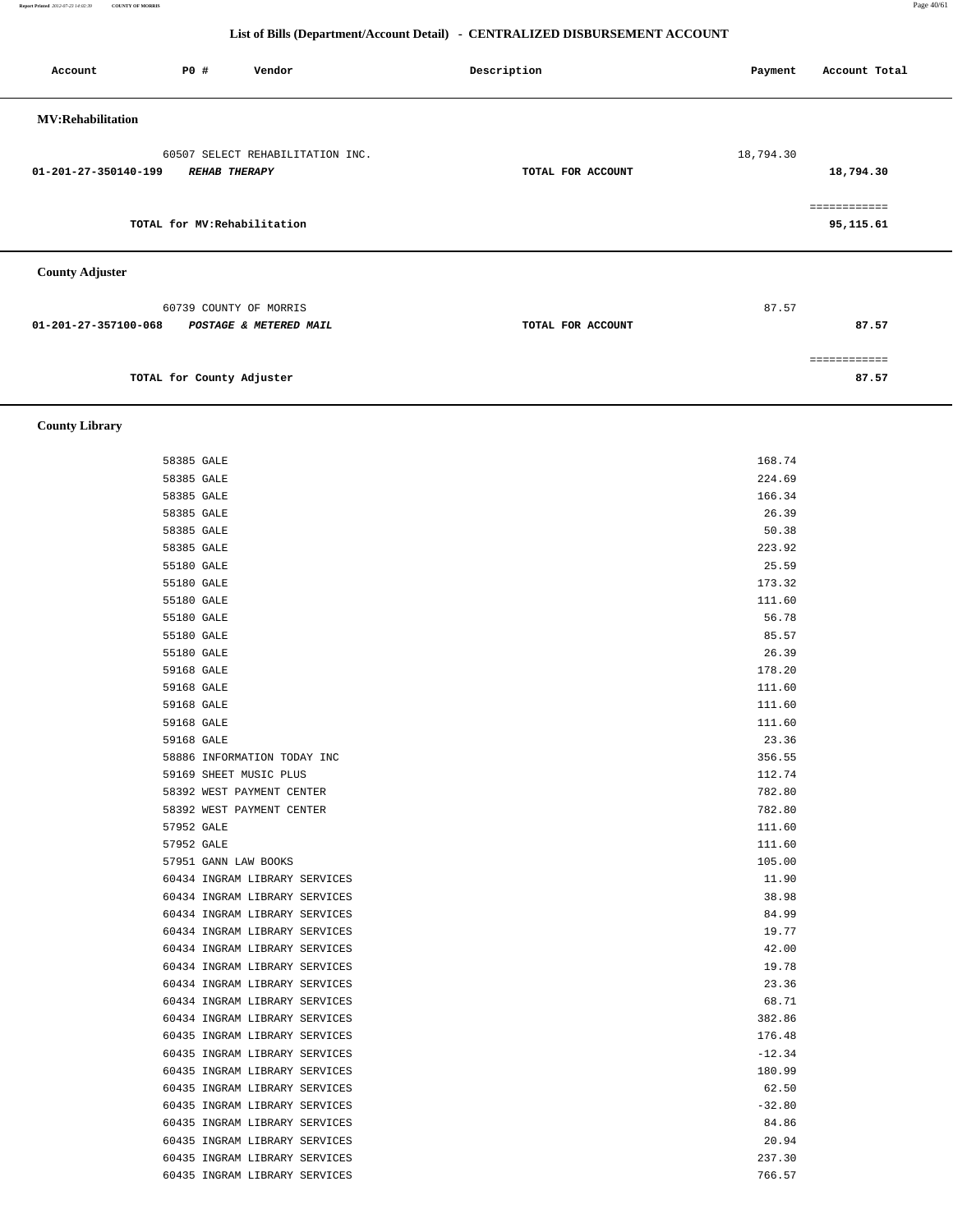**Report Printed** *2012-07-23 14:02:39* **COUNTY OF MORRIS** Page 40/61

### **List of Bills (Department/Account Detail) - CENTRALIZED DISBURSEMENT ACCOUNT**

| Account                  | P0 #                      | Vendor                                           | Description       | Payment   | Account Total             |
|--------------------------|---------------------------|--------------------------------------------------|-------------------|-----------|---------------------------|
| <b>MV:Rehabilitation</b> |                           |                                                  |                   |           |                           |
| 01-201-27-350140-199     | <b>REHAB THERAPY</b>      | 60507 SELECT REHABILITATION INC.                 | TOTAL FOR ACCOUNT | 18,794.30 | 18,794.30                 |
|                          |                           | TOTAL for MV: Rehabilitation                     |                   |           | ============<br>95,115.61 |
| <b>County Adjuster</b>   |                           |                                                  |                   |           |                           |
| 01-201-27-357100-068     |                           | 60739 COUNTY OF MORRIS<br>POSTAGE & METERED MAIL | TOTAL FOR ACCOUNT | 87.57     | 87.57                     |
|                          |                           |                                                  |                   |           | ============              |
|                          | TOTAL for County Adjuster |                                                  |                   |           | 87.57                     |

 **County Library** 

| 58385 GALE                    | 168.74   |
|-------------------------------|----------|
| 58385 GALE                    | 224.69   |
| 58385 GALE                    | 166.34   |
| 58385 GALE                    | 26.39    |
| 58385 GALE                    | 50.38    |
| 58385 GALE                    | 223.92   |
| 55180 GALE                    | 25.59    |
| 55180 GALE                    | 173.32   |
| 55180 GALE                    | 111.60   |
| 55180 GALE                    | 56.78    |
| 55180 GALE                    | 85.57    |
| 55180 GALE                    | 26.39    |
| 59168 GALE                    | 178.20   |
| 59168 GALE                    | 111.60   |
| 59168 GALE                    | 111.60   |
| 59168 GALE                    | 111.60   |
| 59168 GALE                    | 23.36    |
| 58886 INFORMATION TODAY INC   | 356.55   |
| 59169 SHEET MUSIC PLUS        | 112.74   |
| 58392 WEST PAYMENT CENTER     | 782.80   |
| 58392 WEST PAYMENT CENTER     | 782.80   |
| 57952 GALE                    | 111.60   |
| 57952 GALE                    | 111.60   |
| 57951 GANN LAW BOOKS          | 105.00   |
| 60434 INGRAM LIBRARY SERVICES | 11.90    |
| 60434 INGRAM LIBRARY SERVICES | 38.98    |
| 60434 INGRAM LIBRARY SERVICES | 84.99    |
| 60434 INGRAM LIBRARY SERVICES | 19.77    |
| 60434 INGRAM LIBRARY SERVICES | 42.00    |
| 60434 INGRAM LIBRARY SERVICES | 19.78    |
| 60434 INGRAM LIBRARY SERVICES | 23.36    |
| 60434 INGRAM LIBRARY SERVICES | 68.71    |
| 60434 INGRAM LIBRARY SERVICES | 382.86   |
| 60435 INGRAM LIBRARY SERVICES | 176.48   |
| 60435 INGRAM LIBRARY SERVICES | $-12.34$ |
| 60435 INGRAM LIBRARY SERVICES | 180.99   |
| 60435 INGRAM LIBRARY SERVICES | 62.50    |
| 60435 INGRAM LIBRARY SERVICES | $-32.80$ |
| 60435 INGRAM LIBRARY SERVICES | 84.86    |
| 60435 INGRAM LIBRARY SERVICES | 20.94    |
| 60435 INGRAM LIBRARY SERVICES | 237.30   |
| 60435 INGRAM LIBRARY SERVICES | 766.57   |
|                               |          |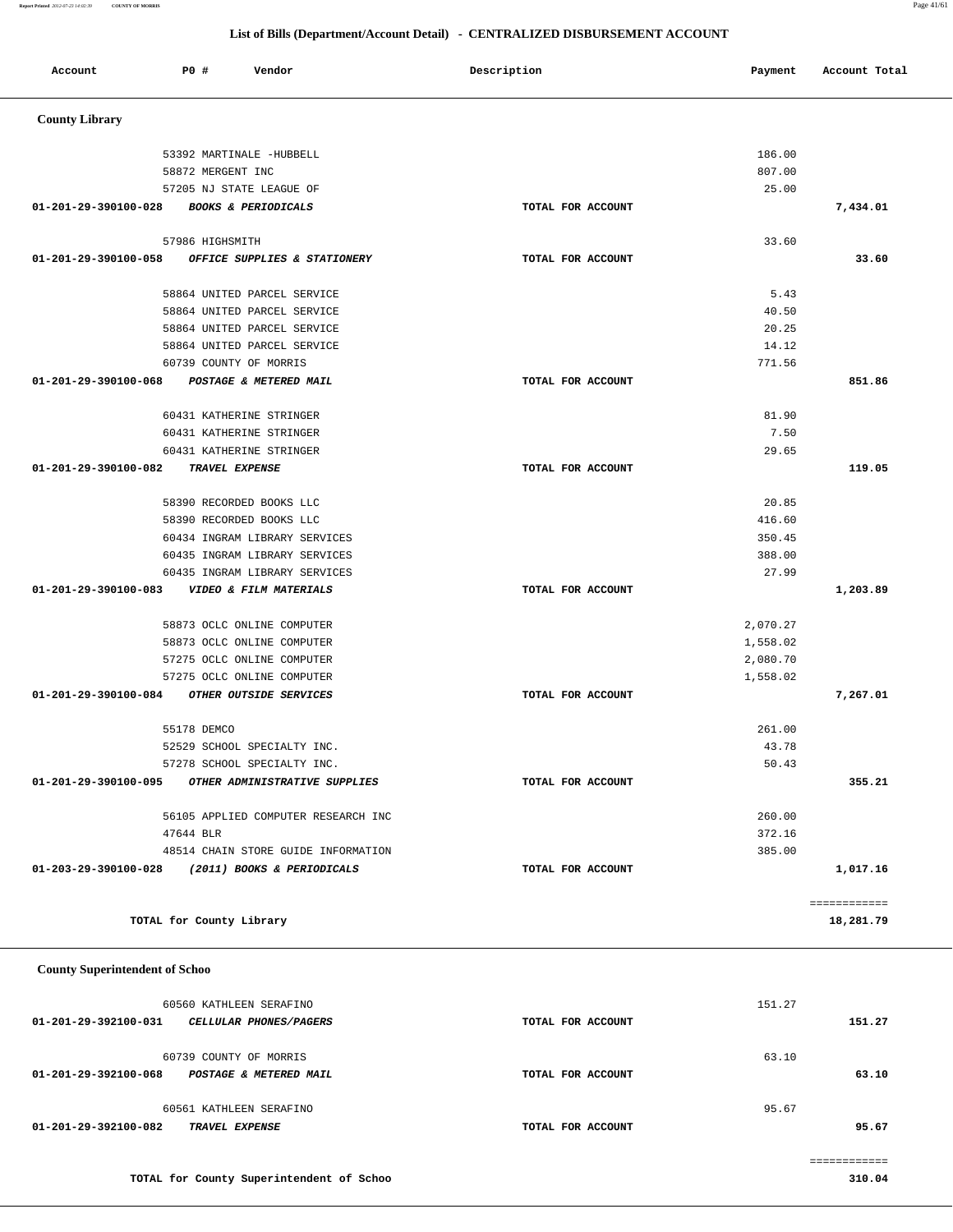|                                       | 60434 INGRAM LIBRARY SERVICES            |                   | 350.45   |              |
|---------------------------------------|------------------------------------------|-------------------|----------|--------------|
|                                       | 60435 INGRAM LIBRARY SERVICES            |                   | 388.00   |              |
|                                       | 60435 INGRAM LIBRARY SERVICES            |                   | 27.99    |              |
| 01-201-29-390100-083                  | VIDEO & FILM MATERIALS                   | TOTAL FOR ACCOUNT |          | 1,203.89     |
|                                       | 58873 OCLC ONLINE COMPUTER               |                   | 2,070.27 |              |
|                                       | 58873 OCLC ONLINE COMPUTER               |                   | 1,558.02 |              |
|                                       | 57275 OCLC ONLINE COMPUTER               |                   | 2,080.70 |              |
|                                       | 57275 OCLC ONLINE COMPUTER               |                   | 1,558.02 |              |
| 01-201-29-390100-084                  | OTHER OUTSIDE SERVICES                   | TOTAL FOR ACCOUNT |          | 7,267.01     |
|                                       | 55178 DEMCO                              |                   | 261.00   |              |
|                                       | 52529 SCHOOL SPECIALTY INC.              |                   | 43.78    |              |
|                                       | 57278 SCHOOL SPECIALTY INC.              |                   | 50.43    |              |
| 01-201-29-390100-095                  | OTHER ADMINISTRATIVE SUPPLIES            | TOTAL FOR ACCOUNT |          | 355.21       |
|                                       | 56105 APPLIED COMPUTER RESEARCH INC      |                   | 260.00   |              |
|                                       | 47644 BLR                                |                   | 372.16   |              |
|                                       | 48514 CHAIN STORE GUIDE INFORMATION      |                   | 385.00   |              |
| 01-203-29-390100-028                  | (2011) BOOKS & PERIODICALS               | TOTAL FOR ACCOUNT |          | 1,017.16     |
|                                       |                                          |                   |          |              |
|                                       |                                          |                   |          | ============ |
|                                       | TOTAL for County Library                 |                   |          | 18,281.79    |
| <b>County Superintendent of Schoo</b> |                                          |                   |          |              |
|                                       | 60560 KATHLEEN SERAFINO                  |                   | 151.27   |              |
| 01-201-29-392100-031                  | CELLULAR PHONES/PAGERS                   | TOTAL FOR ACCOUNT |          | 151.27       |
|                                       | 60739 COUNTY OF MORRIS                   |                   | 63.10    |              |
| 01-201-29-392100-068                  | POSTAGE & METERED MAIL                   | TOTAL FOR ACCOUNT |          | 63.10        |
|                                       | 60561 KATHLEEN SERAFINO                  |                   | 95.67    |              |
| 01-201-29-392100-082                  | TRAVEL EXPENSE                           | TOTAL FOR ACCOUNT |          | 95.67        |
|                                       |                                          |                   |          | ============ |
|                                       | TOTAL for County Superintendent of Schoo |                   |          | 310.04       |
|                                       |                                          |                   |          |              |

| 58872 MERGENT INC                                                   | 807.00            |          |
|---------------------------------------------------------------------|-------------------|----------|
| 57205 NJ STATE LEAGUE OF                                            | 25.00             |          |
| 01-201-29-390100-028<br><b>BOOKS &amp; PERIODICALS</b>              | TOTAL FOR ACCOUNT | 7,434.01 |
| 57986 HIGHSMITH                                                     | 33.60             |          |
| 01-201-29-390100-058 OFFICE SUPPLIES & STATIONERY                   | TOTAL FOR ACCOUNT | 33.60    |
| 58864 UNITED PARCEL SERVICE                                         | 5.43              |          |
| 58864 UNITED PARCEL SERVICE                                         | 40.50             |          |
| 58864 UNITED PARCEL SERVICE                                         | 20.25             |          |
| 58864 UNITED PARCEL SERVICE                                         | 14.12             |          |
| 60739 COUNTY OF MORRIS                                              | 771.56            |          |
| $01 - 201 - 29 - 390100 - 068$<br><b>POSTAGE &amp; METERED MAIL</b> | TOTAL FOR ACCOUNT | 851.86   |
| 60431 KATHERINE STRINGER                                            | 81.90             |          |
| 60431 KATHERINE STRINGER                                            | 7.50              |          |
| 60431 KATHERINE STRINGER                                            | 29.65             |          |
| $01 - 201 - 29 - 390100 - 082$<br>TRAVEL EXPENSE                    | TOTAL FOR ACCOUNT | 119.05   |
| 58390 RECORDED BOOKS LLC                                            | 20.85             |          |
| 58390 RECORDED BOOKS LLC                                            | 416.60            |          |

| Account               | P0 #              | Vendor                         | Description       | Payment | Account Total |
|-----------------------|-------------------|--------------------------------|-------------------|---------|---------------|
| <b>County Library</b> |                   |                                |                   |         |               |
|                       |                   | 53392 MARTINALE -HUBBELL       |                   | 186.00  |               |
|                       | 58872 MERGENT INC |                                |                   | 807.00  |               |
|                       |                   | 57205 NJ STATE LEAGUE OF       |                   | 25.00   |               |
| 01-201-29-390100-028  |                   | <b>BOOKS &amp; PERIODICALS</b> | TOTAL FOR ACCOUNT |         | 7,434.01      |
|                       | 57986 HIGHSMITH   |                                |                   | 33.60   |               |
| 01-201-29-390100-058  |                   | OFFICE SUPPLIES & STATIONERY   | TOTAL FOR ACCOUNT |         | 33.60         |
|                       |                   | 58864 UNITED PARCEL SERVICE    |                   | 5.43    |               |
|                       |                   | 58864 UNITED PARCEL SERVICE    |                   | 40.50   |               |
|                       |                   | 58864 UNITED PARCEL SERVICE    |                   | 20.25   |               |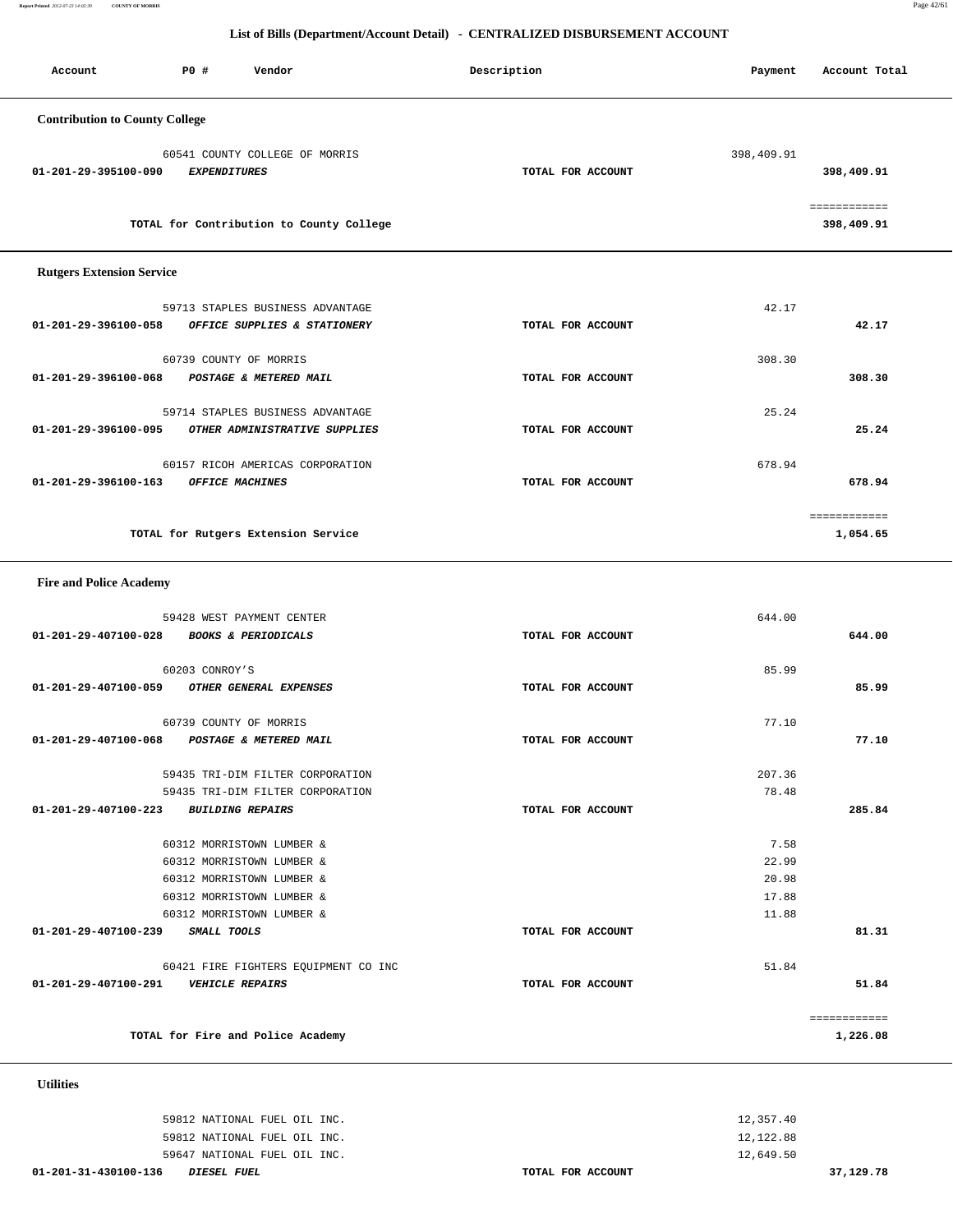**Report Printed** *2012-07-23 14:02:39* **COUNTY OF MORRIS** Page 42/61

#### **List of Bills (Department/Account Detail) - CENTRALIZED DISBURSEMENT ACCOUNT**

| Account                               | PO#<br>Vendor                                         | Description       | Payment    | Account Total              |
|---------------------------------------|-------------------------------------------------------|-------------------|------------|----------------------------|
| <b>Contribution to County College</b> |                                                       |                   |            |                            |
| 01-201-29-395100-090                  | 60541 COUNTY COLLEGE OF MORRIS<br><b>EXPENDITURES</b> | TOTAL FOR ACCOUNT | 398,409.91 | 398,409.91                 |
|                                       | TOTAL for Contribution to County College              |                   |            | ============<br>398,409.91 |
| <b>Rutgers Extension Service</b>      |                                                       |                   |            |                            |
|                                       | 59713 STAPLES BUSINESS ADVANTAGE                      |                   | 42.17      |                            |
| 01-201-29-396100-058                  | OFFICE SUPPLIES & STATIONERY                          | TOTAL FOR ACCOUNT |            | 42.17                      |
|                                       | 60739 COUNTY OF MORRIS                                |                   | 308.30     |                            |
| 01-201-29-396100-068                  | POSTAGE & METERED MAIL                                | TOTAL FOR ACCOUNT |            | 308.30                     |
|                                       | 59714 STAPLES BUSINESS ADVANTAGE                      |                   | 25.24      |                            |
| 01-201-29-396100-095                  | OTHER ADMINISTRATIVE SUPPLIES                         | TOTAL FOR ACCOUNT |            | 25.24                      |
|                                       | 60157 RICOH AMERICAS CORPORATION                      |                   | 678.94     |                            |

|                                     | ------------<br>____________ |
|-------------------------------------|------------------------------|
| TOTAL for Rutgers Extension Service | ⊥,054.65                     |

 **01-201-29-396100-163 OFFICE MACHINES TOTAL FOR ACCOUNT 678.94**

 **Fire and Police Academy** 

|                                       | 59428 WEST PAYMENT CENTER            |                   | 644.00 |              |
|---------------------------------------|--------------------------------------|-------------------|--------|--------------|
| 01-201-29-407100-028                  | <b>BOOKS &amp; PERIODICALS</b>       | TOTAL FOR ACCOUNT |        | 644.00       |
|                                       | 60203 CONROY'S                       |                   | 85.99  |              |
|                                       |                                      |                   |        |              |
| 01-201-29-407100-059                  | OTHER GENERAL EXPENSES               | TOTAL FOR ACCOUNT |        | 85.99        |
|                                       | 60739 COUNTY OF MORRIS               |                   | 77.10  |              |
| 01-201-29-407100-068                  | POSTAGE & METERED MAIL               | TOTAL FOR ACCOUNT |        | 77.10        |
|                                       | 59435 TRI-DIM FILTER CORPORATION     |                   | 207.36 |              |
|                                       | 59435 TRI-DIM FILTER CORPORATION     |                   | 78.48  |              |
|                                       |                                      |                   |        |              |
| 01-201-29-407100-223 BUILDING REPAIRS |                                      | TOTAL FOR ACCOUNT |        | 285.84       |
|                                       |                                      |                   |        |              |
|                                       | 60312 MORRISTOWN LUMBER &            |                   | 7.58   |              |
|                                       | 60312 MORRISTOWN LUMBER &            |                   | 22.99  |              |
|                                       | 60312 MORRISTOWN LUMBER &            |                   | 20.98  |              |
|                                       | 60312 MORRISTOWN LUMBER &            |                   | 17.88  |              |
|                                       | 60312 MORRISTOWN LUMBER &            |                   | 11.88  |              |
| 01-201-29-407100-239                  | SMALL TOOLS                          | TOTAL FOR ACCOUNT |        | 81.31        |
|                                       | 60421 FIRE FIGHTERS EQUIPMENT CO INC |                   | 51.84  |              |
| 01-201-29-407100-291                  | <b>VEHICLE REPAIRS</b>               | TOTAL FOR ACCOUNT |        | 51.84        |
|                                       |                                      |                   |        |              |
|                                       |                                      |                   |        | ============ |
|                                       | TOTAL for Fire and Police Academy    |                   |        | 1,226.08     |
|                                       |                                      |                   |        |              |

 **Utilities** 

| 01-201-31-430100-136 | <i>DIESEL FUEL</i>           | TOTAL FOR ACCOUNT | 37,129.78 |
|----------------------|------------------------------|-------------------|-----------|
|                      | 59647 NATIONAL FUEL OIL INC. |                   | 12,649.50 |
|                      | 59812 NATIONAL FUEL OIL INC. |                   | 12,122.88 |
|                      | 59812 NATIONAL FUEL OIL INC. |                   | 12,357.40 |
|                      |                              |                   |           |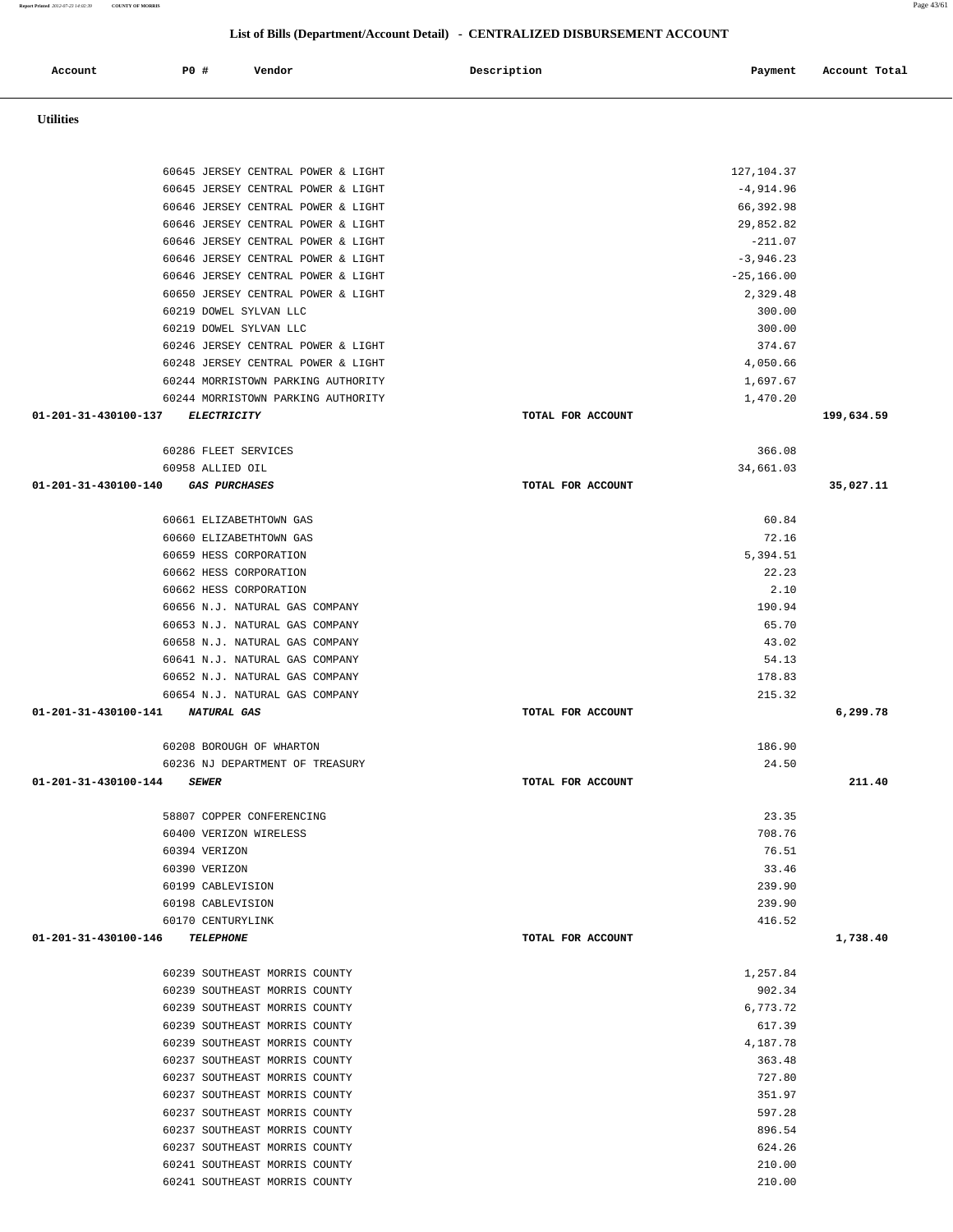| 60645 JERSEY CENTRAL POWER & LIGHT                  |                   | 127, 104.37  |            |
|-----------------------------------------------------|-------------------|--------------|------------|
| 60645 JERSEY CENTRAL POWER & LIGHT                  |                   | $-4,914.96$  |            |
| 60646 JERSEY CENTRAL POWER & LIGHT                  |                   | 66,392.98    |            |
| 60646 JERSEY CENTRAL POWER & LIGHT                  |                   | 29,852.82    |            |
| 60646 JERSEY CENTRAL POWER & LIGHT                  |                   | $-211.07$    |            |
| 60646 JERSEY CENTRAL POWER & LIGHT                  |                   | $-3,946.23$  |            |
| 60646 JERSEY CENTRAL POWER & LIGHT                  |                   | $-25,166.00$ |            |
| 60650 JERSEY CENTRAL POWER & LIGHT                  |                   | 2,329.48     |            |
| 60219 DOWEL SYLVAN LLC                              |                   | 300.00       |            |
| 60219 DOWEL SYLVAN LLC                              |                   | 300.00       |            |
| 60246 JERSEY CENTRAL POWER & LIGHT                  |                   | 374.67       |            |
| 60248 JERSEY CENTRAL POWER & LIGHT                  |                   | 4,050.66     |            |
| 60244 MORRISTOWN PARKING AUTHORITY                  |                   | 1,697.67     |            |
| 60244 MORRISTOWN PARKING AUTHORITY                  |                   | 1,470.20     |            |
| 01-201-31-430100-137<br><b>ELECTRICITY</b>          | TOTAL FOR ACCOUNT |              | 199,634.59 |
|                                                     |                   |              |            |
| 60286 FLEET SERVICES                                |                   | 366.08       |            |
| 60958 ALLIED OIL                                    |                   | 34,661.03    |            |
| 01-201-31-430100-140<br><i><b>GAS PURCHASES</b></i> | TOTAL FOR ACCOUNT |              | 35,027.11  |
|                                                     |                   |              |            |
| 60661 ELIZABETHTOWN GAS                             |                   | 60.84        |            |
| 60660 ELIZABETHTOWN GAS                             |                   | 72.16        |            |
| 60659 HESS CORPORATION                              |                   | 5,394.51     |            |
| 60662 HESS CORPORATION                              |                   | 22.23        |            |
| 60662 HESS CORPORATION                              |                   | 2.10         |            |
| 60656 N.J. NATURAL GAS COMPANY                      |                   | 190.94       |            |
| 60653 N.J. NATURAL GAS COMPANY                      |                   | 65.70        |            |
| 60658 N.J. NATURAL GAS COMPANY                      |                   | 43.02        |            |
| 60641 N.J. NATURAL GAS COMPANY                      |                   | 54.13        |            |
| 60652 N.J. NATURAL GAS COMPANY                      |                   | 178.83       |            |
| 60654 N.J. NATURAL GAS COMPANY                      |                   | 215.32       |            |
|                                                     | TOTAL FOR ACCOUNT |              | 6,299.78   |
| 01-201-31-430100-141 NATURAL GAS                    |                   |              |            |
|                                                     |                   |              |            |
| 60208 BOROUGH OF WHARTON                            |                   | 186.90       |            |
| 60236 NJ DEPARTMENT OF TREASURY<br><b>SEWER</b>     | TOTAL FOR ACCOUNT | 24.50        | 211.40     |
| 01-201-31-430100-144                                |                   |              |            |
| 58807 COPPER CONFERENCING                           |                   | 23.35        |            |
| 60400 VERIZON WIRELESS                              |                   | 708.76       |            |
| 60394 VERIZON                                       |                   | 76.51        |            |
| 60390 VERIZON                                       |                   | 33.46        |            |
| 60199 CABLEVISION                                   |                   | 239.90       |            |
| 60198 CABLEVISION                                   |                   | 239.90       |            |
| 60170 CENTURYLINK                                   |                   | 416.52       |            |
| 01-201-31-430100-146<br>TELEPHONE                   | TOTAL FOR ACCOUNT |              | 1,738.40   |
|                                                     |                   |              |            |
| 60239 SOUTHEAST MORRIS COUNTY                       |                   | 1,257.84     |            |
| 60239 SOUTHEAST MORRIS COUNTY                       |                   | 902.34       |            |
| 60239 SOUTHEAST MORRIS COUNTY                       |                   | 6,773.72     |            |
| 60239 SOUTHEAST MORRIS COUNTY                       |                   | 617.39       |            |
| 60239 SOUTHEAST MORRIS COUNTY                       |                   | 4,187.78     |            |
| 60237 SOUTHEAST MORRIS COUNTY                       |                   | 363.48       |            |
| 60237 SOUTHEAST MORRIS COUNTY                       |                   | 727.80       |            |
| 60237 SOUTHEAST MORRIS COUNTY                       |                   | 351.97       |            |
| 60237 SOUTHEAST MORRIS COUNTY                       |                   | 597.28       |            |
| 60237 SOUTHEAST MORRIS COUNTY                       |                   | 896.54       |            |
| 60237 SOUTHEAST MORRIS COUNTY                       |                   | 624.26       |            |
| 60241 SOUTHEAST MORRIS COUNTY                       |                   | 210.00       |            |

 **Utilities** 

Account P0 **#** Vendor **Description** Description Payment Account Total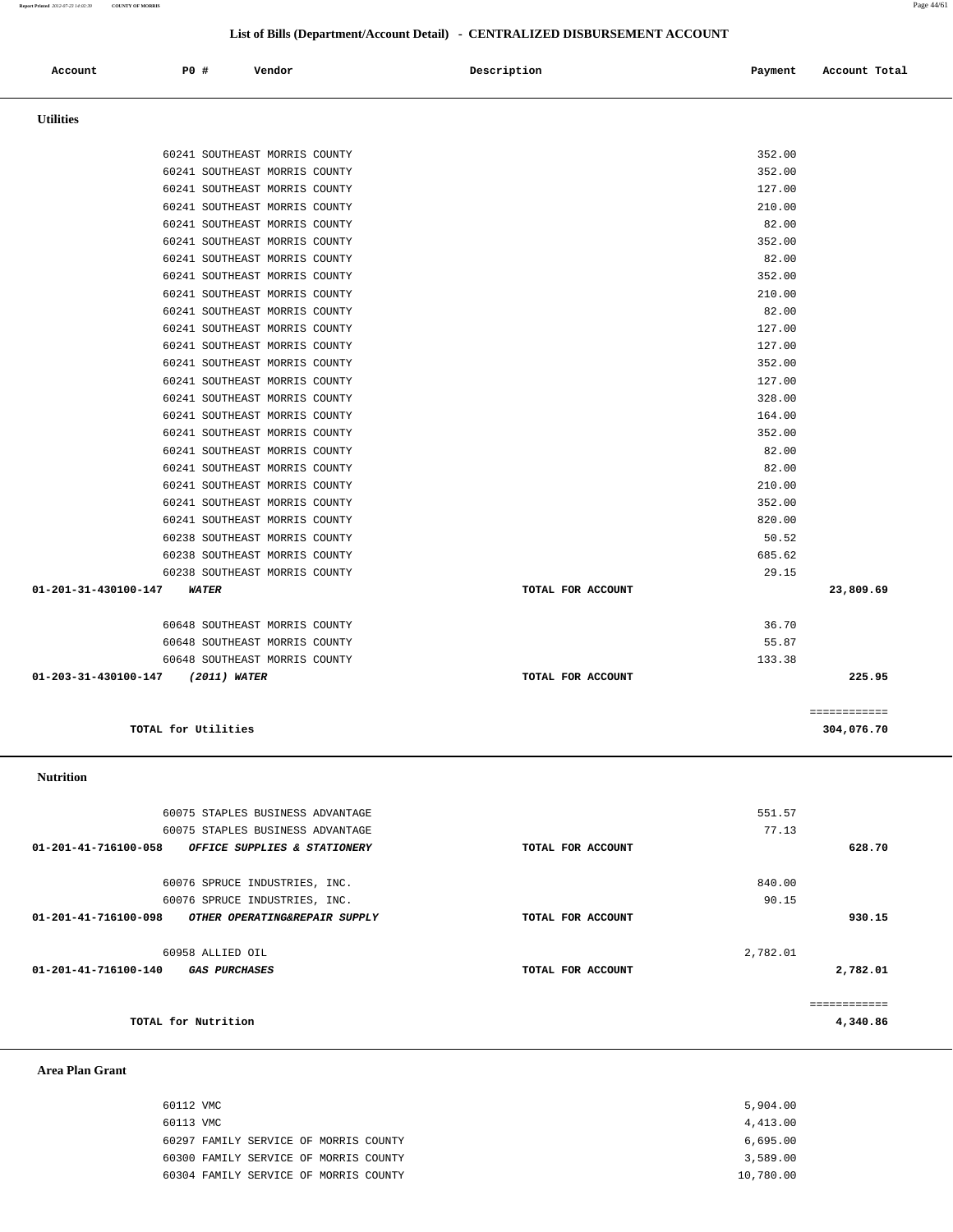| 60112 VMC |                                       | 5,904.00  |
|-----------|---------------------------------------|-----------|
| 60113 VMC |                                       | 4,413.00  |
|           | 60297 FAMILY SERVICE OF MORRIS COUNTY | 6,695.00  |
|           | 60300 FAMILY SERVICE OF MORRIS COUNTY | 3,589.00  |
|           | 60304 FAMILY SERVICE OF MORRIS COUNTY | 10,780.00 |

#### **Area Plan Grant**

|                      | 60075 STAPLES BUSINESS ADVANTAGE |                   | 551.57   |          |
|----------------------|----------------------------------|-------------------|----------|----------|
|                      | 60075 STAPLES BUSINESS ADVANTAGE |                   | 77.13    |          |
| 01-201-41-716100-058 | OFFICE SUPPLIES & STATIONERY     | TOTAL FOR ACCOUNT |          | 628.70   |
|                      | 60076 SPRUCE INDUSTRIES, INC.    |                   | 840.00   |          |
|                      | 60076 SPRUCE INDUSTRIES, INC.    |                   | 90.15    |          |
| 01-201-41-716100-098 | OTHER OPERATING&REPAIR SUPPLY    | TOTAL FOR ACCOUNT |          | 930.15   |
|                      | 60958 ALLIED OIL                 |                   | 2,782.01 |          |
| 01-201-41-716100-140 | <i><b>GAS PURCHASES</b></i>      | TOTAL FOR ACCOUNT |          | 2,782.01 |
|                      |                                  |                   |          |          |
|                      | TOTAL for Nutrition              |                   |          | 4,340.86 |

 **Nutrition** 

| 60241 SOUTHEAST MORRIS COUNTY               |                   | 352.00       |  |
|---------------------------------------------|-------------------|--------------|--|
| 60241 SOUTHEAST MORRIS COUNTY               |                   | 352.00       |  |
| 60241 SOUTHEAST MORRIS COUNTY               |                   | 127.00       |  |
| 60241 SOUTHEAST MORRIS COUNTY               |                   | 210.00       |  |
| 60241 SOUTHEAST MORRIS COUNTY               |                   | 82.00        |  |
| 60241 SOUTHEAST MORRIS COUNTY               |                   | 352.00       |  |
| 60241 SOUTHEAST MORRIS COUNTY               |                   | 82.00        |  |
| 60241 SOUTHEAST MORRIS COUNTY               |                   | 352.00       |  |
| 60241 SOUTHEAST MORRIS COUNTY               |                   | 210.00       |  |
| 60241 SOUTHEAST MORRIS COUNTY               |                   | 82.00        |  |
| 60241 SOUTHEAST MORRIS COUNTY               |                   | 127.00       |  |
| 60241 SOUTHEAST MORRIS COUNTY               |                   | 127.00       |  |
| 60241 SOUTHEAST MORRIS COUNTY               |                   | 352.00       |  |
| 60241 SOUTHEAST MORRIS COUNTY               |                   | 127.00       |  |
| 60241 SOUTHEAST MORRIS COUNTY               |                   | 328.00       |  |
| 60241 SOUTHEAST MORRIS COUNTY               |                   | 164.00       |  |
| 60241 SOUTHEAST MORRIS COUNTY               |                   | 352.00       |  |
| 60241 SOUTHEAST MORRIS COUNTY               |                   | 82.00        |  |
| 60241 SOUTHEAST MORRIS COUNTY               |                   | 82.00        |  |
| 60241 SOUTHEAST MORRIS COUNTY               |                   | 210.00       |  |
| 60241 SOUTHEAST MORRIS COUNTY               |                   | 352.00       |  |
| 60241 SOUTHEAST MORRIS COUNTY               |                   | 820.00       |  |
| 60238 SOUTHEAST MORRIS COUNTY               |                   | 50.52        |  |
| 60238 SOUTHEAST MORRIS COUNTY               |                   | 685.62       |  |
| 60238 SOUTHEAST MORRIS COUNTY               |                   | 29.15        |  |
| 01-201-31-430100-147<br><i><b>WATER</b></i> | TOTAL FOR ACCOUNT | 23,809.69    |  |
| 60648 SOUTHEAST MORRIS COUNTY               |                   | 36.70        |  |
| 60648 SOUTHEAST MORRIS COUNTY               |                   | 55.87        |  |
| 60648 SOUTHEAST MORRIS COUNTY               |                   | 133.38       |  |
| 01-203-31-430100-147 (2011) WATER           | TOTAL FOR ACCOUNT | 225.95       |  |
|                                             |                   |              |  |
|                                             |                   | ============ |  |
| TOTAL for Utilities                         |                   | 304,076.70   |  |
|                                             |                   |              |  |

 **Utilities** 

 **Account P0 # Vendor Description Payment Account Total**